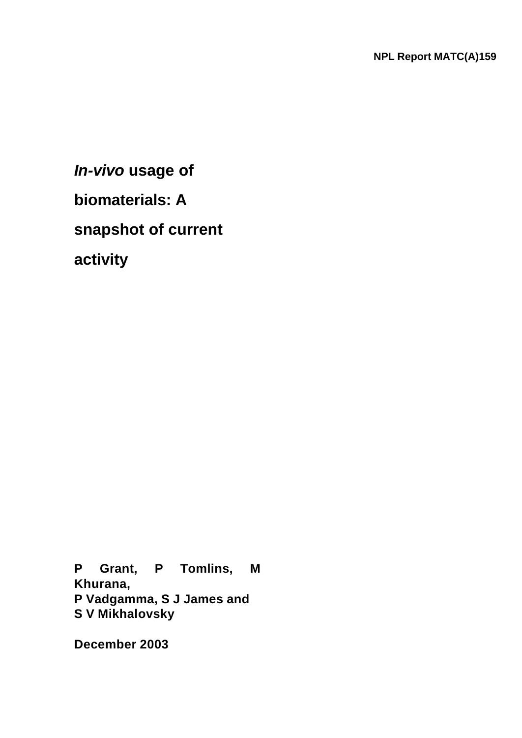*In-vivo* **usage of biomaterials: A snapshot of current activity**

**P Grant, P Tomlins, M Khurana, P Vadgamma, S J James and S V Mikhalovsky**

**December 2003**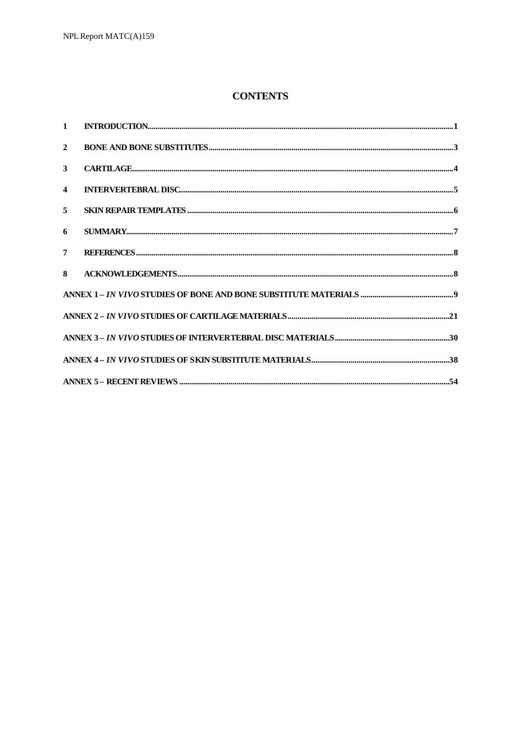### **CONTENTS**

| $\overline{2}$          |  |
|-------------------------|--|
| $\mathbf{3}$            |  |
| $\overline{\mathbf{4}}$ |  |
| 5                       |  |
| 6                       |  |
| $7^{\circ}$             |  |
| 8                       |  |
|                         |  |
|                         |  |
|                         |  |
|                         |  |
|                         |  |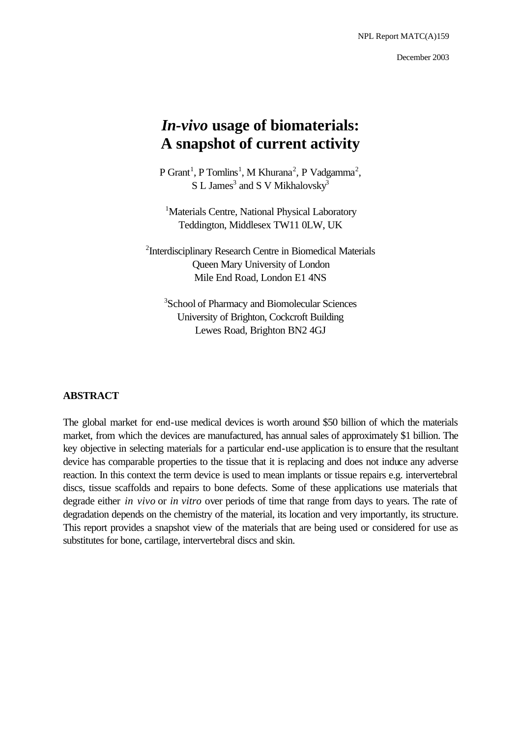NPL Report MATC(A)159

December 2003

# *In-vivo* **usage of biomaterials: A snapshot of current activity**

 $P$  Grant<sup>1</sup>, P Tomlins<sup>1</sup>, M Khurana<sup>2</sup>, P Vadgamma<sup>2</sup>, S L James<sup>3</sup> and S V Mikhalovsky<sup>3</sup>

<sup>1</sup>Materials Centre, National Physical Laboratory Teddington, Middlesex TW11 0LW, UK

<sup>2</sup>Interdisciplinary Research Centre in Biomedical Materials Queen Mary University of London Mile End Road, London E1 4NS

<sup>3</sup>School of Pharmacy and Biomolecular Sciences University of Brighton, Cockcroft Building Lewes Road, Brighton BN2 4GJ

### **ABSTRACT**

The global market for end-use medical devices is worth around \$50 billion of which the materials market, from which the devices are manufactured, has annual sales of approximately \$1 billion. The key objective in selecting materials for a particular end-use application is to ensure that the resultant device has comparable properties to the tissue that it is replacing and does not induce any adverse reaction. In this context the term device is used to mean implants or tissue repairs e.g. intervertebral discs, tissue scaffolds and repairs to bone defects. Some of these applications use materials that degrade either *in vivo* or *in vitro* over periods of time that range from days to years. The rate of degradation depends on the chemistry of the material, its location and very importantly, its structure. This report provides a snapshot view of the materials that are being used or considered for use as substitutes for bone, cartilage, intervertebral discs and skin.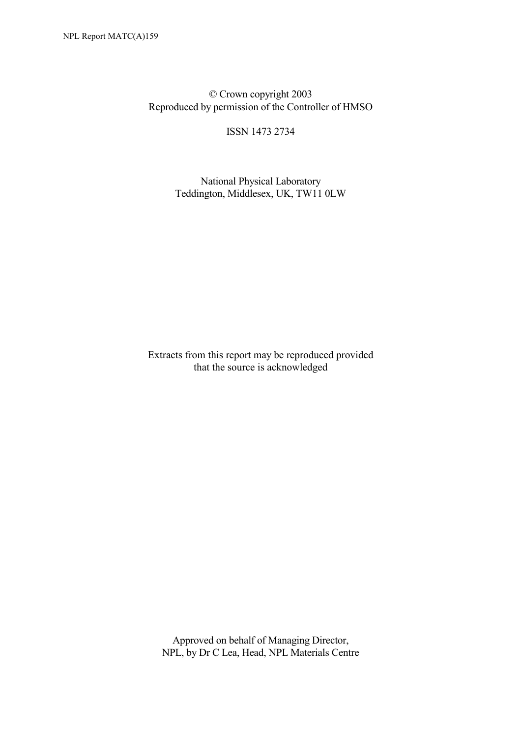© Crown copyright 2003 Reproduced by permission of the Controller of HMSO

ISSN 1473 2734

 National Physical Laboratory Teddington, Middlesex, UK, TW11 0LW

Extracts from this report may be reproduced provided that the source is acknowledged

 Approved on behalf of Managing Director, NPL, by Dr C Lea, Head, NPL Materials Centre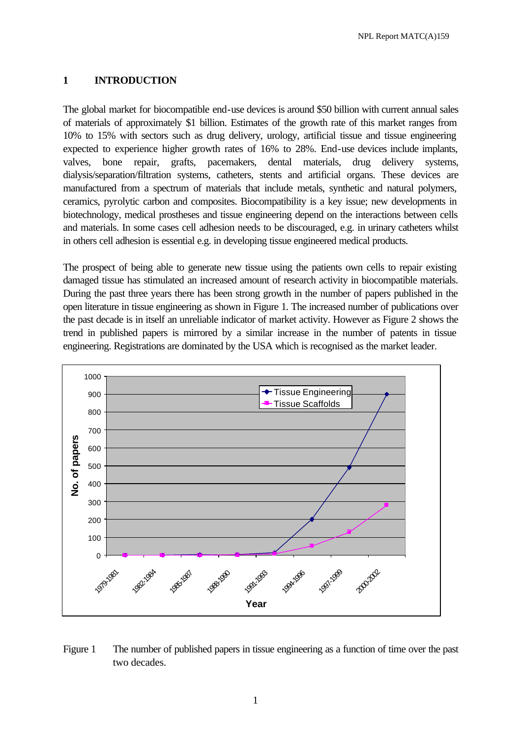### **1 INTRODUCTION**

The global market for biocompatible end-use devices is around \$50 billion with current annual sales of materials of approximately \$1 billion. Estimates of the growth rate of this market ranges from 10% to 15% with sectors such as drug delivery, urology, artificial tissue and tissue engineering expected to experience higher growth rates of 16% to 28%. End-use devices include implants, valves, bone repair, grafts, pacemakers, dental materials, drug delivery systems, dialysis/separation/filtration systems, catheters, stents and artificial organs. These devices are manufactured from a spectrum of materials that include metals, synthetic and natural polymers, ceramics, pyrolytic carbon and composites. Biocompatibility is a key issue; new developments in biotechnology, medical prostheses and tissue engineering depend on the interactions between cells and materials. In some cases cell adhesion needs to be discouraged, e.g. in urinary catheters whilst in others cell adhesion is essential e.g. in developing tissue engineered medical products.

The prospect of being able to generate new tissue using the patients own cells to repair existing damaged tissue has stimulated an increased amount of research activity in biocompatible materials. During the past three years there has been strong growth in the number of papers published in the open literature in tissue engineering as shown in Figure 1. The increased number of publications over the past decade is in itself an unreliable indicator of market activity. However as Figure 2 shows the trend in published papers is mirrored by a similar increase in the number of patents in tissue engineering. Registrations are dominated by the USA which is recognised as the market leader.



Figure 1 The number of published papers in tissue engineering as a function of time over the past two decades.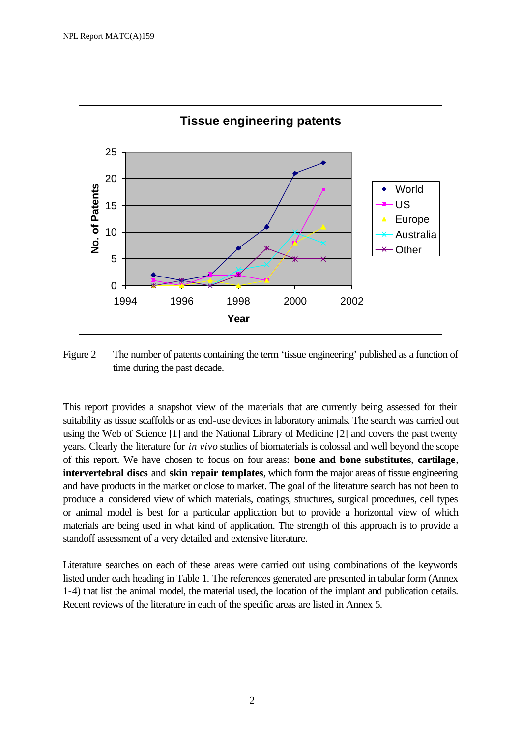

Figure 2 The number of patents containing the term 'tissue engineering' published as a function of time during the past decade.

This report provides a snapshot view of the materials that are currently being assessed for their suitability as tissue scaffolds or as end-use devices in laboratory animals. The search was carried out using the Web of Science [1] and the National Library of Medicine [2] and covers the past twenty years. Clearly the literature for *in vivo* studies of biomaterials is colossal and well beyond the scope of this report. We have chosen to focus on four areas: **bone and bone substitutes**, **cartilage**, **intervertebral discs** and **skin repair templates**, which form the major areas of tissue engineering and have products in the market or close to market. The goal of the literature search has not been to produce a considered view of which materials, coatings, structures, surgical procedures, cell types or animal model is best for a particular application but to provide a horizontal view of which materials are being used in what kind of application. The strength of this approach is to provide a standoff assessment of a very detailed and extensive literature.

Literature searches on each of these areas were carried out using combinations of the keywords listed under each heading in Table 1. The references generated are presented in tabular form (Annex 1-4) that list the animal model, the material used, the location of the implant and publication details. Recent reviews of the literature in each of the specific areas are listed in Annex 5.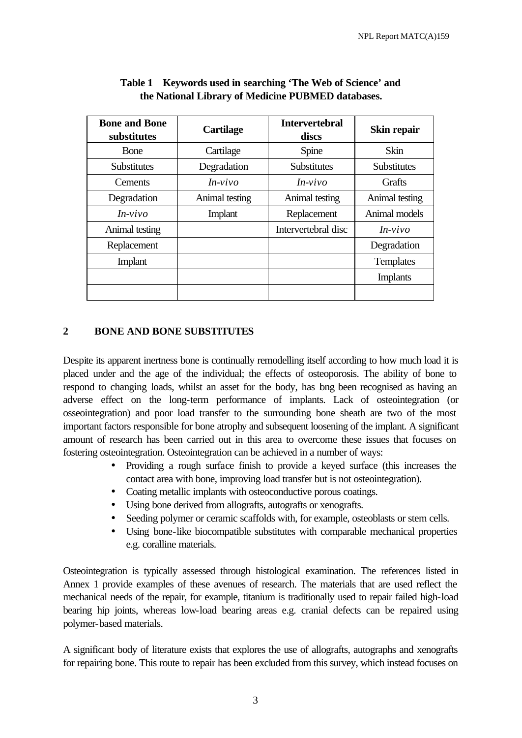| <b>Bone and Bone</b><br>substitutes | <b>Cartilage</b> | <b>Intervertebral</b><br>discs | Skin repair        |
|-------------------------------------|------------------|--------------------------------|--------------------|
| Bone                                | Cartilage        | Spine                          | <b>Skin</b>        |
| <b>Substitutes</b>                  | Degradation      | <b>Substitutes</b>             | <b>Substitutes</b> |
| Cements                             | $In-vivo$        | $In-vivo$                      | Grafts             |
| Degradation                         | Animal testing   | Animal testing                 | Animal testing     |
| $In-vivo$                           | Implant          | Replacement                    | Animal models      |
| Animal testing                      |                  | Intervertebral disc            | $In-vivo$          |
| Replacement                         |                  |                                | Degradation        |
| Implant                             |                  |                                | <b>Templates</b>   |
|                                     |                  |                                | <b>Implants</b>    |
|                                     |                  |                                |                    |

#### **Table 1 Keywords used in searching 'The Web of Science' and the National Library of Medicine PUBMED databases.**

### **2 BONE AND BONE SUBSTITUTES**

Despite its apparent inertness bone is continually remodelling itself according to how much load it is placed under and the age of the individual; the effects of osteoporosis. The ability of bone to respond to changing loads, whilst an asset for the body, has bng been recognised as having an adverse effect on the long-term performance of implants. Lack of osteointegration (or osseointegration) and poor load transfer to the surrounding bone sheath are two of the most important factors responsible for bone atrophy and subsequent loosening of the implant. A significant amount of research has been carried out in this area to overcome these issues that focuses on fostering osteointegration. Osteointegration can be achieved in a number of ways:

- Providing a rough surface finish to provide a keyed surface (this increases the contact area with bone, improving load transfer but is not osteointegration).
- Coating metallic implants with osteoconductive porous coatings.
- Using bone derived from allografts, autografts or xenografts.
- Seeding polymer or ceramic scaffolds with, for example, osteoblasts or stem cells.
- Using bone-like biocompatible substitutes with comparable mechanical properties e.g. coralline materials.

Osteointegration is typically assessed through histological examination. The references listed in Annex 1 provide examples of these avenues of research. The materials that are used reflect the mechanical needs of the repair, for example, titanium is traditionally used to repair failed high-load bearing hip joints, whereas low-load bearing areas e.g. cranial defects can be repaired using polymer-based materials.

A significant body of literature exists that explores the use of allografts, autographs and xenografts for repairing bone. This route to repair has been excluded from this survey, which instead focuses on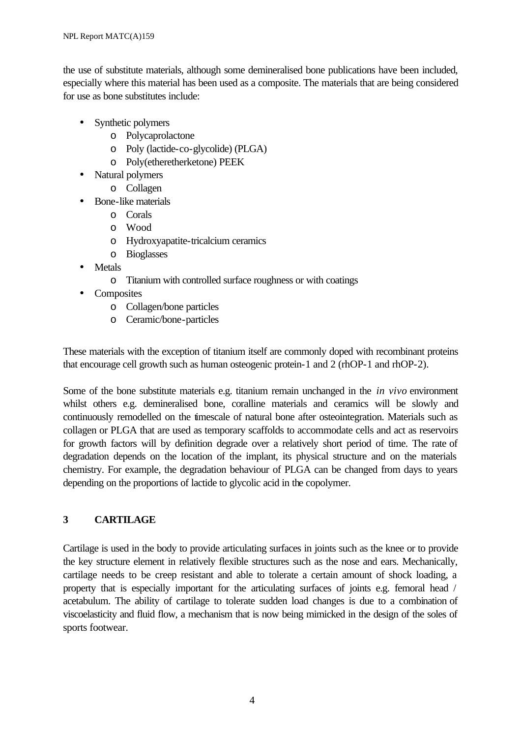the use of substitute materials, although some demineralised bone publications have been included, especially where this material has been used as a composite. The materials that are being considered for use as bone substitutes include:

- Synthetic polymers
	- o Polycaprolactone
	- o Poly (lactide-co-glycolide) (PLGA)
	- o Poly(etheretherketone) PEEK
- Natural polymers
	- o Collagen
- Bone-like materials
	- o Corals
	- o Wood
	- o Hydroxyapatite-tricalcium ceramics
	- o Bioglasses
- Metals
	- o Titanium with controlled surface roughness or with coatings
- Composites
	- o Collagen/bone particles
	- o Ceramic/bone-particles

These materials with the exception of titanium itself are commonly doped with recombinant proteins that encourage cell growth such as human osteogenic protein-1 and 2 (rhOP-1 and rhOP-2).

Some of the bone substitute materials e.g. titanium remain unchanged in the *in vivo* environment whilst others e.g. demineralised bone, coralline materials and ceramics will be slowly and continuously remodelled on the timescale of natural bone after osteointegration. Materials such as collagen or PLGA that are used as temporary scaffolds to accommodate cells and act as reservoirs for growth factors will by definition degrade over a relatively short period of time. The rate of degradation depends on the location of the implant, its physical structure and on the materials chemistry. For example, the degradation behaviour of PLGA can be changed from days to years depending on the proportions of lactide to glycolic acid in the copolymer.

### **3 CARTILAGE**

Cartilage is used in the body to provide articulating surfaces in joints such as the knee or to provide the key structure element in relatively flexible structures such as the nose and ears. Mechanically, cartilage needs to be creep resistant and able to tolerate a certain amount of shock loading, a property that is especially important for the articulating surfaces of joints e.g. femoral head / acetabulum. The ability of cartilage to tolerate sudden load changes is due to a combination of viscoelasticity and fluid flow, a mechanism that is now being mimicked in the design of the soles of sports footwear.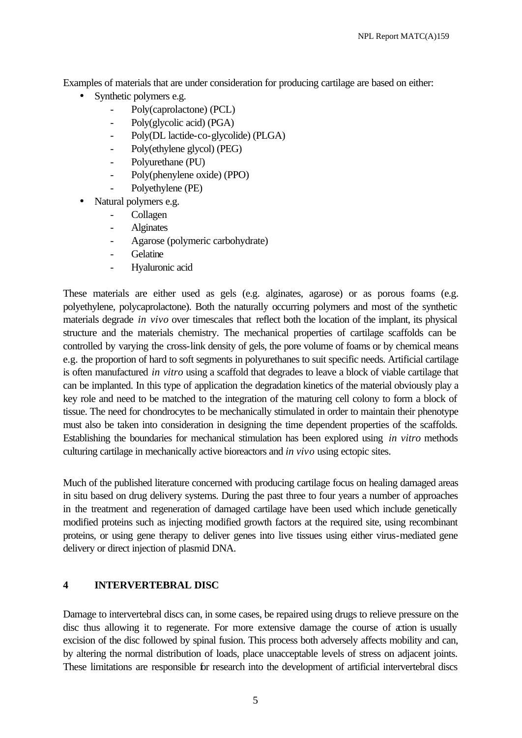Examples of materials that are under consideration for producing cartilage are based on either:

- Synthetic polymers e.g.
	- Poly(caprolactone) (PCL)
	- Poly(glycolic acid) (PGA)
	- Poly(DL lactide-co-glycolide) (PLGA)
	- Poly(ethylene glycol) (PEG)
	- Polyurethane (PU)
	- Poly(phenylene oxide) (PPO)
	- Polyethylene (PE)
- Natural polymers e.g.
	- **Collagen**
	- Alginates
	- Agarose (polymeric carbohydrate)
	- **Gelatine**
	- Hyaluronic acid

These materials are either used as gels (e.g. alginates, agarose) or as porous foams (e.g. polyethylene, polycaprolactone). Both the naturally occurring polymers and most of the synthetic materials degrade *in vivo* over timescales that reflect both the location of the implant, its physical structure and the materials chemistry. The mechanical properties of cartilage scaffolds can be controlled by varying the cross-link density of gels, the pore volume of foams or by chemical means e.g. the proportion of hard to soft segments in polyurethanes to suit specific needs. Artificial cartilage is often manufactured *in vitro* using a scaffold that degrades to leave a block of viable cartilage that can be implanted. In this type of application the degradation kinetics of the material obviously play a key role and need to be matched to the integration of the maturing cell colony to form a block of tissue. The need for chondrocytes to be mechanically stimulated in order to maintain their phenotype must also be taken into consideration in designing the time dependent properties of the scaffolds. Establishing the boundaries for mechanical stimulation has been explored using *in vitro* methods culturing cartilage in mechanically active bioreactors and *in vivo* using ectopic sites.

Much of the published literature concerned with producing cartilage focus on healing damaged areas in situ based on drug delivery systems. During the past three to four years a number of approaches in the treatment and regeneration of damaged cartilage have been used which include genetically modified proteins such as injecting modified growth factors at the required site, using recombinant proteins, or using gene therapy to deliver genes into live tissues using either virus-mediated gene delivery or direct injection of plasmid DNA.

#### **4 INTERVERTEBRAL DISC**

Damage to intervertebral discs can, in some cases, be repaired using drugs to relieve pressure on the disc thus allowing it to regenerate. For more extensive damage the course of action is usually excision of the disc followed by spinal fusion. This process both adversely affects mobility and can, by altering the normal distribution of loads, place unacceptable levels of stress on adjacent joints. These limitations are responsible for research into the development of artificial intervertebral discs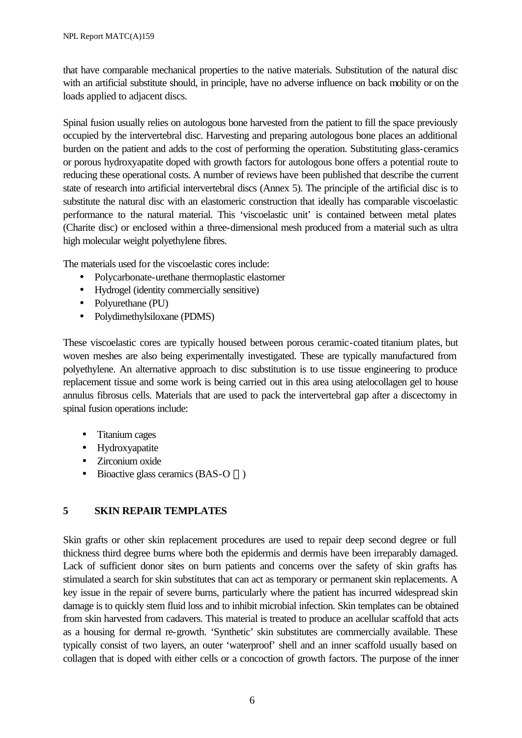that have comparable mechanical properties to the native materials. Substitution of the natural disc with an artificial substitute should, in principle, have no adverse influence on back mobility or on the loads applied to adjacent discs.

Spinal fusion usually relies on autologous bone harvested from the patient to fill the space previously occupied by the intervertebral disc. Harvesting and preparing autologous bone places an additional burden on the patient and adds to the cost of performing the operation. Substituting glass-ceramics or porous hydroxyapatite doped with growth factors for autologous bone offers a potential route to reducing these operational costs. A number of reviews have been published that describe the current state of research into artificial intervertebral discs (Annex 5). The principle of the artificial disc is to substitute the natural disc with an elastomeric construction that ideally has comparable viscoelastic performance to the natural material. This 'viscoelastic unit' is contained between metal plates (Charite disc) or enclosed within a three-dimensional mesh produced from a material such as ultra high molecular weight polyethylene fibres.

The materials used for the viscoelastic cores include:

- Polycarbonate-urethane thermoplastic elastomer
- Hydrogel (identity commercially sensitive)
- Polyurethane (PU)
- Polydimethylsiloxane (PDMS)

These viscoelastic cores are typically housed between porous ceramic-coated titanium plates, but woven meshes are also being experimentally investigated. These are typically manufactured from polyethylene. An alternative approach to disc substitution is to use tissue engineering to produce replacement tissue and some work is being carried out in this area using atelocollagen gel to house annulus fibrosus cells. Materials that are used to pack the intervertebral gap after a discectomy in spinal fusion operations include:

- Titanium cages
- Hydroxyapatite
- Zirconium oxide
- Bioactive glass ceramics (BAS-O  $TM$ )

### **5 SKIN REPAIR TEMPLATES**

Skin grafts or other skin replacement procedures are used to repair deep second degree or full thickness third degree burns where both the epidermis and dermis have been irreparably damaged. Lack of sufficient donor sites on burn patients and concerns over the safety of skin grafts has stimulated a search for skin substitutes that can act as temporary or permanent skin replacements. A key issue in the repair of severe burns, particularly where the patient has incurred widespread skin damage is to quickly stem fluid loss and to inhibit microbial infection. Skin templates can be obtained from skin harvested from cadavers. This material is treated to produce an acellular scaffold that acts as a housing for dermal re-growth. 'Synthetic' skin substitutes are commercially available. These typically consist of two layers, an outer 'waterproof' shell and an inner scaffold usually based on collagen that is doped with either cells or a concoction of growth factors. The purpose of the inner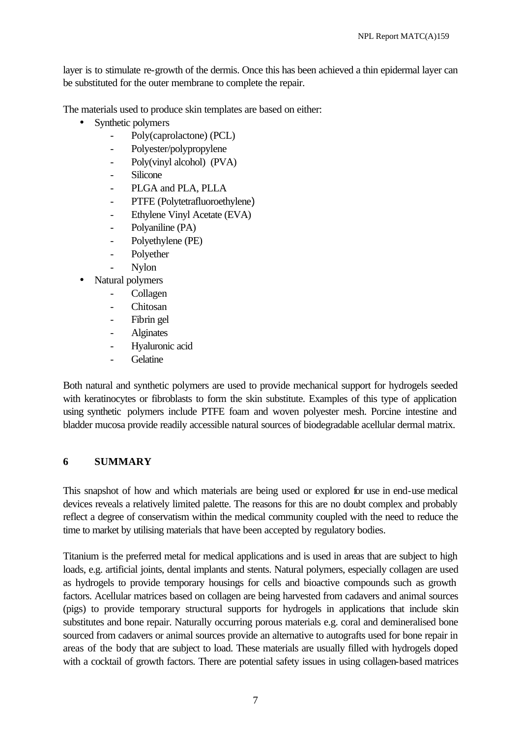layer is to stimulate re-growth of the dermis. Once this has been achieved a thin epidermal layer can be substituted for the outer membrane to complete the repair.

The materials used to produce skin templates are based on either:

- Synthetic polymers
	- Poly(caprolactone) (PCL)
	- Polyester/polypropylene
	- Poly(vinyl alcohol) (PVA)
	- **Silicone**
	- PLGA and PLA, PLLA
	- PTFE (Polytetrafluoroethylene)
	- Ethylene Vinyl Acetate (EVA)
	- Polyaniline (PA)
	- Polyethylene (PE)
	- Polyether
	- Nylon
- Natural polymers
	- **Collagen**
	- Chitosan
	- Fibrin gel
	- Alginates
	- Hyaluronic acid
	- Gelatine

Both natural and synthetic polymers are used to provide mechanical support for hydrogels seeded with keratinocytes or fibroblasts to form the skin substitute. Examples of this type of application using synthetic polymers include PTFE foam and woven polyester mesh. Porcine intestine and bladder mucosa provide readily accessible natural sources of biodegradable acellular dermal matrix.

### **6 SUMMARY**

This snapshot of how and which materials are being used or explored for use in end-use medical devices reveals a relatively limited palette. The reasons for this are no doubt complex and probably reflect a degree of conservatism within the medical community coupled with the need to reduce the time to market by utilising materials that have been accepted by regulatory bodies.

Titanium is the preferred metal for medical applications and is used in areas that are subject to high loads, e.g. artificial joints, dental implants and stents. Natural polymers, especially collagen are used as hydrogels to provide temporary housings for cells and bioactive compounds such as growth factors. Acellular matrices based on collagen are being harvested from cadavers and animal sources (pigs) to provide temporary structural supports for hydrogels in applications that include skin substitutes and bone repair. Naturally occurring porous materials e.g. coral and demineralised bone sourced from cadavers or animal sources provide an alternative to autografts used for bone repair in areas of the body that are subject to load. These materials are usually filled with hydrogels doped with a cocktail of growth factors. There are potential safety issues in using collagen-based matrices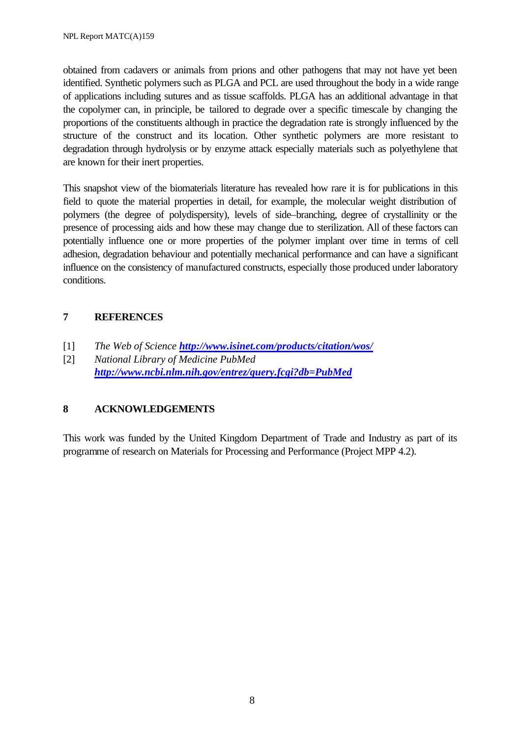obtained from cadavers or animals from prions and other pathogens that may not have yet been identified. Synthetic polymers such as PLGA and PCL are used throughout the body in a wide range of applications including sutures and as tissue scaffolds. PLGA has an additional advantage in that the copolymer can, in principle, be tailored to degrade over a specific timescale by changing the proportions of the constituents although in practice the degradation rate is strongly influenced by the structure of the construct and its location. Other synthetic polymers are more resistant to degradation through hydrolysis or by enzyme attack especially materials such as polyethylene that are known for their inert properties.

This snapshot view of the biomaterials literature has revealed how rare it is for publications in this field to quote the material properties in detail, for example, the molecular weight distribution of polymers (the degree of polydispersity), levels of side–branching, degree of crystallinity or the presence of processing aids and how these may change due to sterilization. All of these factors can potentially influence one or more properties of the polymer implant over time in terms of cell adhesion, degradation behaviour and potentially mechanical performance and can have a significant influence on the consistency of manufactured constructs, especially those produced under laboratory conditions.

### **7 REFERENCES**

- [1] *The Web of Science http://www.isinet.com/products/citation/wos/*
- [2] *National Library of Medicine PubMed http://www.ncbi.nlm.nih.gov/entrez/query.fcgi?db=PubMed*

### **8 ACKNOWLEDGEMENTS**

This work was funded by the United Kingdom Department of Trade and Industry as part of its programme of research on Materials for Processing and Performance (Project MPP 4.2).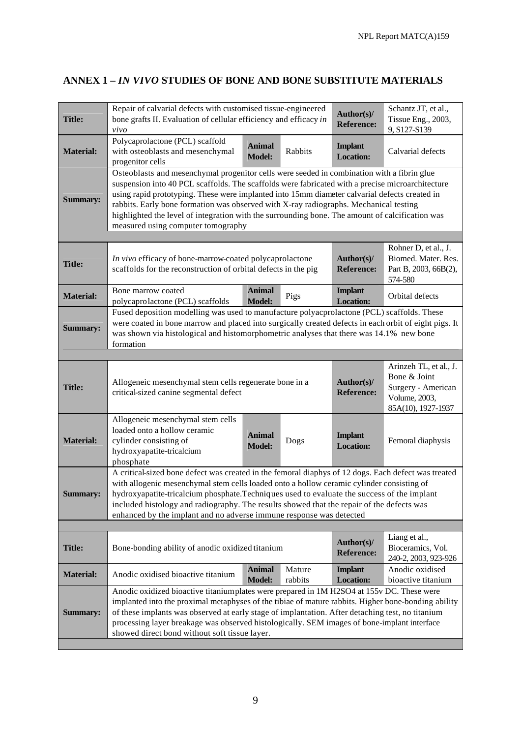# **ANNEX 1 –** *IN VIVO* **STUDIES OF BONE AND BONE SUBSTITUTE MATERIALS**

| Polycaprolactone (PCL) scaffold<br>with osteoblasts and mesenchymal<br><b>Material:</b><br>progenitor cells<br><b>Summary:</b> |                                                                                                                                                                                                                                                                                                                                                                                                                                                                     | <b>Animal</b><br><b>Model:</b>                                                                                                                                                                                                                                                                                                                                                                                                                                                                                                    | Rabbits           | <b>Implant</b><br><b>Location:</b> | Calvarial defects                                                                                     |  |  |
|--------------------------------------------------------------------------------------------------------------------------------|---------------------------------------------------------------------------------------------------------------------------------------------------------------------------------------------------------------------------------------------------------------------------------------------------------------------------------------------------------------------------------------------------------------------------------------------------------------------|-----------------------------------------------------------------------------------------------------------------------------------------------------------------------------------------------------------------------------------------------------------------------------------------------------------------------------------------------------------------------------------------------------------------------------------------------------------------------------------------------------------------------------------|-------------------|------------------------------------|-------------------------------------------------------------------------------------------------------|--|--|
|                                                                                                                                |                                                                                                                                                                                                                                                                                                                                                                                                                                                                     |                                                                                                                                                                                                                                                                                                                                                                                                                                                                                                                                   |                   |                                    |                                                                                                       |  |  |
|                                                                                                                                |                                                                                                                                                                                                                                                                                                                                                                                                                                                                     | Osteoblasts and mesenchymal progenitor cells were seeded in combination with a fibrin glue<br>suspension into 40 PCL scaffolds. The scaffolds were fabricated with a precise microarchitecture<br>using rapid prototyping. These were implanted into 15mm diameter calvarial defects created in<br>rabbits. Early bone formation was observed with X-ray radiographs. Mechanical testing<br>highlighted the level of integration with the surrounding bone. The amount of calcification was<br>measured using computer tomography |                   |                                    |                                                                                                       |  |  |
|                                                                                                                                |                                                                                                                                                                                                                                                                                                                                                                                                                                                                     |                                                                                                                                                                                                                                                                                                                                                                                                                                                                                                                                   |                   |                                    |                                                                                                       |  |  |
| Title:                                                                                                                         | In vivo efficacy of bone-marrow-coated polycaprolactone<br>Author(s)/<br>scaffolds for the reconstruction of orbital defects in the pig<br><b>Reference:</b>                                                                                                                                                                                                                                                                                                        |                                                                                                                                                                                                                                                                                                                                                                                                                                                                                                                                   |                   |                                    | Rohner D, et al., J.<br>Biomed. Mater. Res.<br>Part B, 2003, 66B(2),<br>574-580                       |  |  |
| Bone marrow coated<br><b>Material:</b><br>polycaprolactone (PCL) scaffolds                                                     |                                                                                                                                                                                                                                                                                                                                                                                                                                                                     | <b>Animal</b><br><b>Model:</b>                                                                                                                                                                                                                                                                                                                                                                                                                                                                                                    | Pigs              | <b>Implant</b><br><b>Location:</b> | Orbital defects                                                                                       |  |  |
| <b>Summary:</b><br>formation                                                                                                   | Fused deposition modelling was used to manufacture polyacprolactone (PCL) scaffolds. These<br>was shown via histological and histomorphometric analyses that there was 14.1% new bone                                                                                                                                                                                                                                                                               |                                                                                                                                                                                                                                                                                                                                                                                                                                                                                                                                   |                   |                                    | were coated in bone marrow and placed into surgically created defects in each orbit of eight pigs. It |  |  |
|                                                                                                                                |                                                                                                                                                                                                                                                                                                                                                                                                                                                                     |                                                                                                                                                                                                                                                                                                                                                                                                                                                                                                                                   |                   |                                    |                                                                                                       |  |  |
| <b>Title:</b>                                                                                                                  | Allogeneic mesenchymal stem cells regenerate bone in a<br>critical-sized canine segmental defect                                                                                                                                                                                                                                                                                                                                                                    |                                                                                                                                                                                                                                                                                                                                                                                                                                                                                                                                   |                   | Author(s)/<br><b>Reference:</b>    | Arinzeh TL, et al., J.<br>Bone & Joint<br>Surgery - American<br>Volume, 2003,<br>85A(10), 1927-1937   |  |  |
| loaded onto a hollow ceramic<br><b>Material:</b><br>cylinder consisting of<br>hydroxyapatite-tricalcium<br>phosphate           | Allogeneic mesenchymal stem cells                                                                                                                                                                                                                                                                                                                                                                                                                                   | <b>Animal</b><br><b>Model:</b>                                                                                                                                                                                                                                                                                                                                                                                                                                                                                                    | Dogs              | <b>Implant</b><br><b>Location:</b> | Femoral diaphysis                                                                                     |  |  |
| <b>Summary:</b>                                                                                                                | A critical-sized bone defect was created in the femoral diaphys of 12 dogs. Each defect was treated<br>with allogenic mesenchymal stem cells loaded onto a hollow ceramic cylinder consisting of<br>hydroxyapatite-tricalcium phosphate. Techniques used to evaluate the success of the implant<br>included histology and radiography. The results showed that the repair of the defects was<br>enhanced by the implant and no adverse immune response was detected |                                                                                                                                                                                                                                                                                                                                                                                                                                                                                                                                   |                   |                                    |                                                                                                       |  |  |
|                                                                                                                                |                                                                                                                                                                                                                                                                                                                                                                                                                                                                     |                                                                                                                                                                                                                                                                                                                                                                                                                                                                                                                                   |                   |                                    |                                                                                                       |  |  |
| <b>Title:</b>                                                                                                                  | Bone-bonding ability of anodic oxidized titanium                                                                                                                                                                                                                                                                                                                                                                                                                    |                                                                                                                                                                                                                                                                                                                                                                                                                                                                                                                                   |                   | Author(s)/<br><b>Reference:</b>    | Liang et al.,<br>Bioceramics, Vol.<br>240-2, 2003, 923-926                                            |  |  |
| <b>Material:</b>                                                                                                               | Anodic oxidised bioactive titanium                                                                                                                                                                                                                                                                                                                                                                                                                                  | <b>Animal</b><br><b>Model:</b>                                                                                                                                                                                                                                                                                                                                                                                                                                                                                                    | Mature<br>rabbits | <b>Implant</b><br><b>Location:</b> | Anodic oxidised<br>bioactive titanium                                                                 |  |  |
| <b>Summary:</b>                                                                                                                | Anodic oxidized bioactive titaniumplates were prepared in 1M H2SO4 at 155v DC. These were<br>of these implants was observed at early stage of implantation. After detaching test, no titanium<br>processing layer breakage was observed histologically. SEM images of bone-implant interface<br>showed direct bond without soft tissue layer.                                                                                                                       |                                                                                                                                                                                                                                                                                                                                                                                                                                                                                                                                   |                   |                                    | implanted into the proximal metaphyses of the tibiae of mature rabbits. Higher bone-bonding ability   |  |  |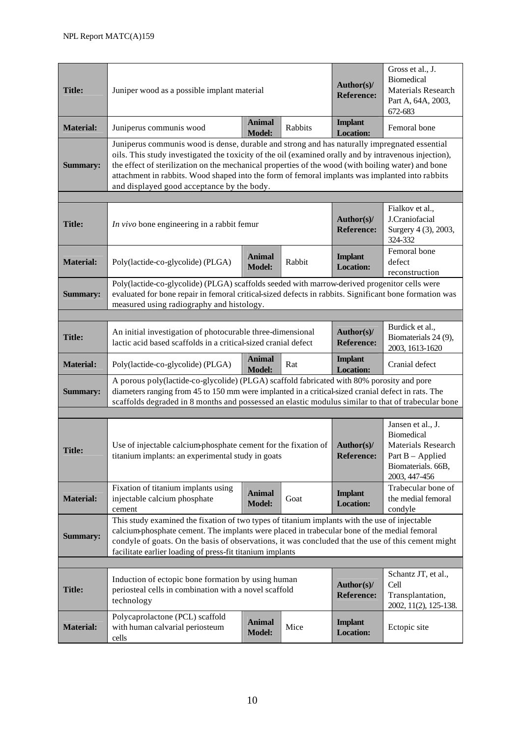| <b>Title:</b>    | Juniper wood as a possible implant material                                                                                                                                                                                                                                                                                                                                                                                                                  | Author(s)/<br><b>Reference:</b>    | Gross et al., J.<br>Biomedical<br>Materials Research<br>Part A, 64A, 2003,<br>672-683 |                                    |                                                                                                      |  |
|------------------|--------------------------------------------------------------------------------------------------------------------------------------------------------------------------------------------------------------------------------------------------------------------------------------------------------------------------------------------------------------------------------------------------------------------------------------------------------------|------------------------------------|---------------------------------------------------------------------------------------|------------------------------------|------------------------------------------------------------------------------------------------------|--|
| <b>Material:</b> | Juniperus communis wood                                                                                                                                                                                                                                                                                                                                                                                                                                      | <b>Animal</b><br><b>Model:</b>     | Rabbits                                                                               | <b>Implant</b><br><b>Location:</b> | Femoral bone                                                                                         |  |
| <b>Summary:</b>  | Juniperus communis wood is dense, durable and strong and has naturally impregnated essential<br>oils. This study investigated the toxicity of the oil (examined orally and by intravenous injection),<br>the effect of sterilization on the mechanical properties of the wood (with boiling water) and bone<br>attachment in rabbits. Wood shaped into the form of femoral implants was implanted into rabbits<br>and displayed good acceptance by the body. |                                    |                                                                                       |                                    |                                                                                                      |  |
|                  |                                                                                                                                                                                                                                                                                                                                                                                                                                                              |                                    |                                                                                       | Author(s)/                         | Fialkov et al.,<br>J.Craniofacial                                                                    |  |
| <b>Title:</b>    | In vivo bone engineering in a rabbit femur                                                                                                                                                                                                                                                                                                                                                                                                                   |                                    |                                                                                       | <b>Reference:</b>                  | Surgery 4 (3), 2003,<br>324-332                                                                      |  |
| <b>Material:</b> | Poly(lactide-co-glycolide) (PLGA)                                                                                                                                                                                                                                                                                                                                                                                                                            | <b>Implant</b><br><b>Location:</b> | Femoral bone<br>defect<br>reconstruction                                              |                                    |                                                                                                      |  |
| <b>Summary:</b>  | Poly(lactide-co-glycolide) (PLGA) scaffolds seeded with marrow-derived progenitor cells were<br>evaluated for bone repair in femoral critical-sized defects in rabbits. Significant bone formation was<br>measured using radiography and histology.                                                                                                                                                                                                          |                                    |                                                                                       |                                    |                                                                                                      |  |
|                  |                                                                                                                                                                                                                                                                                                                                                                                                                                                              |                                    |                                                                                       |                                    |                                                                                                      |  |
| <b>Title:</b>    | An initial investigation of photocurable three-dimensional<br>lactic acid based scaffolds in a critical-sized cranial defect                                                                                                                                                                                                                                                                                                                                 |                                    |                                                                                       | Author(s)/<br><b>Reference:</b>    | Burdick et al.,<br>Biomaterials 24 (9),<br>2003, 1613-1620                                           |  |
| <b>Material:</b> | Poly(lactide-co-glycolide) (PLGA)                                                                                                                                                                                                                                                                                                                                                                                                                            | <b>Animal</b><br><b>Model:</b>     | Rat                                                                                   | <b>Implant</b><br><b>Location:</b> | Cranial defect                                                                                       |  |
| <b>Summary:</b>  | A porous poly(lactide-co-glycolide) (PLGA) scaffold fabricated with 80% porosity and pore<br>diameters ranging from 45 to 150 mm were implanted in a critical-sized cranial defect in rats. The<br>scaffolds degraded in 8 months and possessed an elastic modulus similar to that of trabecular bone                                                                                                                                                        |                                    |                                                                                       |                                    |                                                                                                      |  |
|                  |                                                                                                                                                                                                                                                                                                                                                                                                                                                              |                                    |                                                                                       |                                    | Jansen et al., J.                                                                                    |  |
| <b>Title:</b>    | Use of injectable calcium-phosphate cement for the fixation of<br>titanium implants: an experimental study in goats                                                                                                                                                                                                                                                                                                                                          |                                    |                                                                                       | Author(s)/<br><b>Reference:</b>    | <b>Biomedical</b><br>Materials Research<br>Part $B - Applied$<br>Biomaterials. 66B,<br>2003, 447-456 |  |
| <b>Material:</b> | Fixation of titanium implants using<br>injectable calcium phosphate<br>cement                                                                                                                                                                                                                                                                                                                                                                                | <b>Animal</b><br><b>Model:</b>     | Goat                                                                                  | <b>Implant</b><br><b>Location:</b> | Trabecular bone of<br>the medial femoral<br>condyle                                                  |  |
| <b>Summary:</b>  | This study examined the fixation of two types of titanium implants with the use of injectable<br>calcium-phosphate cement. The implants were placed in trabecular bone of the medial femoral<br>condyle of goats. On the basis of observations, it was concluded that the use of this cement might<br>facilitate earlier loading of press-fit titanium implants                                                                                              |                                    |                                                                                       |                                    |                                                                                                      |  |
|                  |                                                                                                                                                                                                                                                                                                                                                                                                                                                              |                                    |                                                                                       |                                    |                                                                                                      |  |
| <b>Title:</b>    | Induction of ectopic bone formation by using human<br>periosteal cells in combination with a novel scaffold<br>technology                                                                                                                                                                                                                                                                                                                                    |                                    |                                                                                       | Author(s)/<br><b>Reference:</b>    | Schantz JT, et al.,<br>Cell<br>Transplantation,<br>2002, 11(2), 125-138.                             |  |
| <b>Material:</b> | Polycaprolactone (PCL) scaffold<br>with human calvarial periosteum<br>cells                                                                                                                                                                                                                                                                                                                                                                                  | <b>Animal</b><br><b>Model:</b>     | Mice                                                                                  | <b>Implant</b><br><b>Location:</b> | Ectopic site                                                                                         |  |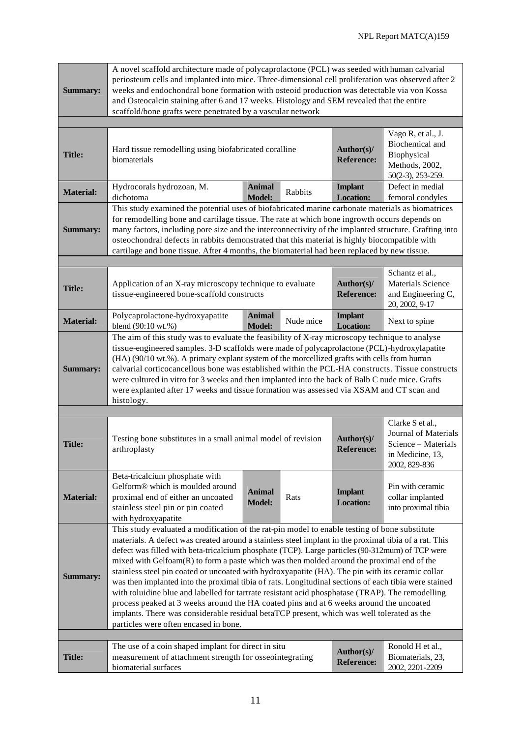| <b>Summary:</b>  | A novel scaffold architecture made of polycaprolactone (PCL) was seeded with human calvarial<br>periosteum cells and implanted into mice. Three-dimensional cell proliferation was observed after 2<br>weeks and endochondral bone formation with osteoid production was detectable via von Kossa<br>and Osteocalcin staining after 6 and 17 weeks. Histology and SEM revealed that the entire<br>scaffold/bone grafts were penetrated by a vascular network                                                                                                                                                                                                                                                                                                                                                                                                                                                                                               |                                |           |                                    |                                                                                                      |  |
|------------------|------------------------------------------------------------------------------------------------------------------------------------------------------------------------------------------------------------------------------------------------------------------------------------------------------------------------------------------------------------------------------------------------------------------------------------------------------------------------------------------------------------------------------------------------------------------------------------------------------------------------------------------------------------------------------------------------------------------------------------------------------------------------------------------------------------------------------------------------------------------------------------------------------------------------------------------------------------|--------------------------------|-----------|------------------------------------|------------------------------------------------------------------------------------------------------|--|
|                  |                                                                                                                                                                                                                                                                                                                                                                                                                                                                                                                                                                                                                                                                                                                                                                                                                                                                                                                                                            |                                |           |                                    |                                                                                                      |  |
| <b>Title:</b>    | Hard tissue remodelling using biofabricated coralline<br>biomaterials                                                                                                                                                                                                                                                                                                                                                                                                                                                                                                                                                                                                                                                                                                                                                                                                                                                                                      |                                |           | Author(s)/<br><b>Reference:</b>    | Vago R, et al., J.<br>Biochemical and<br>Biophysical<br>Methods, 2002,<br>50(2-3), 253-259.          |  |
| <b>Material:</b> | Hydrocorals hydrozoan, M.<br>dichotoma                                                                                                                                                                                                                                                                                                                                                                                                                                                                                                                                                                                                                                                                                                                                                                                                                                                                                                                     | <b>Animal</b><br><b>Model:</b> | Rabbits   | <b>Implant</b><br><b>Location:</b> | Defect in medial<br>femoral condyles                                                                 |  |
| <b>Summary:</b>  | This study examined the potential uses of biofabricated marine carbonate materials as biomatrices<br>for remodelling bone and cartilage tissue. The rate at which bone ingrowth occurs depends on<br>many factors, including pore size and the interconnectivity of the implanted structure. Grafting into<br>osteochondral defects in rabbits demonstrated that this material is highly biocompatible with<br>cartilage and bone tissue. After 4 months, the biomaterial had been replaced by new tissue.                                                                                                                                                                                                                                                                                                                                                                                                                                                 |                                |           |                                    |                                                                                                      |  |
|                  |                                                                                                                                                                                                                                                                                                                                                                                                                                                                                                                                                                                                                                                                                                                                                                                                                                                                                                                                                            |                                |           |                                    |                                                                                                      |  |
| <b>Title:</b>    | Application of an X-ray microscopy technique to evaluate<br>tissue-engineered bone-scaffold constructs                                                                                                                                                                                                                                                                                                                                                                                                                                                                                                                                                                                                                                                                                                                                                                                                                                                     |                                |           | Author(s)/<br><b>Reference:</b>    | Schantz et al.,<br><b>Materials Science</b><br>and Engineering C,<br>20, 2002, 9-17                  |  |
| <b>Material:</b> | Polycaprolactone-hydroxyapatite<br>blend (90:10 wt.%)                                                                                                                                                                                                                                                                                                                                                                                                                                                                                                                                                                                                                                                                                                                                                                                                                                                                                                      | <b>Animal</b><br><b>Model:</b> | Nude mice | <b>Implant</b><br><b>Location:</b> | Next to spine                                                                                        |  |
| <b>Summary:</b>  | The aim of this study was to evaluate the feasibility of X-ray microscopy technique to analyse<br>tissue-engineered samples. 3-D scaffolds were made of polycaprolactone (PCL)-hydroxylapatite<br>(HA) (90/10 wt.%). A primary explant system of the morcellized grafts with cells from human<br>calvarial corticocancellous bone was established within the PCL-HA constructs. Tissue constructs<br>were cultured in vitro for 3 weeks and then implanted into the back of Balb C nude mice. Grafts<br>were explanted after 17 weeks and tissue formation was assessed via XSAM and CT scan and<br>histology.                                                                                                                                                                                                                                                                                                                                             |                                |           |                                    |                                                                                                      |  |
|                  |                                                                                                                                                                                                                                                                                                                                                                                                                                                                                                                                                                                                                                                                                                                                                                                                                                                                                                                                                            |                                |           |                                    |                                                                                                      |  |
| <b>Title:</b>    | Testing bone substitutes in a small animal model of revision<br>arthroplasty                                                                                                                                                                                                                                                                                                                                                                                                                                                                                                                                                                                                                                                                                                                                                                                                                                                                               |                                |           | Author(s)/<br><b>Reference:</b>    | Clarke S et al.,<br>Journal of Materials<br>Science - Materials<br>in Medicine, 13.<br>2002, 829-836 |  |
| <b>Material:</b> | Beta-tricalcium phosphate with<br>Gelform® which is moulded around<br>proximal end of either an uncoated<br>stainless steel pin or pin coated<br>with hydroxyapatite                                                                                                                                                                                                                                                                                                                                                                                                                                                                                                                                                                                                                                                                                                                                                                                       | <b>Animal</b><br><b>Model:</b> | Rats      | <b>Implant</b><br><b>Location:</b> | Pin with ceramic<br>collar implanted<br>into proximal tibia                                          |  |
| <b>Summary:</b>  | This study evaluated a modification of the rat-pin model to enable testing of bone substitute<br>materials. A defect was created around a stainless steel implant in the proximal tibia of a rat. This<br>defect was filled with beta-tricalcium phosphate (TCP). Large particles (90-312mum) of TCP were<br>mixed with $Gelfoam(R)$ to form a paste which was then molded around the proximal end of the<br>stainless steel pin coated or uncoated with hydroxyapatite (HA). The pin with its ceramic collar<br>was then implanted into the proximal tibia of rats. Longitudinal sections of each tibia were stained<br>with toluidine blue and labelled for tartrate resistant acid phosphatase (TRAP). The remodelling<br>process peaked at 3 weeks around the HA coated pins and at 6 weeks around the uncoated<br>implants. There was considerable residual betaTCP present, which was well tolerated as the<br>particles were often encased in bone. |                                |           |                                    |                                                                                                      |  |
|                  | The use of a coin shaped implant for direct in situ                                                                                                                                                                                                                                                                                                                                                                                                                                                                                                                                                                                                                                                                                                                                                                                                                                                                                                        |                                |           | Author(s)/                         | Ronold H et al.,                                                                                     |  |
| <b>Title:</b>    | measurement of attachment strength for osseointegrating<br>biomaterial surfaces                                                                                                                                                                                                                                                                                                                                                                                                                                                                                                                                                                                                                                                                                                                                                                                                                                                                            |                                |           | <b>Reference:</b>                  | Biomaterials, 23,<br>2002, 2201-2209                                                                 |  |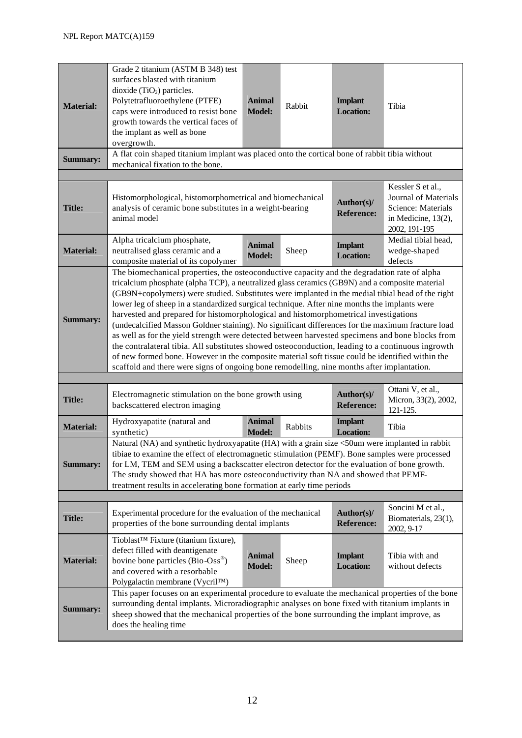| <b>Material:</b> | Grade 2 titanium (ASTM B 348) test<br>surfaces blasted with titanium<br>dioxide $(TiO2)$ particles.<br>Polytetrafluoroethylene (PTFE)<br>caps were introduced to resist bone<br>growth towards the vertical faces of<br>the implant as well as bone<br>overgrowth.                                                                                                                                                                                                                                                                                                                                                                                                                                                                                                                                                                                                                                                                                                                                          | <b>Animal</b><br><b>Model:</b> | Rabbit  | <b>Implant</b><br><b>Location:</b> | Tibia                                                                                                      |  |
|------------------|-------------------------------------------------------------------------------------------------------------------------------------------------------------------------------------------------------------------------------------------------------------------------------------------------------------------------------------------------------------------------------------------------------------------------------------------------------------------------------------------------------------------------------------------------------------------------------------------------------------------------------------------------------------------------------------------------------------------------------------------------------------------------------------------------------------------------------------------------------------------------------------------------------------------------------------------------------------------------------------------------------------|--------------------------------|---------|------------------------------------|------------------------------------------------------------------------------------------------------------|--|
| <b>Summary:</b>  | A flat coin shaped titanium implant was placed onto the cortical bone of rabbit tibia without<br>mechanical fixation to the bone.                                                                                                                                                                                                                                                                                                                                                                                                                                                                                                                                                                                                                                                                                                                                                                                                                                                                           |                                |         |                                    |                                                                                                            |  |
|                  |                                                                                                                                                                                                                                                                                                                                                                                                                                                                                                                                                                                                                                                                                                                                                                                                                                                                                                                                                                                                             |                                |         |                                    |                                                                                                            |  |
| <b>Title:</b>    | Histomorphological, histomorphometrical and biomechanical<br>analysis of ceramic bone substitutes in a weight-bearing<br>animal model                                                                                                                                                                                                                                                                                                                                                                                                                                                                                                                                                                                                                                                                                                                                                                                                                                                                       |                                |         | Author(s)/<br><b>Reference:</b>    | Kessler S et al.,<br>Journal of Materials<br>Science: Materials<br>in Medicine, $13(2)$ ,<br>2002, 191-195 |  |
| <b>Material:</b> | Alpha tricalcium phosphate,<br>neutralised glass ceramic and a<br>composite material of its copolymer                                                                                                                                                                                                                                                                                                                                                                                                                                                                                                                                                                                                                                                                                                                                                                                                                                                                                                       | <b>Animal</b><br><b>Model:</b> | Sheep   | <b>Implant</b><br><b>Location:</b> | Medial tibial head,<br>wedge-shaped<br>defects                                                             |  |
| <b>Summary:</b>  | The biomechanical properties, the osteoconductive capacity and the degradation rate of alpha<br>tricalcium phosphate (alpha TCP), a neutralized glass ceramics (GB9N) and a composite material<br>(GB9N+copolymers) were studied. Substitutes were implanted in the medial tibial head of the right<br>lower leg of sheep in a standardized surgical technique. After nine months the implants were<br>harvested and prepared for histomorphological and histomorphometrical investigations<br>(undecalcified Masson Goldner staining). No significant differences for the maximum fracture load<br>as well as for the yield strength were detected between harvested specimens and bone blocks from<br>the contralateral tibia. All substitutes showed osteoconduction, leading to a continuous ingrowth<br>of new formed bone. However in the composite material soft tissue could be identified within the<br>scaffold and there were signs of ongoing bone remodelling, nine months after implantation. |                                |         |                                    |                                                                                                            |  |
| <b>Title:</b>    | Electromagnetic stimulation on the bone growth using<br>backscattered electron imaging                                                                                                                                                                                                                                                                                                                                                                                                                                                                                                                                                                                                                                                                                                                                                                                                                                                                                                                      |                                |         | Author(s)/<br><b>Reference:</b>    | Ottani V, et al.,<br>Micron, 33(2), 2002,<br>121-125.                                                      |  |
| <b>Material:</b> | Hydroxyapatite (natural and<br>synthetic)                                                                                                                                                                                                                                                                                                                                                                                                                                                                                                                                                                                                                                                                                                                                                                                                                                                                                                                                                                   | <b>Animal</b><br><b>Model:</b> | Rabbits | <b>Implant</b><br><b>Location:</b> | Tibia                                                                                                      |  |
| <b>Summary:</b>  | Natural (NA) and synthetic hydroxyapatite (HA) with a grain size <50um were implanted in rabbit<br>tibiae to examine the effect of electromagnetic stimulation (PEMF). Bone samples were processed<br>for LM, TEM and SEM using a backscatter electron detector for the evaluation of bone growth.<br>The study showed that HA has more osteoconductivity than NA and showed that PEMF-<br>treatment results in accelerating bone formation at early time periods                                                                                                                                                                                                                                                                                                                                                                                                                                                                                                                                           |                                |         |                                    |                                                                                                            |  |
| <b>Title:</b>    | Experimental procedure for the evaluation of the mechanical<br>properties of the bone surrounding dental implants                                                                                                                                                                                                                                                                                                                                                                                                                                                                                                                                                                                                                                                                                                                                                                                                                                                                                           |                                |         | Author(s)/<br><b>Reference:</b>    | Soncini M et al.,<br>Biomaterials, 23(1),<br>2002, 9-17                                                    |  |
| <b>Material:</b> | Tioblast™ Fixture (titanium fixture),<br>defect filled with deantigenate<br>bovine bone particles (Bio-Oss <sup>®</sup> )<br>and covered with a resorbable<br>Polygalactin membrane (Vycril <sup>TM</sup> )                                                                                                                                                                                                                                                                                                                                                                                                                                                                                                                                                                                                                                                                                                                                                                                                 | <b>Animal</b><br><b>Model:</b> | Sheep   | <b>Implant</b><br><b>Location:</b> | Tibia with and<br>without defects                                                                          |  |
| <b>Summary:</b>  | This paper focuses on an experimental procedure to evaluate the mechanical properties of the bone<br>surrounding dental implants. Microradiographic analyses on bone fixed with titanium implants in<br>sheep showed that the mechanical properties of the bone surrounding the implant improve, as<br>does the healing time                                                                                                                                                                                                                                                                                                                                                                                                                                                                                                                                                                                                                                                                                |                                |         |                                    |                                                                                                            |  |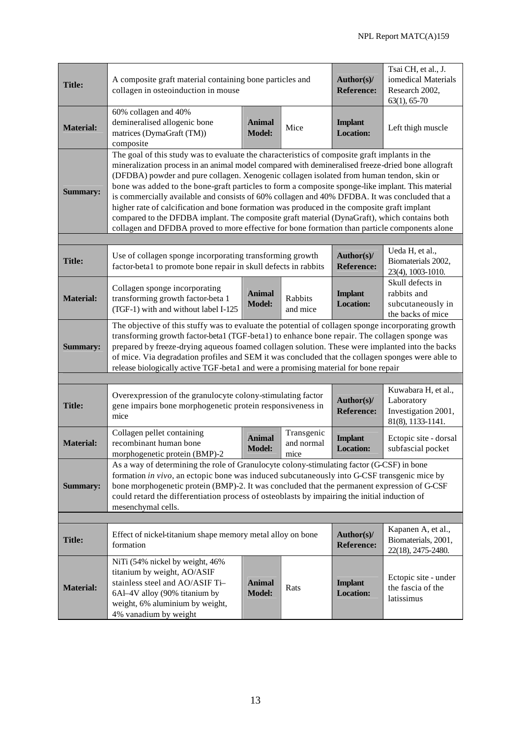| <b>Title:</b>    | A composite graft material containing bone particles and<br>collagen in osteoinduction in mouse                                                                                                                                                                                                                                                                                                                                                                                                                                                                                                                                                                                                                                                                                                      | Author(s)/<br><b>Reference:</b> | Tsai CH, et al., J.<br>iomedical Materials<br>Research 2002,<br>$63(1), 65-70$ |                                    |                                                                               |  |
|------------------|------------------------------------------------------------------------------------------------------------------------------------------------------------------------------------------------------------------------------------------------------------------------------------------------------------------------------------------------------------------------------------------------------------------------------------------------------------------------------------------------------------------------------------------------------------------------------------------------------------------------------------------------------------------------------------------------------------------------------------------------------------------------------------------------------|---------------------------------|--------------------------------------------------------------------------------|------------------------------------|-------------------------------------------------------------------------------|--|
| <b>Material:</b> | 60% collagen and 40%<br>demineralised allogenic bone<br>matrices (DymaGraft (TM))<br>composite                                                                                                                                                                                                                                                                                                                                                                                                                                                                                                                                                                                                                                                                                                       | <b>Animal</b><br><b>Model:</b>  | Mice                                                                           | <b>Implant</b><br><b>Location:</b> | Left thigh muscle                                                             |  |
| <b>Summary:</b>  | The goal of this study was to evaluate the characteristics of composite graft implants in the<br>mineralization process in an animal model compared with demineralised freeze-dried bone allograft<br>(DFDBA) powder and pure collagen. Xenogenic collagen isolated from human tendon, skin or<br>bone was added to the bone-graft particles to form a composite sponge-like implant. This material<br>is commercially available and consists of 60% collagen and 40% DFDBA. It was concluded that a<br>higher rate of calcification and bone formation was produced in the composite graft implant<br>compared to the DFDBA implant. The composite graft material (DynaGraft), which contains both<br>collagen and DFDBA proved to more effective for bone formation than particle components alone |                                 |                                                                                |                                    |                                                                               |  |
| <b>Title:</b>    | Use of collagen sponge incorporating transforming growth<br>factor-beta1 to promote bone repair in skull defects in rabbits                                                                                                                                                                                                                                                                                                                                                                                                                                                                                                                                                                                                                                                                          |                                 |                                                                                | Author(s)/<br><b>Reference:</b>    | Ueda H, et al.,<br>Biomaterials 2002,<br>23(4), 1003-1010.                    |  |
| <b>Material:</b> | Collagen sponge incorporating<br>transforming growth factor-beta 1<br>(TGF-1) with and without label I-125                                                                                                                                                                                                                                                                                                                                                                                                                                                                                                                                                                                                                                                                                           | <b>Animal</b><br><b>Model:</b>  | Rabbits<br>and mice                                                            | <b>Implant</b><br><b>Location:</b> | Skull defects in<br>rabbits and<br>subcutaneously in<br>the backs of mice     |  |
| <b>Summary:</b>  | The objective of this stuffy was to evaluate the potential of collagen sponge incorporating growth<br>transforming growth factor-betal (TGF-betal) to enhance bone repair. The collagen sponge was<br>prepared by freeze-drying aqueous foamed collagen solution. These were implanted into the backs<br>of mice. Via degradation profiles and SEM it was concluded that the collagen sponges were able to<br>release biologically active TGF-beta1 and were a promising material for bone repair                                                                                                                                                                                                                                                                                                    |                                 |                                                                                |                                    |                                                                               |  |
|                  |                                                                                                                                                                                                                                                                                                                                                                                                                                                                                                                                                                                                                                                                                                                                                                                                      |                                 |                                                                                |                                    |                                                                               |  |
| <b>Title:</b>    | Overexpression of the granulocyte colony-stimulating factor<br>gene impairs bone morphogenetic protein responsiveness in<br>mice                                                                                                                                                                                                                                                                                                                                                                                                                                                                                                                                                                                                                                                                     |                                 |                                                                                | Author(s)/<br><b>Reference:</b>    | Kuwabara H, et al.,<br>Laboratory<br>Investigation 2001,<br>81(8), 1133-1141. |  |
| <b>Material:</b> | Collagen pellet containing<br>recombinant human bone<br>morphogenetic protein (BMP)-2 mice                                                                                                                                                                                                                                                                                                                                                                                                                                                                                                                                                                                                                                                                                                           | <b>Animal</b><br><b>Model:</b>  | Transgenic<br>and normal                                                       | <b>Implant</b><br><b>Location:</b> | Ectopic site - dorsal<br>subfascial pocket                                    |  |
| <b>Summary:</b>  | As a way of determining the role of Granulocyte colony-stimulating factor (G-CSF) in bone<br>formation in vivo, an ectopic bone was induced subcutaneously into G-CSF transgenic mice by<br>bone morphogenetic protein (BMP)-2. It was concluded that the permanent expression of G-CSF<br>could retard the differentiation process of osteoblasts by impairing the initial induction of<br>mesenchymal cells.                                                                                                                                                                                                                                                                                                                                                                                       |                                 |                                                                                |                                    |                                                                               |  |
|                  |                                                                                                                                                                                                                                                                                                                                                                                                                                                                                                                                                                                                                                                                                                                                                                                                      |                                 |                                                                                |                                    |                                                                               |  |
| <b>Title:</b>    | Effect of nickel-titanium shape memory metal alloy on bone<br>formation                                                                                                                                                                                                                                                                                                                                                                                                                                                                                                                                                                                                                                                                                                                              |                                 |                                                                                | Author(s)/<br><b>Reference:</b>    | Kapanen A, et al.,<br>Biomaterials, 2001,<br>22(18), 2475-2480.               |  |
| <b>Material:</b> | NiTi (54% nickel by weight, 46%<br>titanium by weight, AO/ASIF<br>stainless steel and AO/ASIF Ti-<br>6Al-4V alloy (90% titanium by<br>weight, 6% aluminium by weight,<br>4% vanadium by weight                                                                                                                                                                                                                                                                                                                                                                                                                                                                                                                                                                                                       | <b>Animal</b><br><b>Model:</b>  | Rats                                                                           | <b>Implant</b><br><b>Location:</b> | Ectopic site - under<br>the fascia of the<br>latissimus                       |  |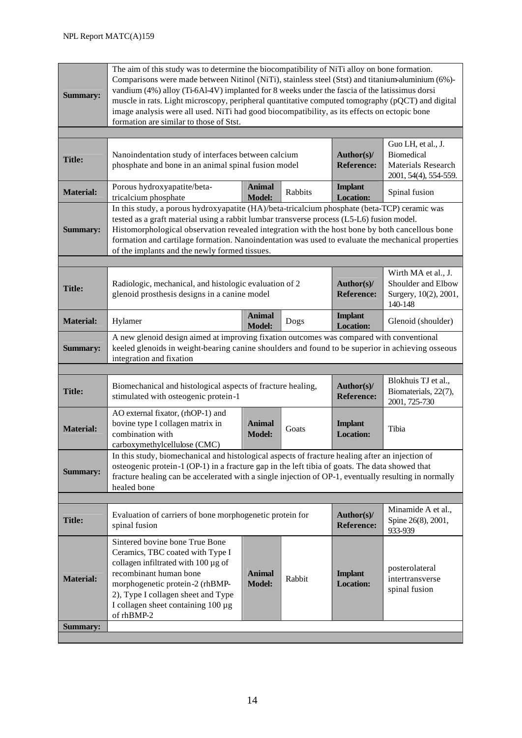| <b>Summary:</b>                     | The aim of this study was to determine the biocompatibility of NiTi alloy on bone formation.<br>Comparisons were made between Nitinol (NiTi), stainless steel (Stst) and titanium-aluminium (6%)-<br>vandium (4%) alloy (Ti-6Al-4V) implanted for 8 weeks under the fascia of the latissimus dorsi<br>muscle in rats. Light microscopy, peripheral quantitative computed tomography (pQCT) and digital<br>image analysis were all used. NiTi had good biocompatibility, as its effects on ectopic bone<br>formation are similar to those of Stst. |                                |         |                                    |                                                                                        |  |  |
|-------------------------------------|---------------------------------------------------------------------------------------------------------------------------------------------------------------------------------------------------------------------------------------------------------------------------------------------------------------------------------------------------------------------------------------------------------------------------------------------------------------------------------------------------------------------------------------------------|--------------------------------|---------|------------------------------------|----------------------------------------------------------------------------------------|--|--|
|                                     |                                                                                                                                                                                                                                                                                                                                                                                                                                                                                                                                                   |                                |         |                                    |                                                                                        |  |  |
| <b>Title:</b>                       | Nanoindentation study of interfaces between calcium<br>phosphate and bone in an animal spinal fusion model                                                                                                                                                                                                                                                                                                                                                                                                                                        |                                |         | Author(s)/<br><b>Reference:</b>    | Guo LH, et al., J.<br><b>Biomedical</b><br>Materials Research<br>2001, 54(4), 554-559. |  |  |
| <b>Material:</b>                    | Porous hydroxyapatite/beta-<br>tricalcium phosphate                                                                                                                                                                                                                                                                                                                                                                                                                                                                                               | <b>Animal</b><br><b>Model:</b> | Rabbits | <b>Implant</b><br><b>Location:</b> | Spinal fusion                                                                          |  |  |
| <b>Summary:</b>                     | In this study, a porous hydroxyapatite (HA)/beta-tricalcium phosphate (beta-TCP) ceramic was<br>tested as a graft material using a rabbit lumbar transverse process (L5-L6) fusion model.<br>Histomorphological observation revealed integration with the host bone by both cancellous bone<br>formation and cartilage formation. Nanoindentation was used to evaluate the mechanical properties<br>of the implants and the newly formed tissues.                                                                                                 |                                |         |                                    |                                                                                        |  |  |
|                                     |                                                                                                                                                                                                                                                                                                                                                                                                                                                                                                                                                   |                                |         |                                    |                                                                                        |  |  |
| <b>Title:</b>                       | Radiologic, mechanical, and histologic evaluation of 2<br>glenoid prosthesis designs in a canine model                                                                                                                                                                                                                                                                                                                                                                                                                                            |                                |         | Author(s)/<br><b>Reference:</b>    | Wirth MA et al., J.<br>Shoulder and Elbow<br>Surgery, 10(2), 2001,<br>140-148          |  |  |
| <b>Material:</b>                    | Hylamer                                                                                                                                                                                                                                                                                                                                                                                                                                                                                                                                           | <b>Animal</b><br><b>Model:</b> | Dogs    | <b>Implant</b><br><b>Location:</b> | Glenoid (shoulder)                                                                     |  |  |
| <b>Summary:</b>                     | A new glenoid design aimed at improving fixation outcomes was compared with conventional<br>keeled glenoids in weight-bearing canine shoulders and found to be superior in achieving osseous<br>integration and fixation                                                                                                                                                                                                                                                                                                                          |                                |         |                                    |                                                                                        |  |  |
|                                     |                                                                                                                                                                                                                                                                                                                                                                                                                                                                                                                                                   |                                |         |                                    |                                                                                        |  |  |
| <b>Title:</b>                       | Biomechanical and histological aspects of fracture healing,<br>stimulated with osteogenic protein-1                                                                                                                                                                                                                                                                                                                                                                                                                                               |                                |         | Author(s)/<br><b>Reference:</b>    | Blokhuis TJ et al.,<br>Biomaterials, 22(7),<br>2001, 725-730                           |  |  |
| <b>Material:</b>                    | AO external fixator, (rhOP-1) and<br>bovine type I collagen matrix in<br>combination with<br>carboxymethylcellulose (CMC)                                                                                                                                                                                                                                                                                                                                                                                                                         | <b>Animal</b><br><b>Model:</b> | Goats   | <b>Implant</b><br><b>Location:</b> | Tibia                                                                                  |  |  |
| <b>Summary:</b>                     | In this study, biomechanical and histological aspects of fracture healing after an injection of<br>osteogenic protein-1 (OP-1) in a fracture gap in the left tibia of goats. The data showed that<br>fracture healing can be accelerated with a single injection of OP-1, eventually resulting in normally<br>healed bone                                                                                                                                                                                                                         |                                |         |                                    |                                                                                        |  |  |
|                                     |                                                                                                                                                                                                                                                                                                                                                                                                                                                                                                                                                   |                                |         |                                    |                                                                                        |  |  |
| <b>Title:</b>                       | Evaluation of carriers of bone morphogenetic protein for<br>spinal fusion                                                                                                                                                                                                                                                                                                                                                                                                                                                                         |                                |         | Author(s)/<br><b>Reference:</b>    | Minamide A et al.,<br>Spine 26(8), 2001,<br>933-939                                    |  |  |
| <b>Material:</b><br><b>Summary:</b> | Sintered bovine bone True Bone<br>Ceramics, TBC coated with Type I<br>collagen infiltrated with $100 \mu g$ of<br>recombinant human bone<br>morphogenetic protein-2 (rhBMP-<br>2), Type I collagen sheet and Type<br>I collagen sheet containing 100 µg<br>of rhBMP-2                                                                                                                                                                                                                                                                             | <b>Animal</b><br><b>Model:</b> | Rabbit  | <b>Implant</b><br><b>Location:</b> | posterolateral<br>intertransverse<br>spinal fusion                                     |  |  |
|                                     |                                                                                                                                                                                                                                                                                                                                                                                                                                                                                                                                                   |                                |         |                                    |                                                                                        |  |  |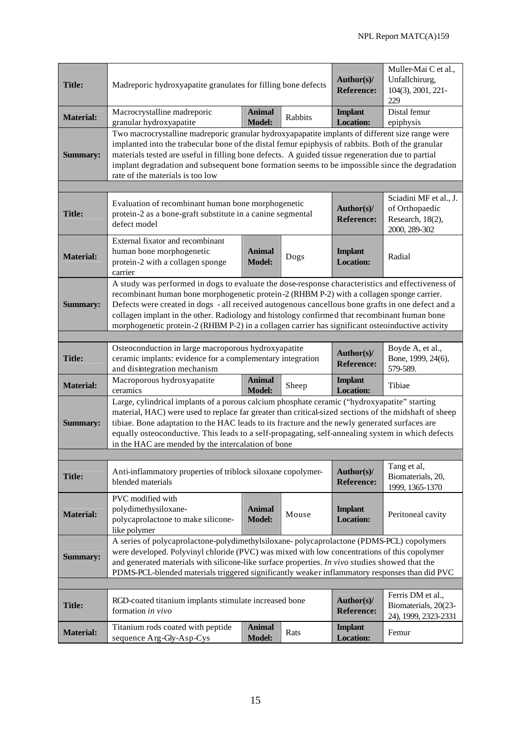| <b>Title:</b>    | Madreporic hydroxyapatite granulates for filling bone defects                                                                                                                                                                                                                                                                                                                                                                                                                                          | Author(s)/<br><b>Reference:</b> | Muller-Mai C et al.,<br>Unfallchirurg,<br>104(3), 2001, 221-<br>229           |                                    |                                                                   |
|------------------|--------------------------------------------------------------------------------------------------------------------------------------------------------------------------------------------------------------------------------------------------------------------------------------------------------------------------------------------------------------------------------------------------------------------------------------------------------------------------------------------------------|---------------------------------|-------------------------------------------------------------------------------|------------------------------------|-------------------------------------------------------------------|
| <b>Material:</b> | Macrocrystalline madreporic<br>granular hydroxyapatite                                                                                                                                                                                                                                                                                                                                                                                                                                                 | <b>Animal</b><br><b>Model:</b>  | Rabbits                                                                       | <b>Implant</b><br><b>Location:</b> | Distal femur<br>epiphysis                                         |
| <b>Summary:</b>  | Two macrocrystalline madreporic granular hydroxyapapatite implants of different size range were<br>implanted into the trabecular bone of the distal femur epiphysis of rabbits. Both of the granular<br>materials tested are useful in filling bone defects. A guided tissue regeneration due to partial<br>implant degradation and subsequent bone formation seems to be impossible since the degradation<br>rate of the materials is too low                                                         |                                 |                                                                               |                                    |                                                                   |
| <b>Title:</b>    | Evaluation of recombinant human bone morphogenetic<br>protein-2 as a bone-graft substitute in a canine segmental<br>defect model                                                                                                                                                                                                                                                                                                                                                                       | Author(s)/<br><b>Reference:</b> | Sciadini MF et al., J.<br>of Orthopaedic<br>Research, 18(2),<br>2000, 289-302 |                                    |                                                                   |
| <b>Material:</b> | External fixator and recombinant<br>human bone morphogenetic<br>protein-2 with a collagen sponge<br>carrier                                                                                                                                                                                                                                                                                                                                                                                            | <b>Animal</b><br><b>Model:</b>  | Dogs                                                                          | <b>Implant</b><br><b>Location:</b> | Radial                                                            |
| <b>Summary:</b>  | A study was performed in dogs to evaluate the dose-response characteristics and effectiveness of<br>recombinant human bone morphogenetic protein-2 (RHBM P-2) with a collagen sponge carrier.<br>Defects were created in dogs - all received autogenous cancellous bone grafts in one defect and a<br>collagen implant in the other. Radiology and histology confirmed that recombinant human bone<br>morphogenetic protein-2 (RHBM P-2) in a collagen carrier has significant osteoinductive activity |                                 |                                                                               |                                    |                                                                   |
|                  | Osteoconduction in large macroporous hydroxyapatite                                                                                                                                                                                                                                                                                                                                                                                                                                                    |                                 |                                                                               | Author(s)/                         | Boyde A, et al.,                                                  |
| <b>Title:</b>    | ceramic implants: evidence for a complementary integration<br>and disintegration mechanism                                                                                                                                                                                                                                                                                                                                                                                                             |                                 |                                                                               | <b>Reference:</b>                  | Bone, 1999, 24(6),<br>579-589.                                    |
| <b>Material:</b> | Macroporous hydroxyapatite<br>ceramics                                                                                                                                                                                                                                                                                                                                                                                                                                                                 | <b>Animal</b><br><b>Model:</b>  | Sheep                                                                         | <b>Implant</b><br><b>Location:</b> | Tibiae                                                            |
| <b>Summary:</b>  | Large, cylindrical implants of a porous calcium phosphate ceramic ("hydroxyapatite" starting<br>material, HAC) were used to replace far greater than critical-sized sections of the midshaft of sheep<br>tibiae. Bone adaptation to the HAC leads to its fracture and the newly generated surfaces are<br>equally osteoconductive. This leads to a self-propagating, self-annealing system in which defects<br>in the HAC are mended by the intercalation of bone                                      |                                 |                                                                               |                                    |                                                                   |
| <b>Title:</b>    | Anti-inflammatory properties of triblock siloxane copolymer-<br>blended materials                                                                                                                                                                                                                                                                                                                                                                                                                      |                                 |                                                                               | Author(s)/<br><b>Reference:</b>    | Tang et al,<br>Biomaterials, 20,<br>1999, 1365-1370               |
| <b>Material:</b> | PVC modified with<br>polydimethysiloxane-<br>polycaprolactone to make silicone-<br>like polymer                                                                                                                                                                                                                                                                                                                                                                                                        | <b>Animal</b><br><b>Model:</b>  | Mouse                                                                         | <b>Implant</b><br><b>Location:</b> | Peritoneal cavity                                                 |
| <b>Summary:</b>  | A series of polycaprolactone-polydimethylsiloxane-polycaprolactone (PDMS-PCL) copolymers<br>were developed. Polyvinyl chloride (PVC) was mixed with low concentrations of this copolymer<br>and generated materials with silicone-like surface properties. In vivo studies showed that the<br>PDMS-PCL-blended materials triggered significantly weaker inflammatory responses than did PVC                                                                                                            |                                 |                                                                               |                                    |                                                                   |
| <b>Title:</b>    | RGD-coated titanium implants stimulate increased bone<br>formation in vivo                                                                                                                                                                                                                                                                                                                                                                                                                             |                                 |                                                                               | Author(s)/<br><b>Reference:</b>    | Ferris DM et al.,<br>Biomaterials, 20(23-<br>24), 1999, 2323-2331 |
| <b>Material:</b> | Titanium rods coated with peptide<br>sequence Arg-Gly-Asp-Cys                                                                                                                                                                                                                                                                                                                                                                                                                                          | <b>Animal</b><br><b>Model:</b>  | Rats                                                                          | <b>Implant</b><br><b>Location:</b> | Femur                                                             |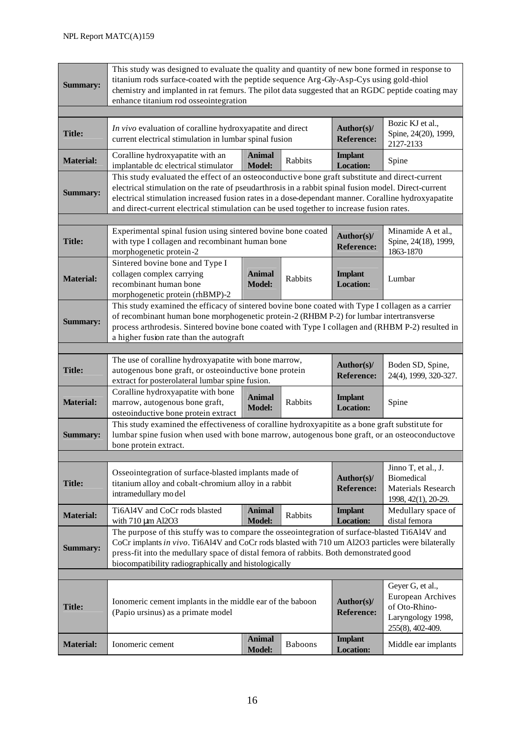| <b>Summary:</b>  | This study was designed to evaluate the quality and quantity of new bone formed in response to<br>titanium rods surface-coated with the peptide sequence Arg-Gly-Asp-Cys using gold-thiol<br>chemistry and implanted in rat femurs. The pilot data suggested that an RGDC peptide coating may<br>enhance titanium rod osseointegration                                                                   |                                |                |                                    |                                                                                       |  |
|------------------|----------------------------------------------------------------------------------------------------------------------------------------------------------------------------------------------------------------------------------------------------------------------------------------------------------------------------------------------------------------------------------------------------------|--------------------------------|----------------|------------------------------------|---------------------------------------------------------------------------------------|--|
| <b>Title:</b>    | In vivo evaluation of coralline hydroxyapatite and direct<br>current electrical stimulation in lumbar spinal fusion                                                                                                                                                                                                                                                                                      |                                |                | Author(s)/<br><b>Reference:</b>    | Bozic KJ et al.,<br>Spine, 24(20), 1999,<br>2127-2133                                 |  |
| <b>Material:</b> | Coralline hydroxyapatite with an<br>implantable dc electrical stimulator                                                                                                                                                                                                                                                                                                                                 | <b>Animal</b><br><b>Model:</b> | Rabbits        | <b>Implant</b><br><b>Location:</b> | Spine                                                                                 |  |
| <b>Summary:</b>  | This study evaluated the effect of an osteoconductive bone graft substitute and direct-current<br>electrical stimulation on the rate of pseudarthrosis in a rabbit spinal fusion model. Direct-current<br>electrical stimulation increased fusion rates in a dose-dependant manner. Coralline hydroxyapatite<br>and direct-current electrical stimulation can be used together to increase fusion rates. |                                |                |                                    |                                                                                       |  |
| <b>Title:</b>    | Experimental spinal fusion using sintered bovine bone coated<br>Minamide A et al.,<br>Author(s)/<br>with type I collagen and recombinant human bone<br>Spine, 24(18), 1999,<br><b>Reference:</b><br>1863-1870<br>morphogenetic protein-2                                                                                                                                                                 |                                |                |                                    |                                                                                       |  |
| <b>Material:</b> | Sintered bovine bone and Type I<br>collagen complex carrying<br>recombinant human bone<br>morphogenetic protein (rhBMP)-2                                                                                                                                                                                                                                                                                | <b>Animal</b><br><b>Model:</b> | Rabbits        | <b>Implant</b><br><b>Location:</b> | Lumbar                                                                                |  |
| <b>Summary:</b>  | This study examined the efficacy of sintered bovine bone coated with Type I collagen as a carrier<br>of recombinant human bone morphogenetic protein-2 (RHBM P-2) for lumbar intertransverse<br>process arthrodesis. Sintered bovine bone coated with Type I collagen and (RHBM P-2) resulted in<br>a higher fusion rate than the autograft                                                              |                                |                |                                    |                                                                                       |  |
|                  |                                                                                                                                                                                                                                                                                                                                                                                                          |                                |                |                                    |                                                                                       |  |
| <b>Title:</b>    | The use of coralline hydroxyapatite with bone marrow,<br>autogenous bone graft, or osteoinductive bone protein<br>extract for posterolateral lumbar spine fusion.                                                                                                                                                                                                                                        |                                |                | Author(s)/<br><b>Reference:</b>    | Boden SD, Spine,<br>24(4), 1999, 320-327.                                             |  |
| <b>Material:</b> | Coralline hydroxyapatite with bone<br>marrow, autogenous bone graft,<br>osteoinductive bone protein extract                                                                                                                                                                                                                                                                                              | <b>Animal</b><br><b>Model:</b> | Rabbits        | <b>Implant</b><br><b>Location:</b> | Spine                                                                                 |  |
| <b>Summary:</b>  | This study examined the effectiveness of coralline hydroxyapitite as a bone graft substitute for<br>lumbar spine fusion when used with bone marrow, autogenous bone graft, or an osteoconductove<br>bone protein extract.                                                                                                                                                                                |                                |                |                                    |                                                                                       |  |
|                  |                                                                                                                                                                                                                                                                                                                                                                                                          |                                |                |                                    |                                                                                       |  |
| <b>Title:</b>    | Osseointegration of surface-blasted implants made of<br>titanium alloy and cobalt-chromium alloy in a rabbit<br>intramedullary model                                                                                                                                                                                                                                                                     |                                |                | Author(s)/<br><b>Reference:</b>    | Jinno T, et al., J.<br><b>Biomedical</b><br>Materials Research<br>1998, 42(1), 20-29. |  |
| <b>Material:</b> | Ti6Al4V and CoCr rods blasted<br>with 710 µm Al2O3                                                                                                                                                                                                                                                                                                                                                       | <b>Animal</b><br><b>Model:</b> | Rabbits        | <b>Implant</b><br><b>Location:</b> | Medullary space of<br>distal femora                                                   |  |
| <b>Summary:</b>  | The purpose of this stuffy was to compare the osseointegration of surface-blasted Ti6Al4V and<br>CoCr implants in vivo. Ti6Al4V and CoCr rods blasted with 710 um Al2O3 particles were bilaterally<br>press-fit into the medullary space of distal femora of rabbits. Both demonstrated good<br>biocompatibility radiographically and histologically                                                     |                                |                |                                    |                                                                                       |  |
|                  |                                                                                                                                                                                                                                                                                                                                                                                                          |                                |                |                                    | Geyer G, et al.,                                                                      |  |
| <b>Title:</b>    | Ionomeric cement implants in the middle ear of the baboon<br>(Papio ursinus) as a primate model                                                                                                                                                                                                                                                                                                          |                                |                | Author(s)/<br><b>Reference:</b>    | <b>European Archives</b><br>of Oto-Rhino-<br>Laryngology 1998,<br>255(8), 402-409.    |  |
| <b>Material:</b> | Ionomeric cement                                                                                                                                                                                                                                                                                                                                                                                         | <b>Animal</b><br><b>Model:</b> | <b>Baboons</b> | <b>Implant</b><br><b>Location:</b> | Middle ear implants                                                                   |  |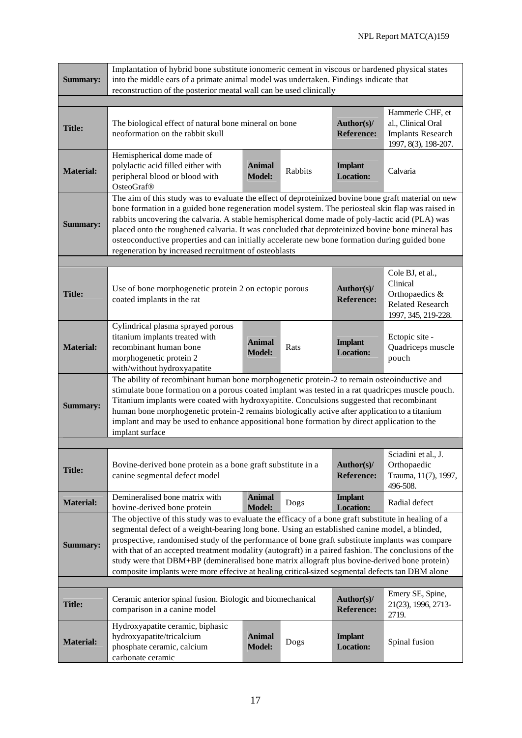|                  | Implantation of hybrid bone substitute ionomeric cement in viscous or hardened physical states                                                                                                                                                                                                                                                                                                                                                                                                                                                                                                                    |                                |         |                                    |                                                                                            |  |
|------------------|-------------------------------------------------------------------------------------------------------------------------------------------------------------------------------------------------------------------------------------------------------------------------------------------------------------------------------------------------------------------------------------------------------------------------------------------------------------------------------------------------------------------------------------------------------------------------------------------------------------------|--------------------------------|---------|------------------------------------|--------------------------------------------------------------------------------------------|--|
| <b>Summary:</b>  | into the middle ears of a primate animal model was undertaken. Findings indicate that<br>reconstruction of the posterior meatal wall can be used clinically                                                                                                                                                                                                                                                                                                                                                                                                                                                       |                                |         |                                    |                                                                                            |  |
|                  |                                                                                                                                                                                                                                                                                                                                                                                                                                                                                                                                                                                                                   |                                |         |                                    |                                                                                            |  |
| <b>Title:</b>    | The biological effect of natural bone mineral on bone<br>neoformation on the rabbit skull                                                                                                                                                                                                                                                                                                                                                                                                                                                                                                                         |                                |         | Author(s)/<br><b>Reference:</b>    | Hammerle CHF, et<br>al., Clinical Oral<br><b>Implants Research</b><br>1997, 8(3), 198-207. |  |
| <b>Material:</b> | Hemispherical dome made of<br>polylactic acid filled either with<br>peripheral blood or blood with<br>OsteoGraf <sup>®</sup>                                                                                                                                                                                                                                                                                                                                                                                                                                                                                      | Animal<br><b>Model:</b>        | Rabbits | <b>Implant</b><br><b>Location:</b> | Calvaria                                                                                   |  |
| <b>Summary:</b>  | The aim of this study was to evaluate the effect of deproteinized bovine bone graft material on new<br>bone formation in a guided bone regeneration model system. The periosteal skin flap was raised in<br>rabbits uncovering the calvaria. A stable hemispherical dome made of poly-lactic acid (PLA) was<br>placed onto the roughened calvaria. It was concluded that deproteinized bovine bone mineral has<br>osteoconductive properties and can initially accelerate new bone formation during guided bone<br>regeneration by increased recruitment of osteoblasts                                           |                                |         |                                    |                                                                                            |  |
|                  |                                                                                                                                                                                                                                                                                                                                                                                                                                                                                                                                                                                                                   |                                |         |                                    |                                                                                            |  |
| <b>Title:</b>    | Cole BJ, et al.,<br>Clinical<br>Author(s)/<br>Use of bone morphogenetic protein 2 on ectopic porous<br>Orthopaedics &<br>coated implants in the rat<br><b>Reference:</b><br><b>Related Research</b><br>1997, 345, 219-228.                                                                                                                                                                                                                                                                                                                                                                                        |                                |         |                                    |                                                                                            |  |
| <b>Material:</b> | Cylindrical plasma sprayed porous<br>titanium implants treated with<br>recombinant human bone<br>morphogenetic protein 2<br>with/without hydroxyapatite                                                                                                                                                                                                                                                                                                                                                                                                                                                           | <b>Animal</b><br><b>Model:</b> | Rats    | <b>Implant</b><br><b>Location:</b> | Ectopic site -<br>Quadriceps muscle<br>pouch                                               |  |
| <b>Summary:</b>  | The ability of recombinant human bone morphogenetic protein-2 to remain osteoinductive and<br>stimulate bone formation on a porous coated implant was tested in a rat quadricpes muscle pouch.<br>Titanium implants were coated with hydroxyapitite. Conculsions suggested that recombinant<br>human bone morphogenetic protein-2 remains biologically active after application to a titanium<br>implant and may be used to enhance appositional bone formation by direct application to the<br>implant surface                                                                                                   |                                |         |                                    |                                                                                            |  |
|                  |                                                                                                                                                                                                                                                                                                                                                                                                                                                                                                                                                                                                                   |                                |         |                                    |                                                                                            |  |
| <b>Title:</b>    | Bovine-derived bone protein as a bone graft substitute in a<br>canine segmental defect model                                                                                                                                                                                                                                                                                                                                                                                                                                                                                                                      |                                |         | Author(s)/<br><b>Reference:</b>    | Sciadini et al., J.<br>Orthopaedic<br>Trauma, 11(7), 1997,<br>496-508.                     |  |
| <b>Material:</b> | Demineralised bone matrix with<br>bovine-derived bone protein                                                                                                                                                                                                                                                                                                                                                                                                                                                                                                                                                     | <b>Animal</b><br><b>Model:</b> | Dogs    | <b>Implant</b><br><b>Location:</b> | Radial defect                                                                              |  |
| <b>Summary:</b>  | The objective of this study was to evaluate the efficacy of a bone graft substitute in healing of a<br>segmental defect of a weight-bearing long bone. Using an established canine model, a blinded,<br>prospective, randomised study of the performance of bone graft substitute implants was compare<br>with that of an accepted treatment modality (autograft) in a paired fashion. The conclusions of the<br>study were that DBM+BP (demineralised bone matrix allograft plus bovine-derived bone protein)<br>composite implants were more effecive at healing critical-sized segmental defects tan DBM alone |                                |         |                                    |                                                                                            |  |
|                  |                                                                                                                                                                                                                                                                                                                                                                                                                                                                                                                                                                                                                   |                                |         |                                    | Emery SE, Spine,                                                                           |  |
| <b>Title:</b>    | Ceramic anterior spinal fusion. Biologic and biomechanical<br>comparison in a canine model                                                                                                                                                                                                                                                                                                                                                                                                                                                                                                                        |                                |         | Author(s)/<br><b>Reference:</b>    | 21(23), 1996, 2713-<br>2719.                                                               |  |
| <b>Material:</b> | Hydroxyapatite ceramic, biphasic<br>hydroxyapatite/tricalcium<br>phosphate ceramic, calcium<br>carbonate ceramic                                                                                                                                                                                                                                                                                                                                                                                                                                                                                                  | <b>Animal</b><br><b>Model:</b> | Dogs    | <b>Implant</b><br><b>Location:</b> | Spinal fusion                                                                              |  |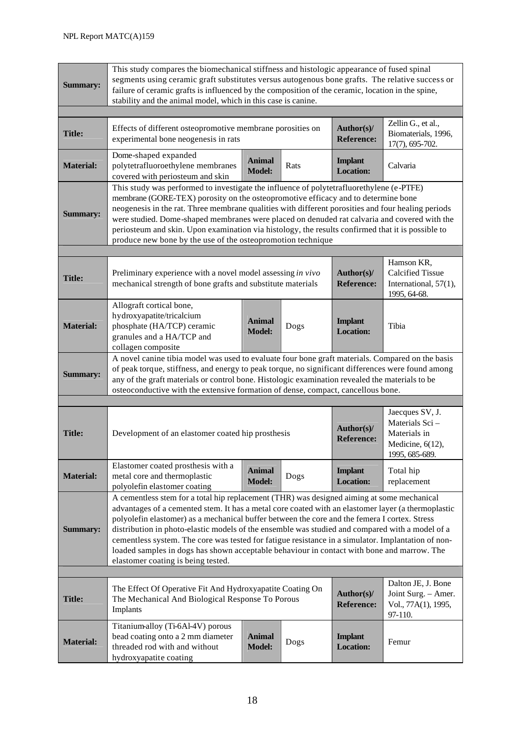| <b>Summary:</b>  | This study compares the biomechanical stiffness and histologic appearance of fused spinal<br>segments using ceramic graft substitutes versus autogenous bone grafts. The relative success or<br>failure of ceramic grafts is influenced by the composition of the ceramic, location in the spine,<br>stability and the animal model, which in this case is canine.                                                                                                                                                                                                                                                                             |                                    |          |                                    |                                                                                         |  |
|------------------|------------------------------------------------------------------------------------------------------------------------------------------------------------------------------------------------------------------------------------------------------------------------------------------------------------------------------------------------------------------------------------------------------------------------------------------------------------------------------------------------------------------------------------------------------------------------------------------------------------------------------------------------|------------------------------------|----------|------------------------------------|-----------------------------------------------------------------------------------------|--|
|                  |                                                                                                                                                                                                                                                                                                                                                                                                                                                                                                                                                                                                                                                |                                    |          |                                    |                                                                                         |  |
| <b>Title:</b>    | Effects of different osteopromotive membrane porosities on<br>experimental bone neogenesis in rats                                                                                                                                                                                                                                                                                                                                                                                                                                                                                                                                             |                                    |          | Author(s)/<br><b>Reference:</b>    | Zellin G., et al.,<br>Biomaterials, 1996,<br>17(7), 695-702.                            |  |
| <b>Material:</b> | Dome-shaped expanded<br>polytetrafluoroethylene membranes<br>covered with periosteum and skin                                                                                                                                                                                                                                                                                                                                                                                                                                                                                                                                                  | <b>Implant</b><br><b>Location:</b> | Calvaria |                                    |                                                                                         |  |
| <b>Summary:</b>  | This study was performed to investigate the influence of polytetrafluorethylene (e-PTFE)<br>membrane (GORE-TEX) porosity on the osteopromotive efficacy and to determine bone<br>neogenesis in the rat. Three membrane qualities with different porosities and four healing periods<br>were studied. Dome-shaped membranes were placed on denuded rat calvaria and covered with the<br>periosteum and skin. Upon examination via histology, the results confirmed that it is possible to<br>produce new bone by the use of the osteopromotion technique                                                                                        |                                    |          |                                    |                                                                                         |  |
|                  |                                                                                                                                                                                                                                                                                                                                                                                                                                                                                                                                                                                                                                                |                                    |          |                                    |                                                                                         |  |
| <b>Title:</b>    | Preliminary experience with a novel model assessing in vivo<br>Author(s)/<br>mechanical strength of bone grafts and substitute materials<br><b>Reference:</b>                                                                                                                                                                                                                                                                                                                                                                                                                                                                                  |                                    |          |                                    | Hamson KR,<br><b>Calcified Tissue</b><br>International, 57(1),<br>1995, 64-68.          |  |
| <b>Material:</b> | Allograft cortical bone,<br>hydroxyapatite/tricalcium<br>phosphate (HA/TCP) ceramic<br>granules and a HA/TCP and<br>collagen composite                                                                                                                                                                                                                                                                                                                                                                                                                                                                                                         | Animal<br><b>Model:</b>            | Dogs     | <b>Implant</b><br><b>Location:</b> | Tibia                                                                                   |  |
| <b>Summary:</b>  | A novel canine tibia model was used to evaluate four bone graft materials. Compared on the basis<br>of peak torque, stiffness, and energy to peak torque, no significant differences were found among<br>any of the graft materials or control bone. Histologic examination revealed the materials to be<br>osteoconductive with the extensive formation of dense, compact, cancellous bone.                                                                                                                                                                                                                                                   |                                    |          |                                    |                                                                                         |  |
|                  |                                                                                                                                                                                                                                                                                                                                                                                                                                                                                                                                                                                                                                                |                                    |          |                                    |                                                                                         |  |
| <b>Title:</b>    | Development of an elastomer coated hip prosthesis                                                                                                                                                                                                                                                                                                                                                                                                                                                                                                                                                                                              |                                    |          | Author(s)/<br><b>Reference:</b>    | Jaecques SV, J.<br>Materials Sci-<br>Materials in<br>Medicine, 6(12),<br>1995, 685-689. |  |
| <b>Material:</b> | Elastomer coated prosthesis with a<br>metal core and thermoplastic<br>polyolefin elastomer coating                                                                                                                                                                                                                                                                                                                                                                                                                                                                                                                                             | <b>Animal</b><br><b>Model:</b>     | Dogs     | <b>Implant</b><br><b>Location:</b> | Total hip<br>replacement                                                                |  |
| <b>Summary:</b>  | A cementless stem for a total hip replacement (THR) was designed aiming at some mechanical<br>advantages of a cemented stem. It has a metal core coated with an elastomer layer (a thermoplastic<br>polyolefin elastomer) as a mechanical buffer between the core and the femera I cortex. Stress<br>distribution in photo-elastic models of the ensemble was studied and compared with a model of a<br>cementless system. The core was tested for fatigue resistance in a simulator. Implantation of non-<br>loaded samples in dogs has shown acceptable behaviour in contact with bone and marrow. The<br>elastomer coating is being tested. |                                    |          |                                    |                                                                                         |  |
|                  |                                                                                                                                                                                                                                                                                                                                                                                                                                                                                                                                                                                                                                                |                                    |          |                                    |                                                                                         |  |
| <b>Title:</b>    | The Effect Of Operative Fit And Hydroxyapatite Coating On<br>The Mechanical And Biological Response To Porous<br>Implants                                                                                                                                                                                                                                                                                                                                                                                                                                                                                                                      |                                    |          | Author(s)/<br><b>Reference:</b>    | Dalton JE, J. Bone<br>Joint Surg. - Amer.<br>Vol., 77A(1), 1995,<br>97-110.             |  |
| <b>Material:</b> | Titanium-alloy (Ti-6Al-4V) porous<br>bead coating onto a 2 mm diameter<br>threaded rod with and without<br>hydroxyapatite coating                                                                                                                                                                                                                                                                                                                                                                                                                                                                                                              | <b>Animal</b><br><b>Model:</b>     | Dogs     | <b>Implant</b><br><b>Location:</b> | Femur                                                                                   |  |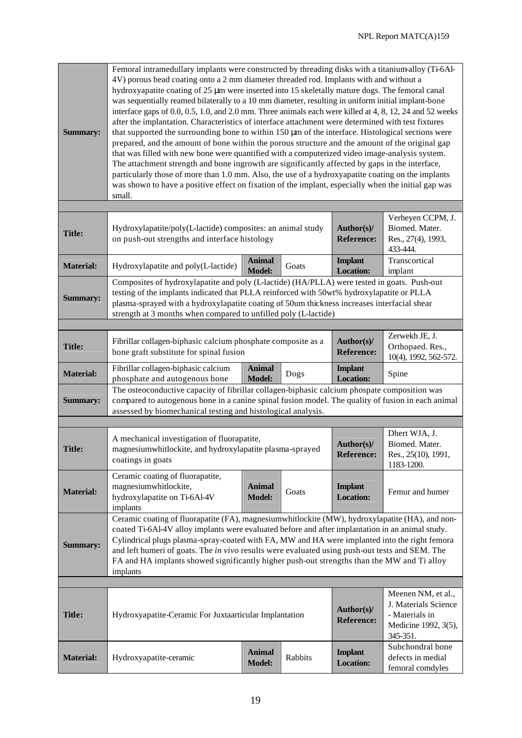| <b>Summary:</b>                                                                                                                                                                                                                                                                                                                                                                                                                                                                                                                      | Femoral intramedullary implants were constructed by threading disks with a titanium-alloy (Ti-6Al-<br>4V) porous bead coating onto a 2 mm diameter threaded rod. Implants with and without a<br>hydroxyapatite coating of 25 µm were inserted into 15 skeletally mature dogs. The femoral canal<br>was sequentially reamed bilaterally to a 10 mm diameter, resulting in uniform initial implant-bone<br>interface gaps of 0.0, 0.5, 1.0, and 2.0 mm. Three animals each were killed at 4, 8, 12, 24 and 52 weeks<br>after the implantation. Characteristics of interface attachment were determined with test fixtures<br>that supported the surrounding bone to within $150 \mu m$ of the interface. Histological sections were<br>prepared, and the amount of bone within the porous structure and the amount of the original gap<br>that was filled with new bone were quantified with a computerized video image-analysis system.<br>The attachment strength and bone ingrowth are significantly affected by gaps in the interface,<br>particularly those of more than 1.0 mm. Also, the use of a hydroxyapatite coating on the implants<br>was shown to have a positive effect on fixation of the implant, especially when the initial gap was<br>small. |                                |         |                                    |                                                                                                  |  |
|--------------------------------------------------------------------------------------------------------------------------------------------------------------------------------------------------------------------------------------------------------------------------------------------------------------------------------------------------------------------------------------------------------------------------------------------------------------------------------------------------------------------------------------|----------------------------------------------------------------------------------------------------------------------------------------------------------------------------------------------------------------------------------------------------------------------------------------------------------------------------------------------------------------------------------------------------------------------------------------------------------------------------------------------------------------------------------------------------------------------------------------------------------------------------------------------------------------------------------------------------------------------------------------------------------------------------------------------------------------------------------------------------------------------------------------------------------------------------------------------------------------------------------------------------------------------------------------------------------------------------------------------------------------------------------------------------------------------------------------------------------------------------------------------------------------|--------------------------------|---------|------------------------------------|--------------------------------------------------------------------------------------------------|--|
|                                                                                                                                                                                                                                                                                                                                                                                                                                                                                                                                      |                                                                                                                                                                                                                                                                                                                                                                                                                                                                                                                                                                                                                                                                                                                                                                                                                                                                                                                                                                                                                                                                                                                                                                                                                                                                |                                |         |                                    |                                                                                                  |  |
| <b>Title:</b>                                                                                                                                                                                                                                                                                                                                                                                                                                                                                                                        | Hydroxylapatite/poly(L-lactide) composites: an animal study<br>on push-out strengths and interface histology                                                                                                                                                                                                                                                                                                                                                                                                                                                                                                                                                                                                                                                                                                                                                                                                                                                                                                                                                                                                                                                                                                                                                   |                                |         | Author(s)/<br><b>Reference:</b>    | Verheyen CCPM, J.<br>Biomed. Mater.<br>Res., 27(4), 1993,<br>433-444.                            |  |
| <b>Material:</b>                                                                                                                                                                                                                                                                                                                                                                                                                                                                                                                     | Hydroxylapatite and poly(L-lactide)                                                                                                                                                                                                                                                                                                                                                                                                                                                                                                                                                                                                                                                                                                                                                                                                                                                                                                                                                                                                                                                                                                                                                                                                                            | <b>Animal</b><br><b>Model:</b> | Goats   | <b>Implant</b><br><b>Location:</b> | Transcortical<br>implant                                                                         |  |
| <b>Summary:</b>                                                                                                                                                                                                                                                                                                                                                                                                                                                                                                                      | Composites of hydroxylapatite and poly (L-lactide) (HA/PLLA) were tested in goats. Push-out<br>testing of the implants indicated that PLLA reinforced with 50wt% hydroxylapatite or PLLA<br>plasma-sprayed with a hydroxylapatite coating of 50um thickness increases interfacial shear<br>strength at 3 months when compared to unfilled poly (L-lactide)                                                                                                                                                                                                                                                                                                                                                                                                                                                                                                                                                                                                                                                                                                                                                                                                                                                                                                     |                                |         |                                    |                                                                                                  |  |
|                                                                                                                                                                                                                                                                                                                                                                                                                                                                                                                                      |                                                                                                                                                                                                                                                                                                                                                                                                                                                                                                                                                                                                                                                                                                                                                                                                                                                                                                                                                                                                                                                                                                                                                                                                                                                                |                                |         |                                    |                                                                                                  |  |
| <b>Title:</b>                                                                                                                                                                                                                                                                                                                                                                                                                                                                                                                        | Fibrillar collagen-biphasic calcium phosphate composite as a<br>bone graft substitute for spinal fusion                                                                                                                                                                                                                                                                                                                                                                                                                                                                                                                                                                                                                                                                                                                                                                                                                                                                                                                                                                                                                                                                                                                                                        |                                |         | Author(s)/<br><b>Reference:</b>    | Zerwekh JE, J.<br>Orthopaed. Res.,<br>10(4), 1992, 562-572.                                      |  |
| <b>Material:</b>                                                                                                                                                                                                                                                                                                                                                                                                                                                                                                                     | Fibrillar collagen-biphasic calcium<br>phosphate and autogenous bone                                                                                                                                                                                                                                                                                                                                                                                                                                                                                                                                                                                                                                                                                                                                                                                                                                                                                                                                                                                                                                                                                                                                                                                           | <b>Animal</b><br><b>Model:</b> | Dogs    | <b>Implant</b><br><b>Location:</b> | Spine                                                                                            |  |
| <b>Summary:</b>                                                                                                                                                                                                                                                                                                                                                                                                                                                                                                                      | The osteoconductive capacity of fibrillar collagen-biphasic calcium phospate composition was<br>compared to autogenous bone in a canine spinal fusion model. The quality of fusion in each animal<br>assessed by biomechanical testing and histological analysis.                                                                                                                                                                                                                                                                                                                                                                                                                                                                                                                                                                                                                                                                                                                                                                                                                                                                                                                                                                                              |                                |         |                                    |                                                                                                  |  |
|                                                                                                                                                                                                                                                                                                                                                                                                                                                                                                                                      |                                                                                                                                                                                                                                                                                                                                                                                                                                                                                                                                                                                                                                                                                                                                                                                                                                                                                                                                                                                                                                                                                                                                                                                                                                                                |                                |         |                                    |                                                                                                  |  |
| <b>Title:</b>                                                                                                                                                                                                                                                                                                                                                                                                                                                                                                                        | A mechanical investigation of fluorapatite,<br>magnesiumwhitlockite, and hydroxylapatite plasma-sprayed<br>coatings in goats                                                                                                                                                                                                                                                                                                                                                                                                                                                                                                                                                                                                                                                                                                                                                                                                                                                                                                                                                                                                                                                                                                                                   |                                |         | Author(s)/<br><b>Reference:</b>    | Dhert WJA, J.<br>Biomed. Mater.<br>Res., 25(10), 1991,<br>1183-1200.                             |  |
| <b>Material:</b>                                                                                                                                                                                                                                                                                                                                                                                                                                                                                                                     | Ceramic coating of fluorapatite,<br>magnesiumwhitlockite,<br>hydroxylapatite on Ti-6Al-4V<br>implants                                                                                                                                                                                                                                                                                                                                                                                                                                                                                                                                                                                                                                                                                                                                                                                                                                                                                                                                                                                                                                                                                                                                                          | <b>Animal</b><br><b>Model:</b> | Goats   | <b>Implant</b><br><b>Location:</b> | Femur and humer                                                                                  |  |
| Ceramic coating of fluorapatite (FA), magnesium whitlockite (MW), hydroxylapatite (HA), and non-<br>coated Ti-6Al-4V alloy implants were evaluated before and after implantation in an animal study.<br>Cylindrical plugs plasma-spray-coated with FA, MW and HA were implanted into the right femora<br><b>Summary:</b><br>and left humeri of goats. The in vivo results were evaluated using push-out tests and SEM. The<br>FA and HA implants showed significantly higher push-out strengths than the MW and Ti alloy<br>implants |                                                                                                                                                                                                                                                                                                                                                                                                                                                                                                                                                                                                                                                                                                                                                                                                                                                                                                                                                                                                                                                                                                                                                                                                                                                                |                                |         |                                    |                                                                                                  |  |
|                                                                                                                                                                                                                                                                                                                                                                                                                                                                                                                                      |                                                                                                                                                                                                                                                                                                                                                                                                                                                                                                                                                                                                                                                                                                                                                                                                                                                                                                                                                                                                                                                                                                                                                                                                                                                                |                                |         |                                    |                                                                                                  |  |
| <b>Title:</b>                                                                                                                                                                                                                                                                                                                                                                                                                                                                                                                        | Hydroxyapatite-Ceramic For Juxtaarticular Implantation                                                                                                                                                                                                                                                                                                                                                                                                                                                                                                                                                                                                                                                                                                                                                                                                                                                                                                                                                                                                                                                                                                                                                                                                         |                                |         | Author(s)/<br><b>Reference:</b>    | Meenen NM, et al.,<br>J. Materials Science<br>- Materials in<br>Medicine 1992, 3(5),<br>345-351. |  |
| <b>Material:</b>                                                                                                                                                                                                                                                                                                                                                                                                                                                                                                                     | Hydroxyapatite-ceramic                                                                                                                                                                                                                                                                                                                                                                                                                                                                                                                                                                                                                                                                                                                                                                                                                                                                                                                                                                                                                                                                                                                                                                                                                                         | <b>Animal</b><br><b>Model:</b> | Rabbits | <b>Implant</b><br><b>Location:</b> | Subchondral bone<br>defects in medial<br>femoral comdyles                                        |  |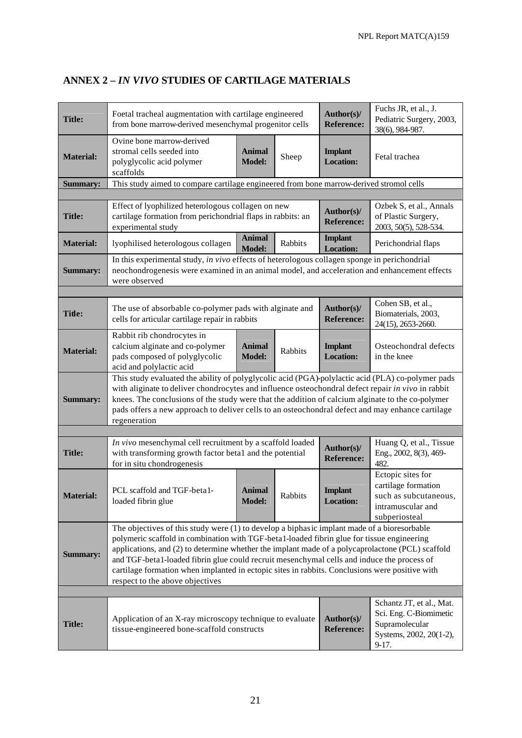| <b>Title:</b>                                                                                                                                                                                                                                                                                                                                                                                                                                                                                                                                       | Foetal tracheal augmentation with cartilage engineered<br>from bone marrow-derived mesenchymal progenitor cells                                                                                                                                                                                                                                                                                                                 |                                |         | Author(s)/<br><b>Reference:</b>    | Fuchs JR, et al., J.<br>Pediatric Surgery, 2003,<br>38(6), 984-987.                                        |
|-----------------------------------------------------------------------------------------------------------------------------------------------------------------------------------------------------------------------------------------------------------------------------------------------------------------------------------------------------------------------------------------------------------------------------------------------------------------------------------------------------------------------------------------------------|---------------------------------------------------------------------------------------------------------------------------------------------------------------------------------------------------------------------------------------------------------------------------------------------------------------------------------------------------------------------------------------------------------------------------------|--------------------------------|---------|------------------------------------|------------------------------------------------------------------------------------------------------------|
| <b>Material:</b>                                                                                                                                                                                                                                                                                                                                                                                                                                                                                                                                    | Ovine bone marrow-derived<br>stromal cells seeded into<br>polyglycolic acid polymer<br>scaffolds                                                                                                                                                                                                                                                                                                                                | <b>Animal</b><br><b>Model:</b> | Sheep   | <b>Implant</b><br><b>Location:</b> | Fetal trachea                                                                                              |
| <b>Summary:</b>                                                                                                                                                                                                                                                                                                                                                                                                                                                                                                                                     | This study aimed to compare cartilage engineered from bone marrow-derived stromol cells                                                                                                                                                                                                                                                                                                                                         |                                |         |                                    |                                                                                                            |
|                                                                                                                                                                                                                                                                                                                                                                                                                                                                                                                                                     |                                                                                                                                                                                                                                                                                                                                                                                                                                 |                                |         |                                    |                                                                                                            |
| <b>Title:</b>                                                                                                                                                                                                                                                                                                                                                                                                                                                                                                                                       | Effect of lyophilized heterologous collagen on new<br>cartilage formation from perichondrial flaps in rabbits: an<br>experimental study                                                                                                                                                                                                                                                                                         |                                |         | Author(s)/<br><b>Reference:</b>    | Ozbek S, et al., Annals<br>of Plastic Surgery,<br>2003, 50(5), 528-534.                                    |
| <b>Material:</b>                                                                                                                                                                                                                                                                                                                                                                                                                                                                                                                                    | lyophilised heterologous collagen                                                                                                                                                                                                                                                                                                                                                                                               | <b>Animal</b><br><b>Model:</b> | Rabbits | <b>Implant</b><br><b>Location:</b> | Perichondrial flaps                                                                                        |
| <b>Summary:</b>                                                                                                                                                                                                                                                                                                                                                                                                                                                                                                                                     | In this experimental study, in vivo effects of heterologous collagen sponge in perichondrial<br>neochondrogenesis were examined in an animal model, and acceleration and enhancement effects<br>were observed                                                                                                                                                                                                                   |                                |         |                                    |                                                                                                            |
|                                                                                                                                                                                                                                                                                                                                                                                                                                                                                                                                                     |                                                                                                                                                                                                                                                                                                                                                                                                                                 |                                |         |                                    |                                                                                                            |
| Title:                                                                                                                                                                                                                                                                                                                                                                                                                                                                                                                                              | The use of absorbable co-polymer pads with alginate and<br>cells for articular cartilage repair in rabbits                                                                                                                                                                                                                                                                                                                      |                                |         | Author(s)/<br><b>Reference:</b>    | Cohen SB, et al.,<br>Biomaterials, 2003,<br>24(15), 2653-2660.                                             |
| <b>Material:</b>                                                                                                                                                                                                                                                                                                                                                                                                                                                                                                                                    | Rabbit rib chondrocytes in<br>calcium alginate and co-polymer<br>pads composed of polyglycolic<br>acid and polylactic acid                                                                                                                                                                                                                                                                                                      | Animal<br><b>Model:</b>        | Rabbits | <b>Implant</b><br><b>Location:</b> | Osteochondral defects<br>in the knee                                                                       |
| <b>Summary:</b>                                                                                                                                                                                                                                                                                                                                                                                                                                                                                                                                     | This study evaluated the ability of polyglycolic acid (PGA)-polylactic acid (PLA) co-polymer pads<br>with aliginate to deliver chondrocytes and influence osteochondral defect repair in vivo in rabbit<br>knees. The conclusions of the study were that the addition of calcium alginate to the co-polymer<br>pads offers a new approach to deliver cells to an osteochondral defect and may enhance cartilage<br>regeneration |                                |         |                                    |                                                                                                            |
|                                                                                                                                                                                                                                                                                                                                                                                                                                                                                                                                                     |                                                                                                                                                                                                                                                                                                                                                                                                                                 |                                |         |                                    |                                                                                                            |
| <b>Title:</b>                                                                                                                                                                                                                                                                                                                                                                                                                                                                                                                                       | In vivo mesenchymal cell recruitment by a scaffold loaded<br>with transforming growth factor beta1 and the potential<br>for in situ chondrogenesis                                                                                                                                                                                                                                                                              |                                |         | Author(s)/<br><b>Reference:</b>    | Huang Q, et al., Tissue<br>Eng., 2002, 8(3), 469-<br>482.                                                  |
| <b>Material:</b>                                                                                                                                                                                                                                                                                                                                                                                                                                                                                                                                    | PCL scaffold and TGF-beta1-<br>loaded fibrin glue                                                                                                                                                                                                                                                                                                                                                                               | Animal<br><b>Model:</b>        | Rabbits | <b>Implant</b><br><b>Location:</b> | Ectopic sites for<br>cartilage formation<br>such as subcutaneous,<br>intramuscular and<br>subperiosteal    |
| The objectives of this study were (1) to develop a biphasic implant made of a bioresorbable<br>polymeric scaffold in combination with TGF-beta1-loaded fibrin glue for tissue engineering<br>applications, and (2) to determine whether the implant made of a polycaprolactone (PCL) scaffold<br><b>Summary:</b><br>and TGF-beta1-loaded fibrin glue could recruit mesenchymal cells and induce the process of<br>cartilage formation when implanted in ectopic sites in rabbits. Conclusions were positive with<br>respect to the above objectives |                                                                                                                                                                                                                                                                                                                                                                                                                                 |                                |         |                                    |                                                                                                            |
|                                                                                                                                                                                                                                                                                                                                                                                                                                                                                                                                                     |                                                                                                                                                                                                                                                                                                                                                                                                                                 |                                |         |                                    |                                                                                                            |
| <b>Title:</b>                                                                                                                                                                                                                                                                                                                                                                                                                                                                                                                                       | Application of an X-ray microscopy technique to evaluate<br>tissue-engineered bone-scaffold constructs                                                                                                                                                                                                                                                                                                                          |                                |         | Author(s)/<br><b>Reference:</b>    | Schantz JT, et al., Mat.<br>Sci. Eng. C-Biomimetic<br>Supramolecular<br>Systems, 2002, 20(1-2),<br>$9-17.$ |

# **ANNEX 2 –** *IN VIVO* **STUDIES OF CARTILAGE MATERIALS**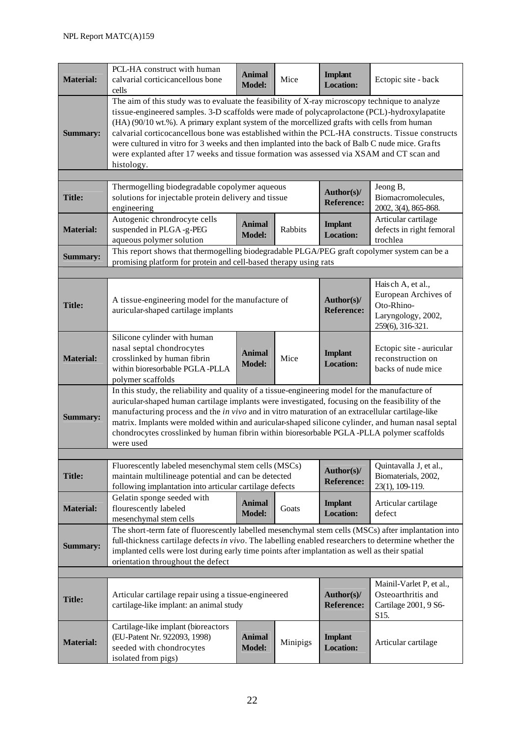| <b>Material:</b> | PCL-HA construct with human<br>calvarial corticicancellous bone<br>cells                                                                                                                                                                                                                                                                                                                                                                                                                                                                                                                                       | <b>Animal</b><br><b>Model:</b> | Mice     | <b>Implant</b><br><b>Location:</b> | Ectopic site - back                                                                               |  |  |
|------------------|----------------------------------------------------------------------------------------------------------------------------------------------------------------------------------------------------------------------------------------------------------------------------------------------------------------------------------------------------------------------------------------------------------------------------------------------------------------------------------------------------------------------------------------------------------------------------------------------------------------|--------------------------------|----------|------------------------------------|---------------------------------------------------------------------------------------------------|--|--|
| <b>Summary:</b>  | The aim of this study was to evaluate the feasibility of X-ray microscopy technique to analyze<br>tissue-engineered samples. 3-D scaffolds were made of polycaprolactone (PCL)-hydroxylapatite<br>(HA) (90/10 wt.%). A primary explant system of the morcellized grafts with cells from human<br>calvarial corticocancellous bone was established within the PCL-HA constructs. Tissue constructs<br>were cultured in vitro for 3 weeks and then implanted into the back of Balb C nude mice. Grafts<br>were explanted after 17 weeks and tissue formation was assessed via XSAM and CT scan and<br>histology. |                                |          |                                    |                                                                                                   |  |  |
|                  |                                                                                                                                                                                                                                                                                                                                                                                                                                                                                                                                                                                                                |                                |          |                                    |                                                                                                   |  |  |
| <b>Title:</b>    | Thermogelling biodegradable copolymer aqueous<br>Jeong B,<br>Author(s)/<br>solutions for injectable protein delivery and tissue<br>Biomacromolecules,<br><b>Reference:</b><br>engineering<br>2002, 3(4), 865-868.                                                                                                                                                                                                                                                                                                                                                                                              |                                |          |                                    |                                                                                                   |  |  |
| <b>Material:</b> | Autogenic chrondrocyte cells<br>suspended in PLGA-g-PEG<br>aqueous polymer solution                                                                                                                                                                                                                                                                                                                                                                                                                                                                                                                            | <b>Animal</b><br><b>Model:</b> | Rabbits  | <b>Implant</b><br><b>Location:</b> | Articular cartilage<br>defects in right femoral<br>trochlea                                       |  |  |
| <b>Summary:</b>  | This report shows that thermogelling biodegradable PLGA/PEG graft copolymer system can be a<br>promising platform for protein and cell-based therapy using rats                                                                                                                                                                                                                                                                                                                                                                                                                                                |                                |          |                                    |                                                                                                   |  |  |
|                  |                                                                                                                                                                                                                                                                                                                                                                                                                                                                                                                                                                                                                |                                |          |                                    |                                                                                                   |  |  |
| <b>Title:</b>    | A tissue-engineering model for the manufacture of<br>auricular-shaped cartilage implants                                                                                                                                                                                                                                                                                                                                                                                                                                                                                                                       |                                |          | Author(s)/<br><b>Reference:</b>    | Haisch A, et al.,<br>European Archives of<br>Oto-Rhino-<br>Laryngology, 2002,<br>259(6), 316-321. |  |  |
| <b>Material:</b> | Silicone cylinder with human<br>nasal septal chondrocytes<br>crosslinked by human fibrin<br>within bioresorbable PGLA-PLLA<br>polymer scaffolds                                                                                                                                                                                                                                                                                                                                                                                                                                                                | <b>Animal</b><br><b>Model:</b> | Mice     | <b>Implant</b><br><b>Location:</b> | Ectopic site - auricular<br>reconstruction on<br>backs of nude mice                               |  |  |
| <b>Summary:</b>  | In this study, the reliability and quality of a tissue-engineering model for the manufacture of<br>auricular-shaped human cartilage implants were investigated, focusing on the feasibility of the<br>manufacturing process and the <i>in vivo</i> and in vitro maturation of an extracellular cartilage-like<br>matrix. Implants were molded within and auricular-shaped silicone cylinder, and human nasal septal<br>chondrocytes crosslinked by human fibrin within bioresorbable PGLA-PLLA polymer scaffolds<br>were used                                                                                  |                                |          |                                    |                                                                                                   |  |  |
|                  |                                                                                                                                                                                                                                                                                                                                                                                                                                                                                                                                                                                                                |                                |          |                                    |                                                                                                   |  |  |
| <b>Title:</b>    | Fluorescently labeled mesenchymal stem cells (MSCs)<br>maintain multilineage potential and can be detected<br>following implantation into articular cartilage defects                                                                                                                                                                                                                                                                                                                                                                                                                                          |                                |          | Author(s)/<br><b>Reference:</b>    | Quintavalla J, et al.,<br>Biomaterials, 2002,<br>23(1), 109-119.                                  |  |  |
| <b>Material:</b> | Gelatin sponge seeded with<br>flourescently labeled<br>mesenchymal stem cells                                                                                                                                                                                                                                                                                                                                                                                                                                                                                                                                  | <b>Animal</b><br><b>Model:</b> | Goats    | <b>Implant</b><br><b>Location:</b> | Articular cartilage<br>defect                                                                     |  |  |
| <b>Summary:</b>  | The short-term fate of fluorescently labelled mesenchymal stem cells (MSCs) after implantation into<br>full-thickness cartilage defects in vivo. The labelling enabled researchers to determine whether the<br>implanted cells were lost during early time points after implantation as well as their spatial<br>orientation throughout the defect                                                                                                                                                                                                                                                             |                                |          |                                    |                                                                                                   |  |  |
|                  |                                                                                                                                                                                                                                                                                                                                                                                                                                                                                                                                                                                                                |                                |          |                                    |                                                                                                   |  |  |
| <b>Title:</b>    | Articular cartilage repair using a tissue-engineered<br>cartilage-like implant: an animal study                                                                                                                                                                                                                                                                                                                                                                                                                                                                                                                |                                |          | Author(s)/<br><b>Reference:</b>    | Mainil-Varlet P, et al.,<br>Osteoarthritis and<br>Cartilage 2001, 9 S6-<br>S15.                   |  |  |
| <b>Material:</b> | Cartilage-like implant (bioreactors<br>(EU-Patent Nr. 922093, 1998)<br>seeded with chondrocytes<br>isolated from pigs)                                                                                                                                                                                                                                                                                                                                                                                                                                                                                         | <b>Animal</b><br><b>Model:</b> | Minipigs | <b>Implant</b><br><b>Location:</b> | Articular cartilage                                                                               |  |  |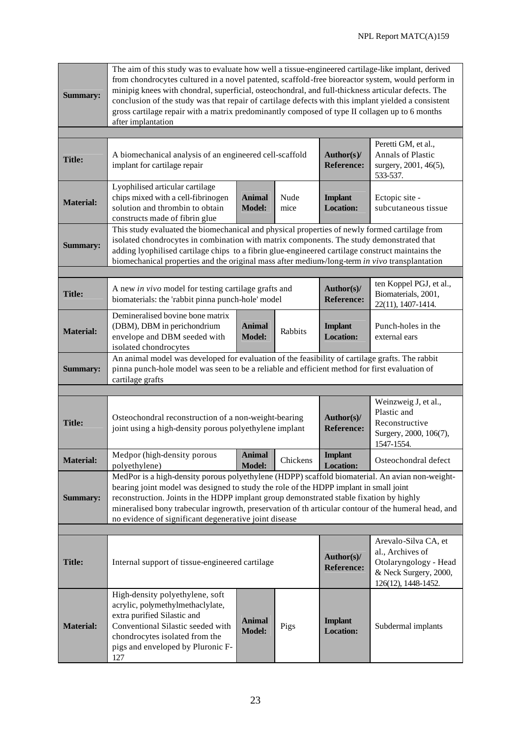| <b>Summary:</b>                                                                                                                                                                                                                                                                                                                                                                                                                                                       | The aim of this study was to evaluate how well a tissue-engineered cartilage-like implant, derived<br>from chondrocytes cultured in a novel patented, scaffold-free bioreactor system, would perform in<br>minipig knees with chondral, superficial, osteochondral, and full-thickness articular defects. The<br>conclusion of the study was that repair of cartilage defects with this implant yielded a consistent<br>gross cartilage repair with a matrix predominantly composed of type II collagen up to 6 months<br>after implantation |                                |              |                                    |                                                                                                                   |  |  |
|-----------------------------------------------------------------------------------------------------------------------------------------------------------------------------------------------------------------------------------------------------------------------------------------------------------------------------------------------------------------------------------------------------------------------------------------------------------------------|----------------------------------------------------------------------------------------------------------------------------------------------------------------------------------------------------------------------------------------------------------------------------------------------------------------------------------------------------------------------------------------------------------------------------------------------------------------------------------------------------------------------------------------------|--------------------------------|--------------|------------------------------------|-------------------------------------------------------------------------------------------------------------------|--|--|
|                                                                                                                                                                                                                                                                                                                                                                                                                                                                       |                                                                                                                                                                                                                                                                                                                                                                                                                                                                                                                                              |                                |              |                                    |                                                                                                                   |  |  |
| <b>Title:</b>                                                                                                                                                                                                                                                                                                                                                                                                                                                         | A biomechanical analysis of an engineered cell-scaffold<br>implant for cartilage repair                                                                                                                                                                                                                                                                                                                                                                                                                                                      |                                |              | Author(s)/<br><b>Reference:</b>    | Peretti GM, et al.,<br><b>Annals of Plastic</b><br>surgery, 2001, 46(5),<br>533-537.                              |  |  |
| <b>Material:</b>                                                                                                                                                                                                                                                                                                                                                                                                                                                      | Lyophilised articular cartilage<br>chips mixed with a cell-fibrinogen<br>solution and thrombin to obtain<br>constructs made of fibrin glue                                                                                                                                                                                                                                                                                                                                                                                                   | <b>Animal</b><br><b>Model:</b> | Nude<br>mice | <b>Implant</b><br><b>Location:</b> | Ectopic site -<br>subcutaneous tissue                                                                             |  |  |
| <b>Summary:</b>                                                                                                                                                                                                                                                                                                                                                                                                                                                       | This study evaluated the biomechanical and physical properties of newly formed cartilage from<br>isolated chondrocytes in combination with matrix components. The study demonstrated that<br>adding lyophilised cartilage chips to a fibrin glue-engineered cartilage construct maintains the<br>biomechanical properties and the original mass after medium-/long-term in vivo transplantation                                                                                                                                              |                                |              |                                    |                                                                                                                   |  |  |
|                                                                                                                                                                                                                                                                                                                                                                                                                                                                       |                                                                                                                                                                                                                                                                                                                                                                                                                                                                                                                                              |                                |              |                                    |                                                                                                                   |  |  |
| <b>Title:</b>                                                                                                                                                                                                                                                                                                                                                                                                                                                         | A new in vivo model for testing cartilage grafts and<br>biomaterials: the 'rabbit pinna punch-hole' model                                                                                                                                                                                                                                                                                                                                                                                                                                    |                                |              | Author(s)/<br><b>Reference:</b>    | ten Koppel PGJ, et al.,<br>Biomaterials, 2001,<br>22(11), 1407-1414.                                              |  |  |
| <b>Material:</b>                                                                                                                                                                                                                                                                                                                                                                                                                                                      | Demineralised bovine bone matrix<br>(DBM), DBM in perichondrium<br>envelope and DBM seeded with<br>isolated chondrocytes                                                                                                                                                                                                                                                                                                                                                                                                                     | <b>Animal</b><br><b>Model:</b> | Rabbits      | <b>Implant</b><br><b>Location:</b> | Punch-holes in the<br>external ears                                                                               |  |  |
| <b>Summary:</b>                                                                                                                                                                                                                                                                                                                                                                                                                                                       | An animal model was developed for evaluation of the feasibility of cartilage grafts. The rabbit<br>pinna punch-hole model was seen to be a reliable and efficient method for first evaluation of<br>cartilage grafts                                                                                                                                                                                                                                                                                                                         |                                |              |                                    |                                                                                                                   |  |  |
|                                                                                                                                                                                                                                                                                                                                                                                                                                                                       |                                                                                                                                                                                                                                                                                                                                                                                                                                                                                                                                              |                                |              |                                    |                                                                                                                   |  |  |
| <b>Title:</b>                                                                                                                                                                                                                                                                                                                                                                                                                                                         | Osteochondral reconstruction of a non-weight-bearing<br>joint using a high-density porous polyethylene implant                                                                                                                                                                                                                                                                                                                                                                                                                               |                                |              | Author(s)/<br><b>Reference:</b>    | Weinzweig J, et al.,<br>Plastic and<br>Reconstructive<br>Surgery, 2000, 106(7),<br>1547-1554.                     |  |  |
| <b>Material:</b>                                                                                                                                                                                                                                                                                                                                                                                                                                                      | Medpor (high-density porous<br>polyethylene)                                                                                                                                                                                                                                                                                                                                                                                                                                                                                                 | Animal<br><b>Model:</b>        | Chickens     | <b>Implant</b><br><b>Location:</b> | Osteochondral defect                                                                                              |  |  |
| MedPor is a high-density porous polyethylene (HDPP) scaffold biomaterial. An avian non-weight-<br>bearing joint model was designed to study the role of the HDPP implant in small joint<br>reconstruction. Joints in the HDPP implant group demonstrated stable fixation by highly<br><b>Summary:</b><br>mineralised bony trabecular ingrowth, preservation of th articular contour of the humeral head, and<br>no evidence of significant degenerative joint disease |                                                                                                                                                                                                                                                                                                                                                                                                                                                                                                                                              |                                |              |                                    |                                                                                                                   |  |  |
|                                                                                                                                                                                                                                                                                                                                                                                                                                                                       |                                                                                                                                                                                                                                                                                                                                                                                                                                                                                                                                              |                                |              |                                    |                                                                                                                   |  |  |
| <b>Title:</b>                                                                                                                                                                                                                                                                                                                                                                                                                                                         | Internal support of tissue-engineered cartilage                                                                                                                                                                                                                                                                                                                                                                                                                                                                                              |                                |              | Author(s)/<br><b>Reference:</b>    | Arevalo-Silva CA, et<br>al., Archives of<br>Otolaryngology - Head<br>& Neck Surgery, 2000,<br>126(12), 1448-1452. |  |  |
| <b>Material:</b>                                                                                                                                                                                                                                                                                                                                                                                                                                                      | High-density polyethylene, soft<br>acrylic, polymethylmethaclylate,<br>extra purified Silastic and<br>Conventional Silastic seeded with<br>chondrocytes isolated from the<br>pigs and enveloped by Pluronic F-<br>127                                                                                                                                                                                                                                                                                                                        | <b>Animal</b><br><b>Model:</b> | Pigs         | <b>Implant</b><br><b>Location:</b> | Subdermal implants                                                                                                |  |  |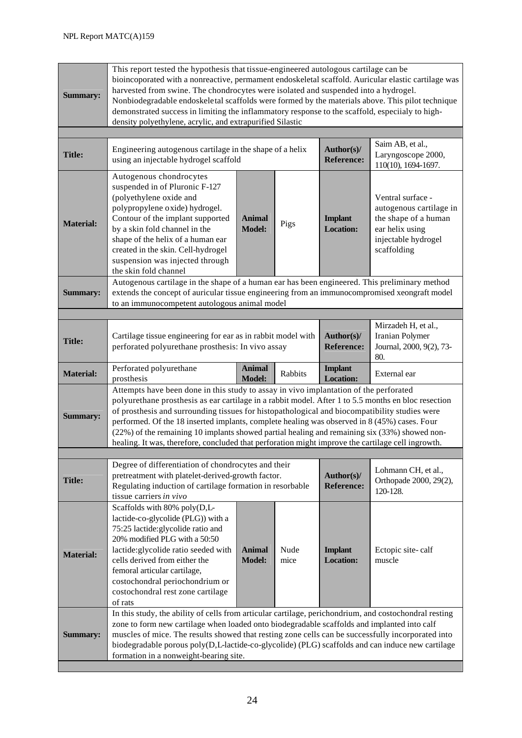| <b>Summary:</b>  | This report tested the hypothesis that tissue-engineered autologous cartilage can be<br>bioincoporated with a nonreactive, permament endoskeletal scaffold. Auricular elastic cartilage was<br>harvested from swine. The chondrocytes were isolated and suspended into a hydrogel.<br>Nonbiodegradable endoskeletal scaffolds were formed by the materials above. This pilot technique<br>demonstrated success in limiting the inflammatory response to the scaffold, especiialy to high-<br>density polyethylene, acrylic, and extrapurified Silastic                                              |                                |              |                                    |                                                                                                                               |  |  |
|------------------|-----------------------------------------------------------------------------------------------------------------------------------------------------------------------------------------------------------------------------------------------------------------------------------------------------------------------------------------------------------------------------------------------------------------------------------------------------------------------------------------------------------------------------------------------------------------------------------------------------|--------------------------------|--------------|------------------------------------|-------------------------------------------------------------------------------------------------------------------------------|--|--|
|                  |                                                                                                                                                                                                                                                                                                                                                                                                                                                                                                                                                                                                     |                                |              |                                    |                                                                                                                               |  |  |
| <b>Title:</b>    | Engineering autogenous cartilage in the shape of a helix<br>using an injectable hydrogel scaffold                                                                                                                                                                                                                                                                                                                                                                                                                                                                                                   |                                |              | Author(s)/<br><b>Reference:</b>    | Saim AB, et al.,<br>Laryngoscope 2000,<br>110(10), 1694-1697.                                                                 |  |  |
| <b>Material:</b> | Autogenous chondrocytes<br>suspended in of Pluronic F-127<br>(polyethylene oxide and<br>polypropylene oxide) hydrogel.<br>Contour of the implant supported<br>by a skin fold channel in the<br>shape of the helix of a human ear<br>created in the skin. Cell-hydrogel<br>suspension was injected through<br>the skin fold channel                                                                                                                                                                                                                                                                  | <b>Animal</b><br><b>Model:</b> | Pigs         | <b>Implant</b><br><b>Location:</b> | Ventral surface -<br>autogenous cartilage in<br>the shape of a human<br>ear helix using<br>injectable hydrogel<br>scaffolding |  |  |
| <b>Summary:</b>  | Autogenous cartilage in the shape of a human ear has been engineered. This preliminary method<br>extends the concept of auricular tissue engineering from an immunocompromised xeongraft model<br>to an immunocompetent autologous animal model                                                                                                                                                                                                                                                                                                                                                     |                                |              |                                    |                                                                                                                               |  |  |
|                  |                                                                                                                                                                                                                                                                                                                                                                                                                                                                                                                                                                                                     |                                |              |                                    |                                                                                                                               |  |  |
| <b>Title:</b>    | Cartilage tissue engineering for ear as in rabbit model with<br>perforated polyurethane prosthesis: In vivo assay                                                                                                                                                                                                                                                                                                                                                                                                                                                                                   |                                |              | Author(s)/<br><b>Reference:</b>    | Mirzadeh H, et al.,<br>Iranian Polymer<br>Journal, 2000, 9(2), 73-<br>80.                                                     |  |  |
| <b>Material:</b> | Perforated polyurethane<br>prosthesis                                                                                                                                                                                                                                                                                                                                                                                                                                                                                                                                                               | <b>Animal</b><br><b>Model:</b> | Rabbits      | <b>Implant</b><br><b>Location:</b> | External ear                                                                                                                  |  |  |
| <b>Summary:</b>  | Attempts have been done in this study to assay in vivo implantation of the perforated<br>polyurethane prosthesis as ear cartilage in a rabbit model. After 1 to 5.5 months en bloc resection<br>of prosthesis and surrounding tissues for histopathological and biocompatibility studies were<br>performed. Of the 18 inserted implants, complete healing was observed in 8 (45%) cases. Four<br>(22%) of the remaining 10 implants showed partial healing and remaining six (33%) showed non-<br>healing. It was, therefore, concluded that perforation might improve the cartilage cell ingrowth. |                                |              |                                    |                                                                                                                               |  |  |
|                  |                                                                                                                                                                                                                                                                                                                                                                                                                                                                                                                                                                                                     |                                |              |                                    |                                                                                                                               |  |  |
| <b>Title:</b>    | Degree of differentiation of chondrocytes and their<br>pretreatment with platelet-derived-growth factor.<br>Regulating induction of cartilage formation in resorbable<br>tissue carriers in vivo                                                                                                                                                                                                                                                                                                                                                                                                    |                                |              | Author(s)/<br><b>Reference:</b>    | Lohmann CH, et al.,<br>Orthopade 2000, 29(2),<br>120-128.                                                                     |  |  |
| <b>Material:</b> | Scaffolds with 80% poly(D,L-<br>lactide-co-glycolide (PLG)) with a<br>75:25 lactide: glycolide ratio and<br>20% modified PLG with a 50:50<br>lactide:glycolide ratio seeded with<br>cells derived from either the<br>femoral articular cartilage,<br>costochondral periochondrium or<br>costochondral rest zone cartilage<br>of rats                                                                                                                                                                                                                                                                | <b>Animal</b><br><b>Model:</b> | Nude<br>mice | <b>Implant</b><br><b>Location:</b> | Ectopic site-calf<br>muscle                                                                                                   |  |  |
| <b>Summary:</b>  | In this study, the ability of cells from articular cartilage, perichondrium, and costochondral resting<br>zone to form new cartilage when loaded onto biodegradable scaffolds and implanted into calf<br>muscles of mice. The results showed that resting zone cells can be successfully incorporated into<br>biodegradable porous poly(D,L-lactide-co-glycolide) (PLG) scaffolds and can induce new cartilage<br>formation in a nonweight-bearing site.                                                                                                                                            |                                |              |                                    |                                                                                                                               |  |  |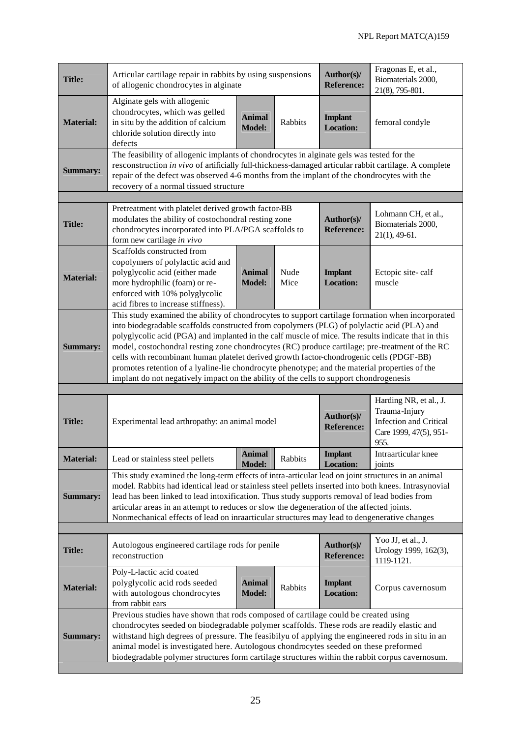| <b>Title:</b>    | Articular cartilage repair in rabbits by using suspensions<br>of allogenic chondrocytes in alginate                                                                                                                                                                                                                                                                                                                                                                                                                                                                                                                                                                                             |                                 |                                                              | Author(s)/<br><b>Reference:</b>    | Fragonas E, et al.,<br>Biomaterials 2000,<br>21(8), 795-801.                                               |  |  |
|------------------|-------------------------------------------------------------------------------------------------------------------------------------------------------------------------------------------------------------------------------------------------------------------------------------------------------------------------------------------------------------------------------------------------------------------------------------------------------------------------------------------------------------------------------------------------------------------------------------------------------------------------------------------------------------------------------------------------|---------------------------------|--------------------------------------------------------------|------------------------------------|------------------------------------------------------------------------------------------------------------|--|--|
| <b>Material:</b> | Alginate gels with allogenic<br>chondrocytes, which was gelled<br>in situ by the addition of calcium<br>chloride solution directly into<br>defects                                                                                                                                                                                                                                                                                                                                                                                                                                                                                                                                              | <b>Animal</b><br><b>Model:</b>  | Rabbits                                                      | <b>Implant</b><br><b>Location:</b> | femoral condyle                                                                                            |  |  |
| <b>Summary:</b>  | The feasibility of allogenic implants of chondrocytes in alginate gels was tested for the<br>resconstruction in vivo of artificially full-thickness-damaged articular rabbit cartilage. A complete<br>repair of the defect was observed 4-6 months from the implant of the chondrocytes with the<br>recovery of a normal tissued structure                                                                                                                                                                                                                                                                                                                                                      |                                 |                                                              |                                    |                                                                                                            |  |  |
|                  |                                                                                                                                                                                                                                                                                                                                                                                                                                                                                                                                                                                                                                                                                                 |                                 |                                                              |                                    |                                                                                                            |  |  |
| <b>Title:</b>    | Pretreatment with platelet derived growth factor-BB<br>modulates the ability of costochondral resting zone<br>chondrocytes incorporated into PLA/PGA scaffolds to<br>form new cartilage in vivo                                                                                                                                                                                                                                                                                                                                                                                                                                                                                                 | Author(s)/<br><b>Reference:</b> | Lohmann CH, et al.,<br>Biomaterials 2000,<br>$21(1), 49-61.$ |                                    |                                                                                                            |  |  |
| <b>Material:</b> | Scaffolds constructed from<br>copolymers of polylactic acid and<br>polyglycolic acid (either made<br>more hydrophilic (foam) or re-<br>enforced with 10% polyglycolic<br>acid fibres to increase stiffness).                                                                                                                                                                                                                                                                                                                                                                                                                                                                                    | <b>Animal</b><br><b>Model:</b>  | Nude<br>Mice                                                 | <b>Implant</b><br><b>Location:</b> | Ectopic site-calf<br>muscle                                                                                |  |  |
| <b>Summary:</b>  | This study examined the ability of chondrocytes to support cartilage formation when incorporated<br>into biodegradable scaffolds constructed from copolymers (PLG) of polylactic acid (PLA) and<br>polyglycolic acid (PGA) and implanted in the calf muscle of mice. The results indicate that in this<br>model, costochondral resting zone chondrocytes (RC) produce cartilage; pre-treatment of the RC<br>cells with recombinant human platelet derived growth factor-chondrogenic cells (PDGF-BB)<br>promotes retention of a lyaline-lie chondrocyte phenotype; and the material properties of the<br>implant do not negatively impact on the ability of the cells to support chondrogenesis |                                 |                                                              |                                    |                                                                                                            |  |  |
|                  |                                                                                                                                                                                                                                                                                                                                                                                                                                                                                                                                                                                                                                                                                                 |                                 |                                                              |                                    |                                                                                                            |  |  |
| <b>Title:</b>    | Experimental lead arthropathy: an animal model                                                                                                                                                                                                                                                                                                                                                                                                                                                                                                                                                                                                                                                  |                                 |                                                              | Author(s)/<br><b>Reference:</b>    | Harding NR, et al., J.<br>Trauma-Injury<br><b>Infection and Critical</b><br>Care 1999, 47(5), 951-<br>955. |  |  |
| <b>Material:</b> | Lead or stainless steel pellets                                                                                                                                                                                                                                                                                                                                                                                                                                                                                                                                                                                                                                                                 | <b>Animal</b><br><b>Model:</b>  | Rabbits                                                      | <b>Implant</b><br><b>Location:</b> | Intraarticular knee<br>joints                                                                              |  |  |
| <b>Summary:</b>  | This study examined the long-term effects of intra-articular lead on joint structures in an animal<br>model. Rabbits had identical lead or stainless steel pellets inserted into both knees. Intrasynovial<br>lead has been linked to lead intoxification. Thus study supports removal of lead bodies from<br>articular areas in an attempt to reduces or slow the degeneration of the affected joints.<br>Nonmechanical effects of lead on inraarticular structures may lead to dengenerative changes                                                                                                                                                                                          |                                 |                                                              |                                    |                                                                                                            |  |  |
|                  |                                                                                                                                                                                                                                                                                                                                                                                                                                                                                                                                                                                                                                                                                                 |                                 |                                                              |                                    |                                                                                                            |  |  |
| <b>Title:</b>    | Autologous engineered cartilage rods for penile<br>reconstruction                                                                                                                                                                                                                                                                                                                                                                                                                                                                                                                                                                                                                               |                                 |                                                              | Author(s)/<br><b>Reference:</b>    | Yoo JJ, et al., J.<br>Urology 1999, 162(3),<br>1119-1121.                                                  |  |  |
| <b>Material:</b> | Poly-L-lactic acid coated<br>polyglycolic acid rods seeded<br>with autologous chondrocytes<br>from rabbit ears                                                                                                                                                                                                                                                                                                                                                                                                                                                                                                                                                                                  | <b>Animal</b><br><b>Model:</b>  | Rabbits                                                      | <b>Implant</b><br><b>Location:</b> | Corpus cavernosum                                                                                          |  |  |
| Summary:         | Previous studies have shown that rods composed of cartilage could be created using<br>chondrocytes seeded on biodegradable polymer scaffolds. These rods are readily elastic and<br>withstand high degrees of pressure. The feasibilyu of applying the engineered rods in situ in an<br>animal model is investigated here. Autologous chondrocytes seeded on these preformed<br>biodegradable polymer structures form cartilage structures within the rabbit corpus cavernosum.                                                                                                                                                                                                                 |                                 |                                                              |                                    |                                                                                                            |  |  |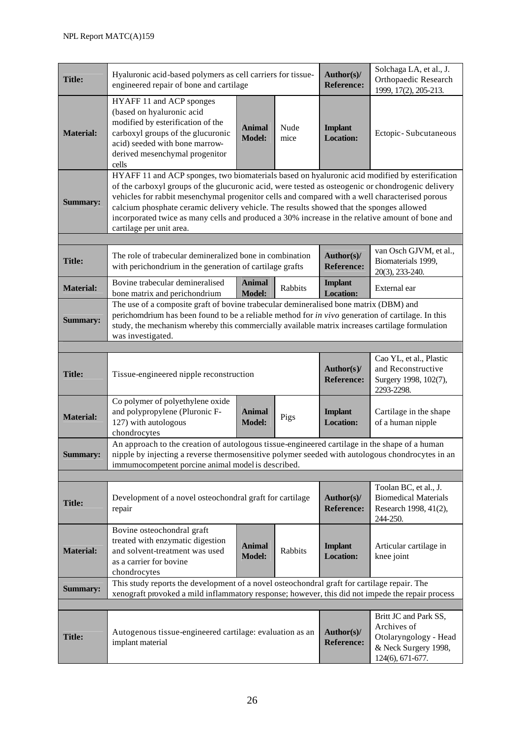| <b>Title:</b>    | Hyaluronic acid-based polymers as cell carriers for tissue-<br>engineered repair of bone and cartilage                                                                                                                                                                                                                                                                                                                                                                                                                          |                                |              | Author(s)/<br><b>Reference:</b>    | Solchaga LA, et al., J.<br><b>Orthopaedic Research</b><br>1999, 17(2), 205-213.                           |  |  |
|------------------|---------------------------------------------------------------------------------------------------------------------------------------------------------------------------------------------------------------------------------------------------------------------------------------------------------------------------------------------------------------------------------------------------------------------------------------------------------------------------------------------------------------------------------|--------------------------------|--------------|------------------------------------|-----------------------------------------------------------------------------------------------------------|--|--|
| <b>Material:</b> | HYAFF 11 and ACP sponges<br>(based on hyaluronic acid<br>modified by esterification of the<br>carboxyl groups of the glucuronic<br>acid) seeded with bone marrow-<br>derived mesenchymal progenitor<br>cells                                                                                                                                                                                                                                                                                                                    | <b>Animal</b><br><b>Model:</b> | Nude<br>mice | <b>Implant</b><br><b>Location:</b> | Ectopic-Subcutaneous                                                                                      |  |  |
| <b>Summary:</b>  | HYAFF 11 and ACP sponges, two biomaterials based on hyaluronic acid modified by esterification<br>of the carboxyl groups of the glucuronic acid, were tested as osteogenic or chondrogenic delivery<br>vehicles for rabbit mesenchymal progenitor cells and compared with a well characterised porous<br>calcium phosphate ceramic delivery vehicle. The results showed that the sponges allowed<br>incorporated twice as many cells and produced a 30% increase in the relative amount of bone and<br>cartilage per unit area. |                                |              |                                    |                                                                                                           |  |  |
| <b>Title:</b>    | The role of trabecular demineralized bone in combination<br>with perichondrium in the generation of cartilage grafts                                                                                                                                                                                                                                                                                                                                                                                                            |                                |              | Author(s)/<br><b>Reference:</b>    | van Osch GJVM, et al.,<br>Biomaterials 1999,<br>20(3), 233-240.                                           |  |  |
| <b>Material:</b> | Bovine trabecular demineralised<br>bone matrix and perichondrium                                                                                                                                                                                                                                                                                                                                                                                                                                                                | <b>Animal</b><br><b>Model:</b> | Rabbits      | <b>Implant</b><br><b>Location:</b> | External ear                                                                                              |  |  |
| <b>Summary:</b>  | The use of a composite graft of bovine trabecular demineralised bone matrix (DBM) and<br>perichomdrium has been found to be a reliable method for in vivo generation of cartilage. In this<br>study, the mechanism whereby this commercially available matrix increases cartilage formulation<br>was investigated.                                                                                                                                                                                                              |                                |              |                                    |                                                                                                           |  |  |
|                  |                                                                                                                                                                                                                                                                                                                                                                                                                                                                                                                                 |                                |              |                                    |                                                                                                           |  |  |
| <b>Title:</b>    | Tissue-engineered nipple reconstruction                                                                                                                                                                                                                                                                                                                                                                                                                                                                                         |                                |              | Author(s)/<br><b>Reference:</b>    | Cao YL, et al., Plastic<br>and Reconstructive<br>Surgery 1998, 102(7),<br>2293-2298.                      |  |  |
| <b>Material:</b> | Co polymer of polyethylene oxide<br>and polypropylene (Pluronic F-<br>127) with autologous<br>chondrocytes                                                                                                                                                                                                                                                                                                                                                                                                                      | <b>Animal</b><br><b>Model:</b> | Pigs         | <b>Implant</b><br><b>Location:</b> | Cartilage in the shape<br>of a human nipple                                                               |  |  |
| <b>Summary:</b>  | An approach to the creation of autologous tissue-engineered cartilage in the shape of a human<br>nipple by injecting a reverse thermosensitive polymer seeded with autologous chondrocytes in an<br>immumocompetent porcine animal model is described.                                                                                                                                                                                                                                                                          |                                |              |                                    |                                                                                                           |  |  |
|                  |                                                                                                                                                                                                                                                                                                                                                                                                                                                                                                                                 |                                |              |                                    |                                                                                                           |  |  |
| <b>Title:</b>    | Development of a novel osteochondral graft for cartilage<br>repair                                                                                                                                                                                                                                                                                                                                                                                                                                                              |                                |              | Author(s)/<br><b>Reference:</b>    | Toolan BC, et al., J.<br><b>Biomedical Materials</b><br>Research 1998, 41(2),<br>244-250.                 |  |  |
| <b>Material:</b> | Bovine osteochondral graft<br>treated with enzymatic digestion<br>and solvent-treatment was used<br>as a carrier for bovine<br>chondrocytes                                                                                                                                                                                                                                                                                                                                                                                     | <b>Animal</b><br><b>Model:</b> | Rabbits      | <b>Implant</b><br><b>Location:</b> | Articular cartilage in<br>knee joint                                                                      |  |  |
| <b>Summary:</b>  | This study reports the development of a novel osteochondral graft for cartilage repair. The<br>xenograft provoked a mild inflammatory response; however, this did not impede the repair process                                                                                                                                                                                                                                                                                                                                 |                                |              |                                    |                                                                                                           |  |  |
|                  |                                                                                                                                                                                                                                                                                                                                                                                                                                                                                                                                 |                                |              |                                    |                                                                                                           |  |  |
| <b>Title:</b>    | Autogenous tissue-engineered cartilage: evaluation as an<br>implant material                                                                                                                                                                                                                                                                                                                                                                                                                                                    |                                |              | Author(s)/<br><b>Reference:</b>    | Britt JC and Park SS,<br>Archives of<br>Otolaryngology - Head<br>& Neck Surgery 1998,<br>124(6), 671-677. |  |  |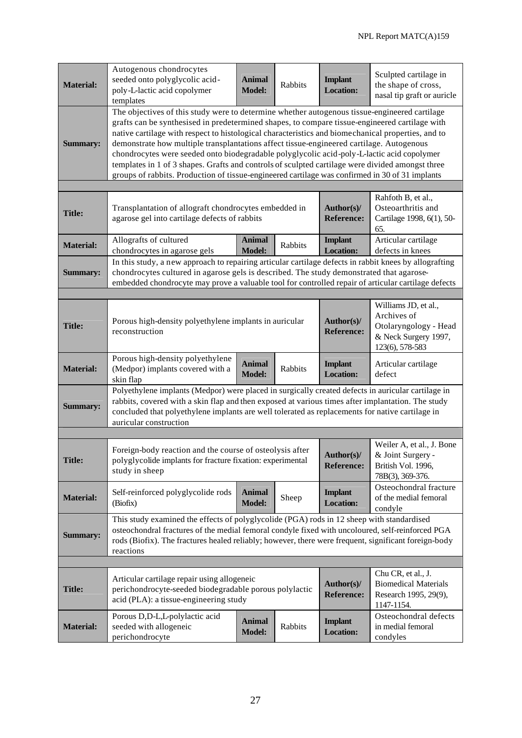| <b>Material:</b> | Autogenous chondrocytes<br>seeded onto polyglycolic acid-<br>poly-L-lactic acid copolymer<br>templates                                                                                                                                                                                                                                                                                                                                                                                                                                                                                                                                                                                                 | <b>Animal</b><br><b>Model:</b>  | <b>Rabbits</b>                                         | <b>Implant</b><br><b>Location:</b>                                                       | Sculpted cartilage in<br>the shape of cross,<br>nasal tip graft or auricle                              |  |  |
|------------------|--------------------------------------------------------------------------------------------------------------------------------------------------------------------------------------------------------------------------------------------------------------------------------------------------------------------------------------------------------------------------------------------------------------------------------------------------------------------------------------------------------------------------------------------------------------------------------------------------------------------------------------------------------------------------------------------------------|---------------------------------|--------------------------------------------------------|------------------------------------------------------------------------------------------|---------------------------------------------------------------------------------------------------------|--|--|
| <b>Summary:</b>  | The objectives of this study were to determine whether autogenous tissue-engineered cartilage<br>grafts can be synthesised in predetermined shapes, to compare tissue-engineered cartilage with<br>native cartilage with respect to histological characteristics and biomechanical properties, and to<br>demonstrate how multiple transplantations affect tissue-engineered cartilage. Autogenous<br>chondrocytes were seeded onto biodegradable polyglycolic acid-poly-L-lactic acid copolymer<br>templates in 1 of 3 shapes. Grafts and controls of sculpted cartilage were divided amongst three<br>groups of rabbits. Production of tissue-engineered cartilage was confirmed in 30 of 31 implants |                                 |                                                        |                                                                                          |                                                                                                         |  |  |
|                  |                                                                                                                                                                                                                                                                                                                                                                                                                                                                                                                                                                                                                                                                                                        |                                 |                                                        |                                                                                          | Rahfoth B, et al.,                                                                                      |  |  |
| <b>Title:</b>    | Transplantation of allograft chondrocytes embedded in<br>agarose gel into cartilage defects of rabbits                                                                                                                                                                                                                                                                                                                                                                                                                                                                                                                                                                                                 | Author(s)/<br><b>Reference:</b> | Osteoarthritis and<br>Cartilage 1998, 6(1), 50-<br>65. |                                                                                          |                                                                                                         |  |  |
| <b>Material:</b> | Allografts of cultured<br>chondrocytes in agarose gels                                                                                                                                                                                                                                                                                                                                                                                                                                                                                                                                                                                                                                                 | <b>Animal</b><br><b>Model:</b>  | Rabbits                                                | <b>Implant</b><br><b>Location:</b>                                                       | Articular cartilage<br>defects in knees                                                                 |  |  |
| <b>Summary:</b>  | In this study, a new approach to repairing articular cartilage defects in rabbit knees by allografting<br>chondrocytes cultured in agarose gels is described. The study demonstrated that agarose-<br>embedded chondrocyte may prove a valuable tool for controlled repair of articular cartilage defects                                                                                                                                                                                                                                                                                                                                                                                              |                                 |                                                        |                                                                                          |                                                                                                         |  |  |
|                  |                                                                                                                                                                                                                                                                                                                                                                                                                                                                                                                                                                                                                                                                                                        |                                 |                                                        |                                                                                          |                                                                                                         |  |  |
| <b>Title:</b>    | Porous high-density polyethylene implants in auricular<br>reconstruction                                                                                                                                                                                                                                                                                                                                                                                                                                                                                                                                                                                                                               |                                 |                                                        | Author(s)/<br><b>Reference:</b>                                                          | Williams JD, et al.,<br>Archives of<br>Otolaryngology - Head<br>& Neck Surgery 1997,<br>123(6), 578-583 |  |  |
| <b>Material:</b> | Porous high-density polyethylene<br>(Medpor) implants covered with a<br>skin flap                                                                                                                                                                                                                                                                                                                                                                                                                                                                                                                                                                                                                      | <b>Animal</b><br><b>Model:</b>  | Rabbits                                                | <b>Implant</b><br><b>Location:</b>                                                       | Articular cartilage<br>defect                                                                           |  |  |
| <b>Summary:</b>  | Polyethylene implants (Medpor) were placed in surgically created defects in auricular cartilage in<br>rabbits, covered with a skin flap and then exposed at various times after implantation. The study<br>concluded that polyethylene implants are well tolerated as replacements for native cartilage in<br>auricular construction                                                                                                                                                                                                                                                                                                                                                                   |                                 |                                                        |                                                                                          |                                                                                                         |  |  |
|                  |                                                                                                                                                                                                                                                                                                                                                                                                                                                                                                                                                                                                                                                                                                        |                                 |                                                        |                                                                                          |                                                                                                         |  |  |
| <b>Title:</b>    | Foreign-body reaction and the course of osteolysis after<br>polyglycolide implants for fracture fixation: experimental<br>study in sheep                                                                                                                                                                                                                                                                                                                                                                                                                                                                                                                                                               |                                 | Author(s)/<br><b>Reference:</b>                        | Weiler A, et al., J. Bone<br>& Joint Surgery -<br>British Vol. 1996,<br>78B(3), 369-376. |                                                                                                         |  |  |
| <b>Material:</b> | Self-reinforced polyglycolide rods<br>(Biofix)                                                                                                                                                                                                                                                                                                                                                                                                                                                                                                                                                                                                                                                         | <b>Animal</b><br><b>Model:</b>  | Sheep                                                  | <b>Implant</b><br><b>Location:</b>                                                       | Osteochondral fracture<br>of the medial femoral<br>condyle                                              |  |  |
| <b>Summary:</b>  | This study examined the effects of polyglycolide (PGA) rods in 12 sheep with standardised<br>osteochondral fractures of the medial femoral condyle fixed with uncoloured, self-reinforced PGA<br>rods (Biofix). The fractures healed reliably; however, there were frequent, significant foreign-body<br>reactions                                                                                                                                                                                                                                                                                                                                                                                     |                                 |                                                        |                                                                                          |                                                                                                         |  |  |
|                  |                                                                                                                                                                                                                                                                                                                                                                                                                                                                                                                                                                                                                                                                                                        |                                 |                                                        |                                                                                          |                                                                                                         |  |  |
| <b>Title:</b>    | Articular cartilage repair using allogeneic<br>perichondrocyte-seeded biodegradable porous polylactic<br>acid (PLA): a tissue-engineering study                                                                                                                                                                                                                                                                                                                                                                                                                                                                                                                                                        |                                 |                                                        | Author(s)/<br><b>Reference:</b>                                                          | Chu CR, et al., J.<br><b>Biomedical Materials</b><br>Research 1995, 29(9),<br>1147-1154.                |  |  |
| <b>Material:</b> | Porous D,D-L,L-polylactic acid<br>seeded with allogeneic<br>perichondrocyte                                                                                                                                                                                                                                                                                                                                                                                                                                                                                                                                                                                                                            | <b>Animal</b><br><b>Model:</b>  | Rabbits                                                | <b>Implant</b><br><b>Location:</b>                                                       | Osteochondral defects<br>in medial femoral<br>condyles                                                  |  |  |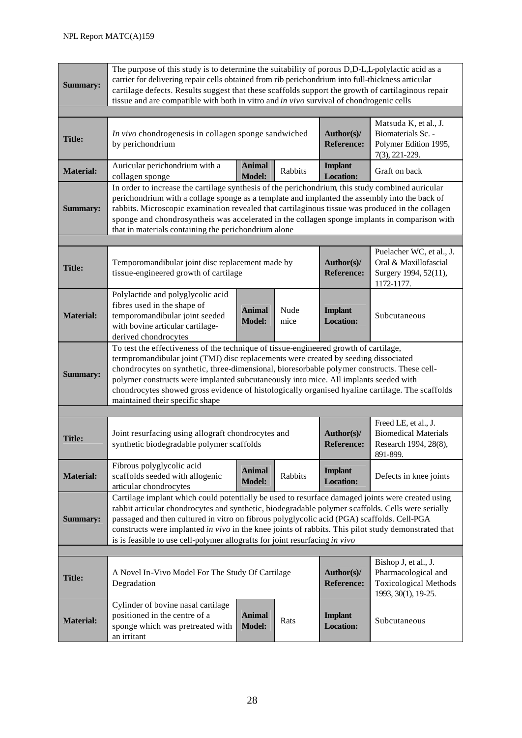| <b>Summary:</b>                                                                                                                                                                                                                                                                                                                                                                                                                                                                                              | The purpose of this study is to determine the suitability of porous D,D-L,L-polylactic acid as a<br>carrier for delivering repair cells obtained from rib perichondrium into full-thickness articular<br>cartilage defects. Results suggest that these scaffolds support the growth of cartilaginous repair<br>tissue and are compatible with both in vitro and in vivo survival of chondrogenic cells                                                                                                   |                                |              |                                    |                                                                                          |  |  |
|--------------------------------------------------------------------------------------------------------------------------------------------------------------------------------------------------------------------------------------------------------------------------------------------------------------------------------------------------------------------------------------------------------------------------------------------------------------------------------------------------------------|----------------------------------------------------------------------------------------------------------------------------------------------------------------------------------------------------------------------------------------------------------------------------------------------------------------------------------------------------------------------------------------------------------------------------------------------------------------------------------------------------------|--------------------------------|--------------|------------------------------------|------------------------------------------------------------------------------------------|--|--|
| <b>Title:</b>                                                                                                                                                                                                                                                                                                                                                                                                                                                                                                | In vivo chondrogenesis in collagen sponge sandwiched<br>by perichondrium                                                                                                                                                                                                                                                                                                                                                                                                                                 |                                |              | Author(s)/<br><b>Reference:</b>    | Matsuda K, et al., J.<br>Biomaterials Sc. -<br>Polymer Edition 1995,<br>7(3), 221-229.   |  |  |
| <b>Material:</b>                                                                                                                                                                                                                                                                                                                                                                                                                                                                                             | Auricular perichondrium with a<br>collagen sponge                                                                                                                                                                                                                                                                                                                                                                                                                                                        | <b>Animal</b><br><b>Model:</b> | Rabbits      | <b>Implant</b><br><b>Location:</b> | Graft on back                                                                            |  |  |
| <b>Summary:</b>                                                                                                                                                                                                                                                                                                                                                                                                                                                                                              | In order to increase the cartilage synthesis of the perichondrium, this study combined auricular<br>perichondrium with a collage sponge as a template and implanted the assembly into the back of<br>rabbits. Microscopic examination revealed that cartilaginous tissue was produced in the collagen<br>sponge and chondrosyntheis was accelerated in the collagen sponge implants in comparison with<br>that in materials containing the perichondrium alone                                           |                                |              |                                    |                                                                                          |  |  |
|                                                                                                                                                                                                                                                                                                                                                                                                                                                                                                              |                                                                                                                                                                                                                                                                                                                                                                                                                                                                                                          |                                |              |                                    |                                                                                          |  |  |
| <b>Title:</b>                                                                                                                                                                                                                                                                                                                                                                                                                                                                                                | Temporomandibular joint disc replacement made by<br>tissue-engineered growth of cartilage                                                                                                                                                                                                                                                                                                                                                                                                                |                                |              | Author(s)/<br><b>Reference:</b>    | Puelacher WC, et al., J.<br>Oral & Maxillofascial<br>Surgery 1994, 52(11),<br>1172-1177. |  |  |
| <b>Material:</b>                                                                                                                                                                                                                                                                                                                                                                                                                                                                                             | Polylactide and polyglycolic acid<br>fibres used in the shape of<br>temporomandibular joint seeded<br>with bovine articular cartilage-<br>derived chondrocytes                                                                                                                                                                                                                                                                                                                                           | <b>Animal</b><br><b>Model:</b> | Nude<br>mice | <b>Implant</b><br><b>Location:</b> | Subcutaneous                                                                             |  |  |
| <b>Summary:</b>                                                                                                                                                                                                                                                                                                                                                                                                                                                                                              | To test the effectiveness of the technique of tissue-engineered growth of cartilage,<br>termpromandibular joint (TMJ) disc replacements were created by seeding dissociated<br>chondrocytes on synthetic, three-dimensional, bioresorbable polymer constructs. These cell-<br>polymer constructs were implanted subcutaneously into mice. All implants seeded with<br>chondrocytes showed gross evidence of histologically organised hyaline cartilage. The scaffolds<br>maintained their specific shape |                                |              |                                    |                                                                                          |  |  |
|                                                                                                                                                                                                                                                                                                                                                                                                                                                                                                              |                                                                                                                                                                                                                                                                                                                                                                                                                                                                                                          |                                |              |                                    |                                                                                          |  |  |
| <b>Title:</b>                                                                                                                                                                                                                                                                                                                                                                                                                                                                                                | Joint resurfacing using allograft chondrocytes and<br>synthetic biodegradable polymer scaffolds                                                                                                                                                                                                                                                                                                                                                                                                          |                                |              | Author(s)/<br><b>Reference:</b>    | Freed LE, et al., J.<br><b>Biomedical Materials</b><br>Research 1994, 28(8),<br>891-899. |  |  |
| <b>Material:</b>                                                                                                                                                                                                                                                                                                                                                                                                                                                                                             | Fibrous polyglycolic acid<br>scaffolds seeded with allogenic<br>articular chondrocytes                                                                                                                                                                                                                                                                                                                                                                                                                   | <b>Animal</b><br><b>Model:</b> | Rabbits      | <b>Implant</b><br><b>Location:</b> | Defects in knee joints                                                                   |  |  |
| Cartilage implant which could potentially be used to resurface damaged joints were created using<br>rabbit articular chondrocytes and synthetic, biodegradable polymer scaffolds. Cells were serially<br>passaged and then cultured in vitro on fibrous polyglycolic acid (PGA) scaffolds. Cell-PGA<br><b>Summary:</b><br>constructs were implanted in vivo in the knee joints of rabbits. This pilot study demonstrated that<br>is is feasible to use cell-polymer allografts for joint resurfacing in vivo |                                                                                                                                                                                                                                                                                                                                                                                                                                                                                                          |                                |              |                                    |                                                                                          |  |  |
|                                                                                                                                                                                                                                                                                                                                                                                                                                                                                                              |                                                                                                                                                                                                                                                                                                                                                                                                                                                                                                          |                                |              |                                    | Bishop J, et al., J.                                                                     |  |  |
| <b>Title:</b>                                                                                                                                                                                                                                                                                                                                                                                                                                                                                                | A Novel In-Vivo Model For The Study Of Cartilage<br>Degradation                                                                                                                                                                                                                                                                                                                                                                                                                                          |                                |              | Author(s)/<br><b>Reference:</b>    | Pharmacological and<br><b>Toxicological Methods</b><br>1993, 30(1), 19-25.               |  |  |
| <b>Material:</b>                                                                                                                                                                                                                                                                                                                                                                                                                                                                                             | Cylinder of bovine nasal cartilage<br>positioned in the centre of a<br>sponge which was pretreated with<br>an irritant                                                                                                                                                                                                                                                                                                                                                                                   | <b>Animal</b><br><b>Model:</b> | Rats         | <b>Implant</b><br><b>Location:</b> | Subcutaneous                                                                             |  |  |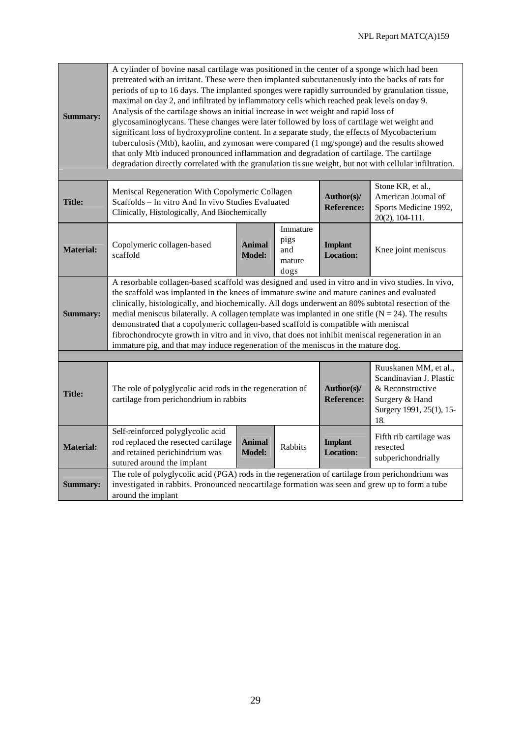| <b>Summary:</b>  | A cylinder of bovine nasal cartilage was positioned in the center of a sponge which had been<br>pretreated with an irritant. These were then implanted subcutaneously into the backs of rats for<br>periods of up to 16 days. The implanted sponges were rapidly surrounded by granulation tissue,<br>maximal on day 2, and infiltrated by inflammatory cells which reached peak levels on day 9.<br>Analysis of the cartilage shows an initial increase in wet weight and rapid loss of<br>glycosaminoglycans. These changes were later followed by loss of cartilage wet weight and<br>significant loss of hydroxyproline content. In a separate study, the effects of Mycobacterium<br>tuberculosis (Mtb), kaolin, and zymosan were compared (1 mg/sponge) and the results showed<br>that only Mtb induced pronounced inflammation and degradation of cartilage. The cartilage<br>degradation directly correlated with the granulation tis sue weight, but not with cellular infiltration. |                                |                                           |                                    |                                                                                                                           |  |  |
|------------------|-----------------------------------------------------------------------------------------------------------------------------------------------------------------------------------------------------------------------------------------------------------------------------------------------------------------------------------------------------------------------------------------------------------------------------------------------------------------------------------------------------------------------------------------------------------------------------------------------------------------------------------------------------------------------------------------------------------------------------------------------------------------------------------------------------------------------------------------------------------------------------------------------------------------------------------------------------------------------------------------------|--------------------------------|-------------------------------------------|------------------------------------|---------------------------------------------------------------------------------------------------------------------------|--|--|
|                  |                                                                                                                                                                                                                                                                                                                                                                                                                                                                                                                                                                                                                                                                                                                                                                                                                                                                                                                                                                                               |                                |                                           |                                    |                                                                                                                           |  |  |
| <b>Title:</b>    | Meniscal Regeneration With Copolymeric Collagen<br>Scaffolds - In vitro And In vivo Studies Evaluated<br>Clinically, Histologically, And Biochemically                                                                                                                                                                                                                                                                                                                                                                                                                                                                                                                                                                                                                                                                                                                                                                                                                                        |                                |                                           | Author(s)/<br><b>Reference:</b>    | Stone KR, et al.,<br>American Journal of<br>Sports Medicine 1992,<br>20(2), 104-111.                                      |  |  |
| <b>Material:</b> | Copolymeric collagen-based<br>scaffold                                                                                                                                                                                                                                                                                                                                                                                                                                                                                                                                                                                                                                                                                                                                                                                                                                                                                                                                                        | <b>Animal</b><br><b>Model:</b> | Immature<br>pigs<br>and<br>mature<br>dogs | <b>Implant</b><br><b>Location:</b> | Knee joint meniscus                                                                                                       |  |  |
| <b>Summary:</b>  | A resorbable collagen-based scaffold was designed and used in vitro and in vivo studies. In vivo,<br>the scaffold was implanted in the knees of immature swine and mature canines and evaluated<br>clinically, histologically, and biochemically. All dogs underwent an 80% subtotal resection of the<br>medial meniscus bilaterally. A collagen template was implanted in one stifle ( $N = 24$ ). The results<br>demonstrated that a copolymeric collagen-based scaffold is compatible with meniscal<br>fibrochondrocyte growth in vitro and in vivo, that does not inhibit meniscal regeneration in an<br>immature pig, and that may induce regeneration of the meniscus in the mature dog.                                                                                                                                                                                                                                                                                                |                                |                                           |                                    |                                                                                                                           |  |  |
|                  |                                                                                                                                                                                                                                                                                                                                                                                                                                                                                                                                                                                                                                                                                                                                                                                                                                                                                                                                                                                               |                                |                                           |                                    |                                                                                                                           |  |  |
| <b>Title:</b>    | The role of polyglycolic acid rods in the regeneration of<br>cartilage from perichondrium in rabbits                                                                                                                                                                                                                                                                                                                                                                                                                                                                                                                                                                                                                                                                                                                                                                                                                                                                                          |                                |                                           | Author(s)/<br><b>Reference:</b>    | Ruuskanen MM, et al.,<br>Scandinavian J. Plastic<br>& Reconstructive<br>Surgery & Hand<br>Surgery 1991, 25(1), 15-<br>18. |  |  |
| <b>Material:</b> | Self-reinforced polyglycolic acid<br>rod replaced the resected cartilage<br>and retained perichindrium was<br>sutured around the implant                                                                                                                                                                                                                                                                                                                                                                                                                                                                                                                                                                                                                                                                                                                                                                                                                                                      | <b>Animal</b><br><b>Model:</b> | Rabbits                                   | <b>Implant</b><br><b>Location:</b> | Fifth rib cartilage was<br>resected<br>subperichondrially                                                                 |  |  |
| <b>Summary:</b>  | The role of polyglycolic acid (PGA) rods in the regeneration of cartilage from perichondrium was<br>investigated in rabbits. Pronounced neocartilage formation was seen and grew up to form a tube<br>around the implant                                                                                                                                                                                                                                                                                                                                                                                                                                                                                                                                                                                                                                                                                                                                                                      |                                |                                           |                                    |                                                                                                                           |  |  |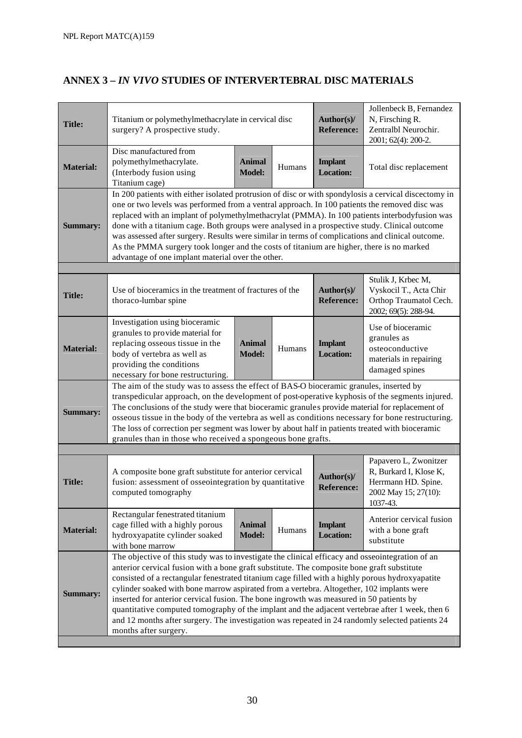# **ANNEX 3 –** *IN VIVO* **STUDIES OF INTERVERTEBRAL DISC MATERIALS**

| <b>Title:</b>    | Titanium or polymethylmethacrylate in cervical disc<br>surgery? A prospective study.                                                                                                                                                                                                                                                                                                                                                                                                                                                                                                                                                                                                                                    | Author(s)/<br><b>Reference:</b> | Jollenbeck B, Fernandez<br>N, Firsching R.<br>Zentralbl Neurochir.<br>2001; 62(4): 200-2. |                                    |                                                                                                            |  |  |
|------------------|-------------------------------------------------------------------------------------------------------------------------------------------------------------------------------------------------------------------------------------------------------------------------------------------------------------------------------------------------------------------------------------------------------------------------------------------------------------------------------------------------------------------------------------------------------------------------------------------------------------------------------------------------------------------------------------------------------------------------|---------------------------------|-------------------------------------------------------------------------------------------|------------------------------------|------------------------------------------------------------------------------------------------------------|--|--|
| <b>Material:</b> | Disc manufactured from<br>polymethylmethacrylate.<br>(Interbody fusion using<br>Titanium cage)                                                                                                                                                                                                                                                                                                                                                                                                                                                                                                                                                                                                                          | <b>Animal</b><br><b>Model:</b>  | Humans                                                                                    | <b>Implant</b><br><b>Location:</b> | Total disc replacement                                                                                     |  |  |
| <b>Summary:</b>  | In 200 patients with either isolated protrusion of disc or with spondylosis a cervical discectomy in<br>one or two levels was performed from a ventral approach. In 100 patients the removed disc was<br>replaced with an implant of polymethylmethacrylat (PMMA). In 100 patients interbodyfusion was<br>done with a titanium cage. Both groups were analysed in a prospective study. Clinical outcome<br>was assessed after surgery. Results were similar in terms of complications and clinical outcome.<br>As the PMMA surgery took longer and the costs of titanium are higher, there is no marked<br>advantage of one implant material over the other.                                                            |                                 |                                                                                           |                                    |                                                                                                            |  |  |
|                  |                                                                                                                                                                                                                                                                                                                                                                                                                                                                                                                                                                                                                                                                                                                         |                                 |                                                                                           |                                    |                                                                                                            |  |  |
| <b>Title:</b>    | Use of bioceramics in the treatment of fractures of the<br>thoraco-lumbar spine                                                                                                                                                                                                                                                                                                                                                                                                                                                                                                                                                                                                                                         |                                 |                                                                                           | Author(s)/<br><b>Reference:</b>    | Stulik J, Krbec M,<br>Vyskocil T., Acta Chir<br>Orthop Traumatol Cech.<br>2002; 69(5): 288-94.             |  |  |
| <b>Material:</b> | Investigation using bioceramic<br>granules to provide material for<br>replacing osseous tissue in the<br>body of vertebra as well as<br>providing the conditions<br>necessary for bone restructuring.                                                                                                                                                                                                                                                                                                                                                                                                                                                                                                                   | <b>Animal</b><br><b>Model:</b>  | Humans                                                                                    | <b>Implant</b><br><b>Location:</b> | Use of bioceramic<br>granules as<br>osteoconductive<br>materials in repairing<br>damaged spines            |  |  |
| <b>Summary:</b>  | The aim of the study was to assess the effect of BAS-O bioceramic granules, inserted by<br>transpedicular approach, on the development of post-operative kyphosis of the segments injured.<br>The conclusions of the study were that bioceramic granules provide material for replacement of<br>osseous tissue in the body of the vertebra as well as conditions necessary for bone restructuring.<br>The loss of correction per segment was lower by about half in patients treated with bioceramic<br>granules than in those who received a spongeous bone grafts.                                                                                                                                                    |                                 |                                                                                           |                                    |                                                                                                            |  |  |
|                  |                                                                                                                                                                                                                                                                                                                                                                                                                                                                                                                                                                                                                                                                                                                         |                                 |                                                                                           |                                    |                                                                                                            |  |  |
| <b>Title:</b>    | A composite bone graft substitute for anterior cervical<br>fusion: assessment of osseointegration by quantitative<br>computed tomography                                                                                                                                                                                                                                                                                                                                                                                                                                                                                                                                                                                |                                 |                                                                                           | Author(s)/<br><b>Reference:</b>    | Papavero L, Zwonitzer<br>R, Burkard I, Klose K,<br>Herrmann HD. Spine.<br>2002 May 15; 27(10):<br>1037-43. |  |  |
| <b>Material:</b> | Rectangular fenestrated titanium<br>cage filled with a highly porous<br>hydroxyapatite cylinder soaked<br>with bone marrow                                                                                                                                                                                                                                                                                                                                                                                                                                                                                                                                                                                              | <b>Animal</b><br><b>Model:</b>  | Humans                                                                                    | <b>Implant</b><br><b>Location:</b> | Anterior cervical fusion<br>with a bone graft<br>substitute                                                |  |  |
| <b>Summary:</b>  | The objective of this study was to investigate the clinical efficacy and osseointegration of an<br>anterior cervical fusion with a bone graft substitute. The composite bone graft substitute<br>consisted of a rectangular fenestrated titanium cage filled with a highly porous hydroxyapatite<br>cylinder soaked with bone marrow aspirated from a vertebra. Altogether, 102 implants were<br>inserted for anterior cervical fusion. The bone ingrowth was measured in 50 patients by<br>quantitative computed tomography of the implant and the adjacent vertebrae after 1 week, then 6<br>and 12 months after surgery. The investigation was repeated in 24 randomly selected patients 24<br>months after surgery. |                                 |                                                                                           |                                    |                                                                                                            |  |  |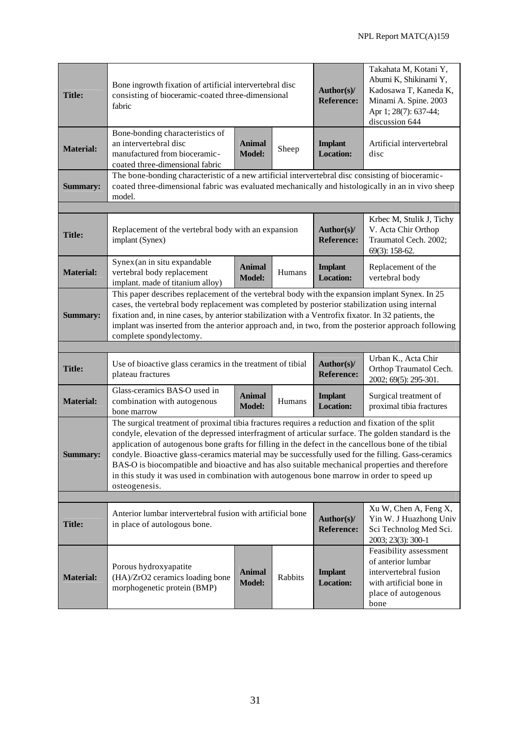| <b>Title:</b>    | Bone ingrowth fixation of artificial intervertebral disc<br>consisting of bioceramic-coated three-dimensional<br>fabric                                                                                                                                                                                                                                                                                                                                                                                                                                                                                                               |                                    |                                      | Author(s)/<br><b>Reference:</b>    | Takahata M, Kotani Y,<br>Abumi K, Shikinami Y,<br>Kadosawa T, Kaneda K,<br>Minami A. Spine. 2003<br>Apr 1; 28(7): 637-44;<br>discussion 644 |  |  |
|------------------|---------------------------------------------------------------------------------------------------------------------------------------------------------------------------------------------------------------------------------------------------------------------------------------------------------------------------------------------------------------------------------------------------------------------------------------------------------------------------------------------------------------------------------------------------------------------------------------------------------------------------------------|------------------------------------|--------------------------------------|------------------------------------|---------------------------------------------------------------------------------------------------------------------------------------------|--|--|
| <b>Material:</b> | Bone-bonding characteristics of<br>an intervertebral disc<br>manufactured from bioceramic-<br>coated three-dimensional fabric                                                                                                                                                                                                                                                                                                                                                                                                                                                                                                         | <b>Animal</b><br><b>Model:</b>     | Sheep                                | <b>Implant</b><br><b>Location:</b> | Artificial intervertebral<br>disc                                                                                                           |  |  |
| <b>Summary:</b>  | The bone-bonding characteristic of a new artificial intervertebral disc consisting of bioceramic-<br>coated three-dimensional fabric was evaluated mechanically and histologically in an in vivo sheep<br>model.                                                                                                                                                                                                                                                                                                                                                                                                                      |                                    |                                      |                                    |                                                                                                                                             |  |  |
|                  |                                                                                                                                                                                                                                                                                                                                                                                                                                                                                                                                                                                                                                       |                                    |                                      |                                    |                                                                                                                                             |  |  |
| <b>Title:</b>    | Replacement of the vertebral body with an expansion<br>implant (Synex)                                                                                                                                                                                                                                                                                                                                                                                                                                                                                                                                                                |                                    |                                      | Author(s)/<br><b>Reference:</b>    | Krbec M, Stulik J, Tichy<br>V. Acta Chir Orthop<br>Traumatol Cech. 2002;<br>69(3): 158-62.                                                  |  |  |
| <b>Material:</b> | Synex (an in situ expandable<br>vertebral body replacement<br>implant. made of titanium alloy)                                                                                                                                                                                                                                                                                                                                                                                                                                                                                                                                        | <b>Implant</b><br><b>Location:</b> | Replacement of the<br>vertebral body |                                    |                                                                                                                                             |  |  |
| <b>Summary:</b>  | This paper describes replacement of the vertebral body with the expansion implant Synex. In 25<br>cases, the vertebral body replacement was completed by posterior stabilization using internal<br>fixation and, in nine cases, by anterior stabilization with a Ventrofix fixator. In 32 patients, the<br>implant was inserted from the anterior approach and, in two, from the posterior approach following<br>complete spondylectomy.                                                                                                                                                                                              |                                    |                                      |                                    |                                                                                                                                             |  |  |
|                  |                                                                                                                                                                                                                                                                                                                                                                                                                                                                                                                                                                                                                                       |                                    |                                      |                                    |                                                                                                                                             |  |  |
| <b>Title:</b>    | Use of bioactive glass ceramics in the treatment of tibial<br>plateau fractures                                                                                                                                                                                                                                                                                                                                                                                                                                                                                                                                                       |                                    |                                      | Author(s)/<br><b>Reference:</b>    | Urban K., Acta Chir<br>Orthop Traumatol Cech.<br>2002; 69(5): 295-301.                                                                      |  |  |
| <b>Material:</b> | Glass-ceramics BAS-O used in<br>combination with autogenous<br>bone marrow                                                                                                                                                                                                                                                                                                                                                                                                                                                                                                                                                            | <b>Animal</b><br><b>Model:</b>     | Humans                               | <b>Implant</b><br><b>Location:</b> | Surgical treatment of<br>proximal tibia fractures                                                                                           |  |  |
| <b>Summary:</b>  | The surgical treatment of proximal tibia fractures requires a reduction and fixation of the split<br>condyle, elevation of the depressed interfragment of articular surface. The golden standard is the<br>application of autogenous bone grafts for filling in the defect in the cancellous bone of the tibial<br>condyle. Bioactive glass-ceramics material may be successfully used for the filling. Gass-ceramics<br>BAS-O is biocompatible and bioactive and has also suitable mechanical properties and therefore<br>in this study it was used in combination with autogenous bone marrow in order to speed up<br>osteogenesis. |                                    |                                      |                                    |                                                                                                                                             |  |  |
|                  |                                                                                                                                                                                                                                                                                                                                                                                                                                                                                                                                                                                                                                       |                                    |                                      |                                    |                                                                                                                                             |  |  |
| <b>Title:</b>    | Anterior lumbar intervertebral fusion with artificial bone<br>in place of autologous bone.                                                                                                                                                                                                                                                                                                                                                                                                                                                                                                                                            |                                    |                                      | Author(s)/<br><b>Reference:</b>    | Xu W, Chen A, Feng X,<br>Yin W. J Huazhong Univ<br>Sci Technolog Med Sci.<br>2003; 23(3): 300-1                                             |  |  |
| <b>Material:</b> | Porous hydroxyapatite<br>(HA)/ZrO2 ceramics loading bone<br>morphogenetic protein (BMP)                                                                                                                                                                                                                                                                                                                                                                                                                                                                                                                                               | <b>Animal</b><br><b>Model:</b>     | Rabbits                              | <b>Implant</b><br><b>Location:</b> | Feasibility assessment<br>of anterior lumbar<br>intervertebral fusion<br>with artificial bone in<br>place of autogenous<br>bone             |  |  |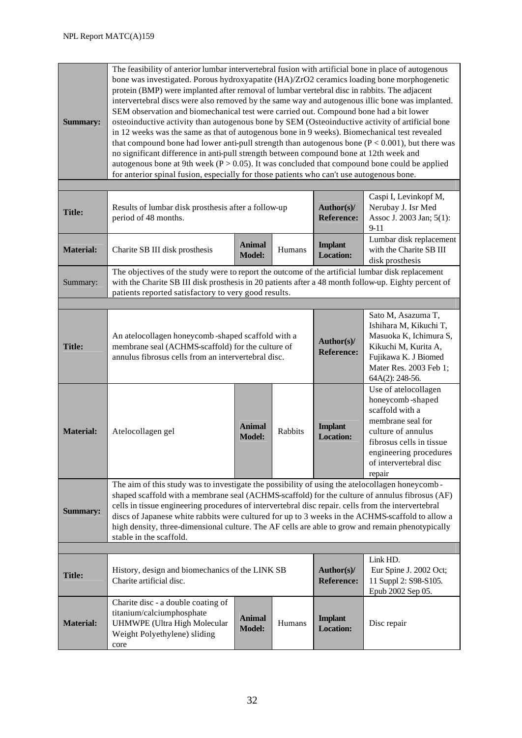| <b>Summary:</b>  | The feasibility of anterior lumbar intervertebral fusion with artificial bone in place of autogenous<br>bone was investigated. Porous hydroxyapatite (HA)/ZrO2 ceramics loading bone morphogenetic<br>protein (BMP) were implanted after removal of lumbar vertebral disc in rabbits. The adjacent<br>intervertebral discs were also removed by the same way and autogenous illic bone was implanted.<br>SEM observation and biomechanical test were carried out. Compound bone had a bit lower<br>osteoinductive activity than autogenous bone by SEM (Osteoinductive activity of artificial bone<br>in 12 weeks was the same as that of autogenous bone in 9 weeks). Biomechanical test revealed<br>that compound bone had lower anti-pull strength than autogenous bone ( $P < 0.001$ ), but there was<br>no significant difference in anti-pull strength between compound bone at 12th week and<br>autogenous bone at 9th week ( $P > 0.05$ ). It was concluded that compound bone could be applied<br>for anterior spinal fusion, especially for those patients who can't use autogenous bone. |                                |         |                                    |                                                                                                                                                                                                  |  |  |  |
|------------------|-----------------------------------------------------------------------------------------------------------------------------------------------------------------------------------------------------------------------------------------------------------------------------------------------------------------------------------------------------------------------------------------------------------------------------------------------------------------------------------------------------------------------------------------------------------------------------------------------------------------------------------------------------------------------------------------------------------------------------------------------------------------------------------------------------------------------------------------------------------------------------------------------------------------------------------------------------------------------------------------------------------------------------------------------------------------------------------------------------|--------------------------------|---------|------------------------------------|--------------------------------------------------------------------------------------------------------------------------------------------------------------------------------------------------|--|--|--|
|                  |                                                                                                                                                                                                                                                                                                                                                                                                                                                                                                                                                                                                                                                                                                                                                                                                                                                                                                                                                                                                                                                                                                     |                                |         |                                    |                                                                                                                                                                                                  |  |  |  |
| <b>Title:</b>    | Results of lumbar disk prosthesis after a follow-up<br>period of 48 months.                                                                                                                                                                                                                                                                                                                                                                                                                                                                                                                                                                                                                                                                                                                                                                                                                                                                                                                                                                                                                         |                                |         | Author(s)/<br><b>Reference:</b>    | Caspi I, Levinkopf M,<br>Nerubay J. Isr Med<br>Assoc J. 2003 Jan; 5(1):<br>$9 - 11$                                                                                                              |  |  |  |
| <b>Material:</b> | Charite SB III disk prosthesis                                                                                                                                                                                                                                                                                                                                                                                                                                                                                                                                                                                                                                                                                                                                                                                                                                                                                                                                                                                                                                                                      | <b>Animal</b><br><b>Model:</b> | Humans  | <b>Implant</b><br><b>Location:</b> | Lumbar disk replacement<br>with the Charite SB III<br>disk prosthesis                                                                                                                            |  |  |  |
| Summary:         | The objectives of the study were to report the outcome of the artificial lumbar disk replacement<br>with the Charite SB III disk prosthesis in 20 patients after a 48 month follow-up. Eighty percent of<br>patients reported satisfactory to very good results.                                                                                                                                                                                                                                                                                                                                                                                                                                                                                                                                                                                                                                                                                                                                                                                                                                    |                                |         |                                    |                                                                                                                                                                                                  |  |  |  |
|                  |                                                                                                                                                                                                                                                                                                                                                                                                                                                                                                                                                                                                                                                                                                                                                                                                                                                                                                                                                                                                                                                                                                     |                                |         |                                    |                                                                                                                                                                                                  |  |  |  |
| <b>Title:</b>    | An atelocollagen honeycomb-shaped scaffold with a<br>membrane seal (ACHMS-scaffold) for the culture of<br>annulus fibrosus cells from an intervertebral disc.                                                                                                                                                                                                                                                                                                                                                                                                                                                                                                                                                                                                                                                                                                                                                                                                                                                                                                                                       |                                |         | Author(s)/<br><b>Reference:</b>    | Sato M, Asazuma T,<br>Ishihara M, Kikuchi T,<br>Masuoka K, Ichimura S,<br>Kikuchi M, Kurita A,<br>Fujikawa K. J Biomed<br>Mater Res. 2003 Feb 1;<br>64A(2): 248-56.                              |  |  |  |
| <b>Material:</b> | Atelocollagen gel                                                                                                                                                                                                                                                                                                                                                                                                                                                                                                                                                                                                                                                                                                                                                                                                                                                                                                                                                                                                                                                                                   | <b>Animal</b><br><b>Model:</b> | Rabbits | <b>Implant</b><br><b>Location:</b> | Use of atelocollagen<br>honeycomb-shaped<br>scaffold with a<br>membrane seal for<br>culture of annulus<br>fibrosus cells in tissue<br>engineering procedures<br>of intervertebral disc<br>repair |  |  |  |
| <b>Summary:</b>  | The aim of this study was to investigate the possibility of using the atelocollagen honeycomb-<br>shaped scaffold with a membrane seal (ACHMS-scaffold) for the culture of annulus fibrosus (AF)<br>cells in tissue engineering procedures of intervertebral disc repair. cells from the intervertebral<br>discs of Japanese white rabbits were cultured for up to 3 weeks in the ACHMS-scaffold to allow a<br>high density, three-dimensional culture. The AF cells are able to grow and remain phenotypically<br>stable in the scaffold.                                                                                                                                                                                                                                                                                                                                                                                                                                                                                                                                                          |                                |         |                                    |                                                                                                                                                                                                  |  |  |  |
|                  |                                                                                                                                                                                                                                                                                                                                                                                                                                                                                                                                                                                                                                                                                                                                                                                                                                                                                                                                                                                                                                                                                                     |                                |         |                                    |                                                                                                                                                                                                  |  |  |  |
| <b>Title:</b>    | History, design and biomechanics of the LINK SB<br>Charite artificial disc.                                                                                                                                                                                                                                                                                                                                                                                                                                                                                                                                                                                                                                                                                                                                                                                                                                                                                                                                                                                                                         |                                |         | Author(s)/<br><b>Reference:</b>    | Link HD.<br>Eur Spine J. 2002 Oct;<br>11 Suppl 2: S98-S105.<br>Epub 2002 Sep 05.                                                                                                                 |  |  |  |
| <b>Material:</b> | Charite disc - a double coating of<br>titanium/calciumphosphate<br><b>UHMWPE</b> (Ultra High Molecular<br>Weight Polyethylene) sliding<br>core                                                                                                                                                                                                                                                                                                                                                                                                                                                                                                                                                                                                                                                                                                                                                                                                                                                                                                                                                      | <b>Animal</b><br><b>Model:</b> | Humans  | <b>Implant</b><br><b>Location:</b> | Disc repair                                                                                                                                                                                      |  |  |  |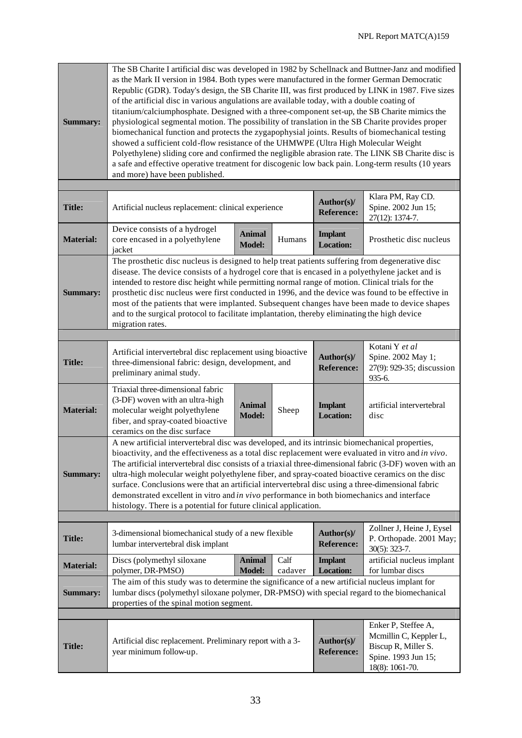| <b>Summary:</b>  | The SB Charite I artificial disc was developed in 1982 by Schellnack and Buttner-Janz and modified<br>as the Mark II version in 1984. Both types were manufactured in the former German Democratic<br>Republic (GDR). Today's design, the SB Charite III, was first produced by LINK in 1987. Five sizes<br>of the artificial disc in various angulations are available today, with a double coating of<br>titanium/calciumphosphate. Designed with a three-component set-up, the SB Charite mimics the<br>physiological segmental motion. The possibility of translation in the SB Charite provides proper<br>biomechanical function and protects the zygapophysial joints. Results of biomechanical testing<br>showed a sufficient cold-flow resistance of the UHMWPE (Ultra High Molecular Weight<br>Polyethylene) sliding core and confirmed the negligible abrasion rate. The LINK SB Charite disc is<br>a safe and effective operative treatment for discogenic low back pain. Long-term results (10 years<br>and more) have been published. |                                |                 |                                    |                                                                                         |  |  |  |  |
|------------------|----------------------------------------------------------------------------------------------------------------------------------------------------------------------------------------------------------------------------------------------------------------------------------------------------------------------------------------------------------------------------------------------------------------------------------------------------------------------------------------------------------------------------------------------------------------------------------------------------------------------------------------------------------------------------------------------------------------------------------------------------------------------------------------------------------------------------------------------------------------------------------------------------------------------------------------------------------------------------------------------------------------------------------------------------|--------------------------------|-----------------|------------------------------------|-----------------------------------------------------------------------------------------|--|--|--|--|
|                  |                                                                                                                                                                                                                                                                                                                                                                                                                                                                                                                                                                                                                                                                                                                                                                                                                                                                                                                                                                                                                                                    |                                |                 |                                    | Klara PM, Ray CD.                                                                       |  |  |  |  |
| <b>Title:</b>    | Artificial nucleus replacement: clinical experience                                                                                                                                                                                                                                                                                                                                                                                                                                                                                                                                                                                                                                                                                                                                                                                                                                                                                                                                                                                                |                                |                 | Author(s)/<br><b>Reference:</b>    | Spine. 2002 Jun 15;<br>27(12): 1374-7.                                                  |  |  |  |  |
| <b>Material:</b> | Device consists of a hydrogel<br>core encased in a polyethylene<br>jacket                                                                                                                                                                                                                                                                                                                                                                                                                                                                                                                                                                                                                                                                                                                                                                                                                                                                                                                                                                          | <b>Animal</b><br><b>Model:</b> | Humans          | <b>Implant</b><br><b>Location:</b> | Prosthetic disc nucleus                                                                 |  |  |  |  |
| <b>Summary:</b>  | The prosthetic disc nucleus is designed to help treat patients suffering from degenerative disc<br>disease. The device consists of a hydrogel core that is encased in a polyethylene jacket and is<br>intended to restore disc height while permitting normal range of motion. Clinical trials for the<br>prosthetic disc nucleus were first conducted in 1996, and the device was found to be effective in<br>most of the patients that were implanted. Subsequent changes have been made to device shapes<br>and to the surgical protocol to facilitate implantation, thereby eliminating the high device<br>migration rates.                                                                                                                                                                                                                                                                                                                                                                                                                    |                                |                 |                                    |                                                                                         |  |  |  |  |
|                  |                                                                                                                                                                                                                                                                                                                                                                                                                                                                                                                                                                                                                                                                                                                                                                                                                                                                                                                                                                                                                                                    |                                |                 |                                    |                                                                                         |  |  |  |  |
| <b>Title:</b>    | Artificial intervertebral disc replacement using bioactive<br>three-dimensional fabric: design, development, and<br>preliminary animal study.                                                                                                                                                                                                                                                                                                                                                                                                                                                                                                                                                                                                                                                                                                                                                                                                                                                                                                      |                                |                 | Author(s)/<br><b>Reference:</b>    | Kotani Y et al<br>Spine. 2002 May 1;<br>27(9): 929-35; discussion<br>935-6.             |  |  |  |  |
| <b>Material:</b> | Triaxial three-dimensional fabric<br>(3-DF) woven with an ultra-high<br>molecular weight polyethylene<br>fiber, and spray-coated bioactive<br>ceramics on the disc surface                                                                                                                                                                                                                                                                                                                                                                                                                                                                                                                                                                                                                                                                                                                                                                                                                                                                         | <b>Animal</b><br><b>Model:</b> | Sheep           | <b>Implant</b><br><b>Location:</b> | artificial intervertebral<br>disc                                                       |  |  |  |  |
| <b>Summary:</b>  | A new artificial intervertebral disc was developed, and its intrinsic biomechanical properties,<br>bioactivity, and the effectiveness as a total disc replacement were evaluated in vitro and in vivo.<br>The artificial intervertebral disc consists of a triaxial three-dimensional fabric (3-DF) woven with an<br>ultra-high molecular weight polyethylene fiber, and spray-coated bioactive ceramics on the disc<br>surface. Conclusions were that an artificial intervertebral disc using a three-dimensional fabric<br>demonstrated excellent in vitro and in vivo performance in both biomechanics and interface<br>histology. There is a potential for future clinical application.                                                                                                                                                                                                                                                                                                                                                        |                                |                 |                                    |                                                                                         |  |  |  |  |
|                  |                                                                                                                                                                                                                                                                                                                                                                                                                                                                                                                                                                                                                                                                                                                                                                                                                                                                                                                                                                                                                                                    |                                |                 |                                    |                                                                                         |  |  |  |  |
| <b>Title:</b>    | 3-dimensional biomechanical study of a new flexible<br>lumbar intervertebral disk implant                                                                                                                                                                                                                                                                                                                                                                                                                                                                                                                                                                                                                                                                                                                                                                                                                                                                                                                                                          |                                |                 | Author(s)/<br><b>Reference:</b>    | Zollner J, Heine J, Eysel<br>P. Orthopade. 2001 May;<br>$30(5)$ : 323-7.                |  |  |  |  |
| <b>Material:</b> | Discs (polymethyl siloxane<br>polymer, DR-PMSO)                                                                                                                                                                                                                                                                                                                                                                                                                                                                                                                                                                                                                                                                                                                                                                                                                                                                                                                                                                                                    | <b>Animal</b><br><b>Model:</b> | Calf<br>cadaver | <b>Implant</b><br><b>Location:</b> | artificial nucleus implant<br>for lumbar discs                                          |  |  |  |  |
| <b>Summary:</b>  | The aim of this study was to determine the significance of a new artificial nucleus implant for<br>lumbar discs (polymethyl siloxane polymer, DR-PMSO) with special regard to the biomechanical<br>properties of the spinal motion segment.                                                                                                                                                                                                                                                                                                                                                                                                                                                                                                                                                                                                                                                                                                                                                                                                        |                                |                 |                                    |                                                                                         |  |  |  |  |
|                  |                                                                                                                                                                                                                                                                                                                                                                                                                                                                                                                                                                                                                                                                                                                                                                                                                                                                                                                                                                                                                                                    |                                |                 |                                    | Enker P, Steffee A,                                                                     |  |  |  |  |
| <b>Title:</b>    | Artificial disc replacement. Preliminary report with a 3-<br>year minimum follow-up.                                                                                                                                                                                                                                                                                                                                                                                                                                                                                                                                                                                                                                                                                                                                                                                                                                                                                                                                                               |                                |                 | Author(s)/<br><b>Reference:</b>    | Mcmillin C, Keppler L,<br>Biscup R, Miller S.<br>Spine. 1993 Jun 15;<br>18(8): 1061-70. |  |  |  |  |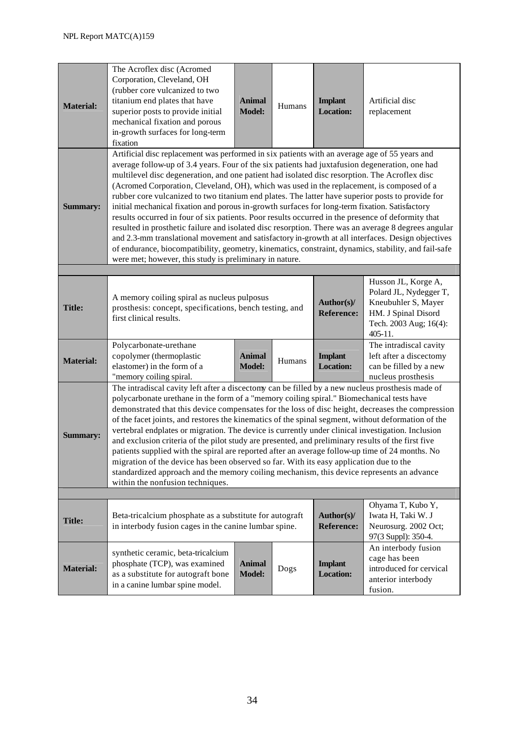| <b>Material:</b> | The Acroflex disc (Acromed<br>Corporation, Cleveland, OH<br>(rubber core vulcanized to two<br>titanium end plates that have<br>superior posts to provide initial<br>mechanical fixation and porous<br>in-growth surfaces for long-term<br>fixation                                                                                                                                                                                                                                                                                                                                                                                                                                                                                                                                                                                                                                                                                                                                                                                                                                      | <b>Animal</b><br><b>Model:</b> | Humans | <b>Implant</b><br><b>Location:</b> | Artificial disc<br>replacement                                                                                                   |  |  |  |
|------------------|-----------------------------------------------------------------------------------------------------------------------------------------------------------------------------------------------------------------------------------------------------------------------------------------------------------------------------------------------------------------------------------------------------------------------------------------------------------------------------------------------------------------------------------------------------------------------------------------------------------------------------------------------------------------------------------------------------------------------------------------------------------------------------------------------------------------------------------------------------------------------------------------------------------------------------------------------------------------------------------------------------------------------------------------------------------------------------------------|--------------------------------|--------|------------------------------------|----------------------------------------------------------------------------------------------------------------------------------|--|--|--|
| <b>Summary:</b>  | Artificial disc replacement was performed in six patients with an average age of 55 years and<br>average follow-up of 3.4 years. Four of the six patients had juxtafusion degeneration, one had<br>multilevel disc degeneration, and one patient had isolated disc resorption. The Acroflex disc<br>(Acromed Corporation, Cleveland, OH), which was used in the replacement, is composed of a<br>rubber core vulcanized to two titanium end plates. The latter have superior posts to provide for<br>initial mechanical fixation and porous in-growth surfaces for long-term fixation. Satisfactory<br>results occurred in four of six patients. Poor results occurred in the presence of deformity that<br>resulted in prosthetic failure and isolated disc resorption. There was an average 8 degrees angular<br>and 2.3-mm translational movement and satisfactory in-growth at all interfaces. Design objectives<br>of endurance, biocompatibility, geometry, kinematics, constraint, dynamics, stability, and fail-safe<br>were met; however, this study is preliminary in nature. |                                |        |                                    |                                                                                                                                  |  |  |  |
|                  |                                                                                                                                                                                                                                                                                                                                                                                                                                                                                                                                                                                                                                                                                                                                                                                                                                                                                                                                                                                                                                                                                         |                                |        |                                    |                                                                                                                                  |  |  |  |
| <b>Title:</b>    | A memory coiling spiral as nucleus pulposus<br>prosthesis: concept, specifications, bench testing, and<br>first clinical results.                                                                                                                                                                                                                                                                                                                                                                                                                                                                                                                                                                                                                                                                                                                                                                                                                                                                                                                                                       |                                |        | Author(s)/<br><b>Reference:</b>    | Husson JL, Korge A,<br>Polard JL, Nydegger T,<br>Kneubuhler S, Mayer<br>HM. J Spinal Disord<br>Tech. 2003 Aug; 16(4):<br>405-11. |  |  |  |
| <b>Material:</b> | Polycarbonate-urethane<br>copolymer (thermoplastic<br>elastomer) in the form of a<br>"memory coiling spiral.                                                                                                                                                                                                                                                                                                                                                                                                                                                                                                                                                                                                                                                                                                                                                                                                                                                                                                                                                                            | <b>Animal</b><br><b>Model:</b> | Humans | <b>Implant</b><br><b>Location:</b> | The intradiscal cavity<br>left after a discectomy<br>can be filled by a new<br>nucleus prosthesis                                |  |  |  |
| <b>Summary:</b>  | The intradiscal cavity left after a discectomy can be filled by a new nucleus prosthesis made of<br>polycarbonate urethane in the form of a "memory coiling spiral." Biomechanical tests have<br>demonstrated that this device compensates for the loss of disc height, decreases the compression<br>of the facet joints, and restores the kinematics of the spinal segment, without deformation of the<br>vertebral endplates or migration. The device is currently under clinical investigation. Inclusion<br>and exclusion criteria of the pilot study are presented, and preliminary results of the first five<br>patients supplied with the spiral are reported after an average follow-up time of 24 months. No<br>migration of the device has been observed so far. With its easy application due to the<br>standardized approach and the memory coiling mechanism, this device represents an advance<br>within the nonfusion techniques.                                                                                                                                        |                                |        |                                    |                                                                                                                                  |  |  |  |
|                  |                                                                                                                                                                                                                                                                                                                                                                                                                                                                                                                                                                                                                                                                                                                                                                                                                                                                                                                                                                                                                                                                                         |                                |        |                                    |                                                                                                                                  |  |  |  |
| <b>Title:</b>    | Beta-tricalcium phosphate as a substitute for autograft<br>in interbody fusion cages in the canine lumbar spine.                                                                                                                                                                                                                                                                                                                                                                                                                                                                                                                                                                                                                                                                                                                                                                                                                                                                                                                                                                        |                                |        | Author(s)/<br><b>Reference:</b>    | Ohyama T, Kubo Y,<br>Iwata H, Taki W. J<br>Neurosurg. 2002 Oct;<br>97(3 Suppl): 350-4.                                           |  |  |  |
| <b>Material:</b> | synthetic ceramic, beta-tricalcium<br>phosphate (TCP), was examined<br>as a substitute for autograft bone<br>in a canine lumbar spine model.                                                                                                                                                                                                                                                                                                                                                                                                                                                                                                                                                                                                                                                                                                                                                                                                                                                                                                                                            | <b>Animal</b><br><b>Model:</b> | Dogs   | <b>Implant</b><br><b>Location:</b> | An interbody fusion<br>cage has been<br>introduced for cervical<br>anterior interbody<br>fusion.                                 |  |  |  |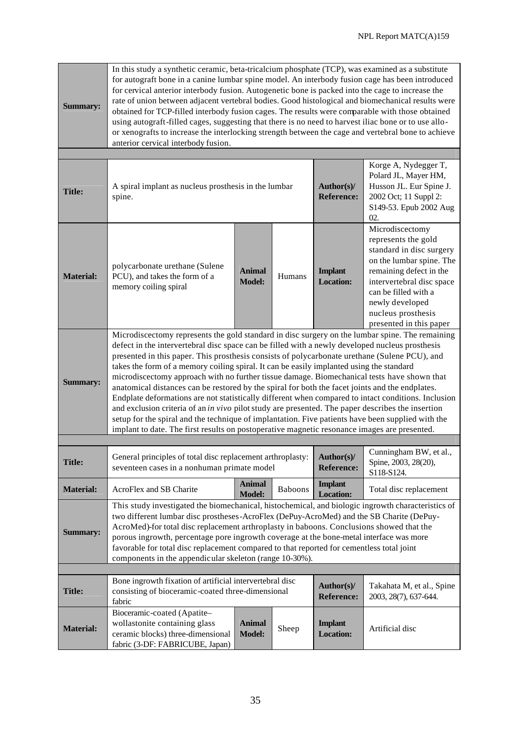| <b>Summary:</b>  | In this study a synthetic ceramic, beta-tricalcium phosphate (TCP), was examined as a substitute<br>for autograft bone in a canine lumbar spine model. An interbody fusion cage has been introduced<br>for cervical anterior interbody fusion. Autogenetic bone is packed into the cage to increase the<br>rate of union between adjacent vertebral bodies. Good histological and biomechanical results were<br>obtained for TCP-filled interbody fusion cages. The results were comparable with those obtained<br>using autograft-filled cages, suggesting that there is no need to harvest iliac bone or to use allo-<br>or xenografts to increase the interlocking strength between the cage and vertebral bone to achieve<br>anterior cervical interbody fusion.                                                                                                                                                                                                                                               |                                |         |                                    |                                                                                                                                                                                                                                                    |  |  |
|------------------|--------------------------------------------------------------------------------------------------------------------------------------------------------------------------------------------------------------------------------------------------------------------------------------------------------------------------------------------------------------------------------------------------------------------------------------------------------------------------------------------------------------------------------------------------------------------------------------------------------------------------------------------------------------------------------------------------------------------------------------------------------------------------------------------------------------------------------------------------------------------------------------------------------------------------------------------------------------------------------------------------------------------|--------------------------------|---------|------------------------------------|----------------------------------------------------------------------------------------------------------------------------------------------------------------------------------------------------------------------------------------------------|--|--|
|                  |                                                                                                                                                                                                                                                                                                                                                                                                                                                                                                                                                                                                                                                                                                                                                                                                                                                                                                                                                                                                                    |                                |         |                                    |                                                                                                                                                                                                                                                    |  |  |
| <b>Title:</b>    | A spiral implant as nucleus prosthesis in the lumbar<br>spine.                                                                                                                                                                                                                                                                                                                                                                                                                                                                                                                                                                                                                                                                                                                                                                                                                                                                                                                                                     |                                |         | Author(s)/<br><b>Reference:</b>    | Korge A, Nydegger T,<br>Polard JL, Mayer HM,<br>Husson JL. Eur Spine J.<br>2002 Oct; 11 Suppl 2:<br>S149-53. Epub 2002 Aug<br>02.                                                                                                                  |  |  |
| <b>Material:</b> | polycarbonate urethane (Sulene<br>PCU), and takes the form of a<br>memory coiling spiral                                                                                                                                                                                                                                                                                                                                                                                                                                                                                                                                                                                                                                                                                                                                                                                                                                                                                                                           | <b>Animal</b><br><b>Model:</b> | Humans  | <b>Implant</b><br><b>Location:</b> | Microdiscectomy<br>represents the gold<br>standard in disc surgery<br>on the lumbar spine. The<br>remaining defect in the<br>intervertebral disc space<br>can be filled with a<br>newly developed<br>nucleus prosthesis<br>presented in this paper |  |  |
| <b>Summary:</b>  | Microdiscectomy represents the gold standard in disc surgery on the lumbar spine. The remaining<br>defect in the intervertebral disc space can be filled with a newly developed nucleus prosthesis<br>presented in this paper. This prosthesis consists of polycarbonate urethane (Sulene PCU), and<br>takes the form of a memory coiling spiral. It can be easily implanted using the standard<br>microdiscectomy approach with no further tissue damage. Biomechanical tests have shown that<br>anatomical distances can be restored by the spiral for both the facet joints and the endplates.<br>Endplate deformations are not statistically different when compared to intact conditions. Inclusion<br>and exclusion criteria of an in vivo pilot study are presented. The paper describes the insertion<br>setup for the spiral and the technique of implantation. Five patients have been supplied with the<br>implant to date. The first results on postoperative magnetic resonance images are presented. |                                |         |                                    |                                                                                                                                                                                                                                                    |  |  |
|                  |                                                                                                                                                                                                                                                                                                                                                                                                                                                                                                                                                                                                                                                                                                                                                                                                                                                                                                                                                                                                                    |                                |         |                                    |                                                                                                                                                                                                                                                    |  |  |
| <b>Title:</b>    | General principles of total disc replacement arthroplasty:   Author(s)/<br>seventeen cases in a nonhuman primate model                                                                                                                                                                                                                                                                                                                                                                                                                                                                                                                                                                                                                                                                                                                                                                                                                                                                                             |                                |         | <b>Reference:</b>                  | Cunningham BW, et al.,<br>Spine, 2003, 28(20),<br>S118-S124.                                                                                                                                                                                       |  |  |
| <b>Material:</b> | AcroFlex and SB Charite                                                                                                                                                                                                                                                                                                                                                                                                                                                                                                                                                                                                                                                                                                                                                                                                                                                                                                                                                                                            | <b>Animal</b><br><b>Model:</b> | Baboons | <b>Implant</b><br><b>Location:</b> | Total disc replacement                                                                                                                                                                                                                             |  |  |
| <b>Summary:</b>  | This study investigated the biomechanical, histochemical, and biologic ingrowth characteristics of<br>two different lumbar disc prostheses-AcroFlex (DePuy-AcroMed) and the SB Charite (DePuy-<br>AcroMed)-for total disc replacement arthroplasty in baboons. Conclusions showed that the<br>porous ingrowth, percentage pore ingrowth coverage at the bone-metal interface was more<br>favorable for total disc replacement compared to that reported for cementless total joint<br>components in the appendicular skeleton (range 10-30%).                                                                                                                                                                                                                                                                                                                                                                                                                                                                      |                                |         |                                    |                                                                                                                                                                                                                                                    |  |  |
|                  |                                                                                                                                                                                                                                                                                                                                                                                                                                                                                                                                                                                                                                                                                                                                                                                                                                                                                                                                                                                                                    |                                |         |                                    |                                                                                                                                                                                                                                                    |  |  |
| <b>Title:</b>    | Bone ingrowth fixation of artificial intervertebral disc<br>consisting of bioceramic-coated three-dimensional<br>fabric                                                                                                                                                                                                                                                                                                                                                                                                                                                                                                                                                                                                                                                                                                                                                                                                                                                                                            |                                |         | Author(s)/<br><b>Reference:</b>    | Takahata M, et al., Spine<br>2003, 28(7), 637-644.                                                                                                                                                                                                 |  |  |
| <b>Material:</b> | Bioceramic-coated (Apatite-<br>wollastonite containing glass<br>ceramic blocks) three-dimensional<br>fabric (3-DF: FABRICUBE, Japan)                                                                                                                                                                                                                                                                                                                                                                                                                                                                                                                                                                                                                                                                                                                                                                                                                                                                               | <b>Animal</b><br><b>Model:</b> | Sheep   | <b>Implant</b><br><b>Location:</b> | Artificial disc                                                                                                                                                                                                                                    |  |  |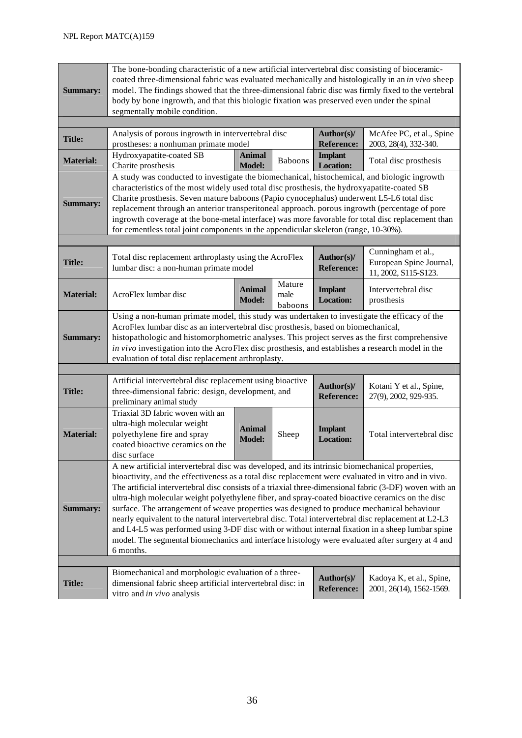| <b>Summary:</b>  | The bone-bonding characteristic of a new artificial intervertebral disc consisting of bioceramic-<br>coated three-dimensional fabric was evaluated mechanically and histologically in an in vivo sheep<br>model. The findings showed that the three-dimensional fabric disc was firmly fixed to the vertebral<br>body by bone ingrowth, and that this biologic fixation was preserved even under the spinal<br>segmentally mobile condition.                                                                                                                                                                                                                                                                                                                                                                                                   |                                |                           |                                    |                                                                       |  |  |  |
|------------------|------------------------------------------------------------------------------------------------------------------------------------------------------------------------------------------------------------------------------------------------------------------------------------------------------------------------------------------------------------------------------------------------------------------------------------------------------------------------------------------------------------------------------------------------------------------------------------------------------------------------------------------------------------------------------------------------------------------------------------------------------------------------------------------------------------------------------------------------|--------------------------------|---------------------------|------------------------------------|-----------------------------------------------------------------------|--|--|--|
|                  | Analysis of porous ingrowth in intervertebral disc<br>McAfee PC, et al., Spine<br>Author(s)/                                                                                                                                                                                                                                                                                                                                                                                                                                                                                                                                                                                                                                                                                                                                                   |                                |                           |                                    |                                                                       |  |  |  |
| <b>Title:</b>    | <b>Reference:</b><br>prostheses: a nonhuman primate model                                                                                                                                                                                                                                                                                                                                                                                                                                                                                                                                                                                                                                                                                                                                                                                      |                                |                           | 2003, 28(4), 332-340.              |                                                                       |  |  |  |
| <b>Material:</b> | Hydroxyapatite-coated SB<br>Charite prosthesis                                                                                                                                                                                                                                                                                                                                                                                                                                                                                                                                                                                                                                                                                                                                                                                                 | <b>Animal</b><br><b>Model:</b> | <b>Baboons</b>            | <b>Implant</b><br><b>Location:</b> | Total disc prosthesis                                                 |  |  |  |
| <b>Summary:</b>  | A study was conducted to investigate the biomechanical, histochemical, and biologic ingrowth<br>characteristics of the most widely used total disc prosthesis, the hydroxyapatite-coated SB<br>Charite prosthesis. Seven mature baboons (Papio cynocephalus) underwent L5-L6 total disc<br>replacement through an anterior transperitoneal approach. porous ingrowth (percentage of pore<br>ingrowth coverage at the bone-metal interface) was more favorable for total disc replacement than<br>for cementless total joint components in the appendicular skeleton (range, 10-30%).                                                                                                                                                                                                                                                           |                                |                           |                                    |                                                                       |  |  |  |
|                  |                                                                                                                                                                                                                                                                                                                                                                                                                                                                                                                                                                                                                                                                                                                                                                                                                                                |                                |                           |                                    |                                                                       |  |  |  |
| <b>Title:</b>    | Total disc replacement arthroplasty using the AcroFlex<br>lumbar disc: a non-human primate model                                                                                                                                                                                                                                                                                                                                                                                                                                                                                                                                                                                                                                                                                                                                               |                                |                           | Author(s)/<br><b>Reference:</b>    | Cunningham et al.,<br>European Spine Journal,<br>11, 2002, S115-S123. |  |  |  |
| <b>Material:</b> | AcroFlex lumbar disc                                                                                                                                                                                                                                                                                                                                                                                                                                                                                                                                                                                                                                                                                                                                                                                                                           | <b>Animal</b><br><b>Model:</b> | Mature<br>male<br>baboons | <b>Implant</b><br><b>Location:</b> | Intervertebral disc<br>prosthesis                                     |  |  |  |
| <b>Summary:</b>  | Using a non-human primate model, this study was undertaken to investigate the efficacy of the<br>AcroFlex lumbar disc as an intervertebral disc prosthesis, based on biomechanical,<br>histopathologic and histomorphometric analyses. This project serves as the first comprehensive<br>in vivo investigation into the AcroFlex disc prosthesis, and establishes a research model in the<br>evaluation of total disc replacement arthroplasty.                                                                                                                                                                                                                                                                                                                                                                                                |                                |                           |                                    |                                                                       |  |  |  |
|                  |                                                                                                                                                                                                                                                                                                                                                                                                                                                                                                                                                                                                                                                                                                                                                                                                                                                |                                |                           |                                    |                                                                       |  |  |  |
| <b>Title:</b>    | Artificial intervertebral disc replacement using bioactive<br>three-dimensional fabric: design, development, and<br>preliminary animal study                                                                                                                                                                                                                                                                                                                                                                                                                                                                                                                                                                                                                                                                                                   |                                |                           | Author(s)/<br><b>Reference:</b>    | Kotani Y et al., Spine,<br>27(9), 2002, 929-935.                      |  |  |  |
| <b>Material:</b> | Triaxial 3D fabric woven with an<br>ultra-high molecular weight<br>polyethylene fire and spray<br>coated bioactive ceramics on the<br>disc surface                                                                                                                                                                                                                                                                                                                                                                                                                                                                                                                                                                                                                                                                                             | <b>Animal</b><br><b>Model:</b> | Sheep                     | <b>Implant</b><br><b>Location:</b> | Total intervertebral disc                                             |  |  |  |
| <b>Summary:</b>  | A new artificial intervertebral disc was developed, and its intrinsic biomechanical properties,<br>bioactivity, and the effectiveness as a total disc replacement were evaluated in vitro and in vivo.<br>The artificial intervertebral disc consists of a triaxial three-dimensional fabric (3-DF) woven with an<br>ultra-high molecular weight polyethylene fiber, and spray-coated bioactive ceramics on the disc<br>surface. The arrangement of weave properties was designed to produce mechanical behaviour<br>nearly equivalent to the natural intervertebral disc. Total intervertebral disc replacement at L2-L3<br>and L4-L5 was performed using 3-DF disc with or without internal fixation in a sheep lumbar spine<br>model. The segmental biomechanics and interface histology were evaluated after surgery at 4 and<br>6 months. |                                |                           |                                    |                                                                       |  |  |  |
|                  |                                                                                                                                                                                                                                                                                                                                                                                                                                                                                                                                                                                                                                                                                                                                                                                                                                                |                                |                           |                                    |                                                                       |  |  |  |
| <b>Title:</b>    | Biomechanical and morphologic evaluation of a three-<br>dimensional fabric sheep artificial intervertebral disc: in<br>vitro and in vivo analysis                                                                                                                                                                                                                                                                                                                                                                                                                                                                                                                                                                                                                                                                                              |                                |                           | Author(s)/<br><b>Reference:</b>    | Kadoya K, et al., Spine,<br>2001, 26(14), 1562-1569.                  |  |  |  |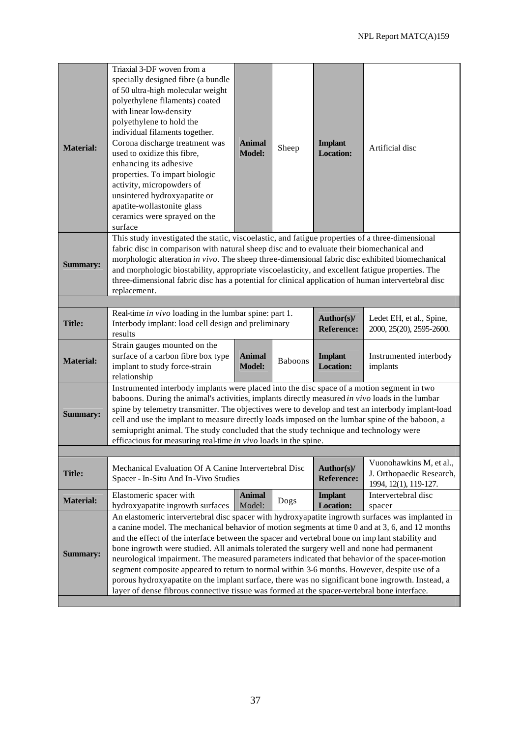| <b>Material:</b> | Triaxial 3-DF woven from a<br>specially designed fibre (a bundle<br>of 50 ultra-high molecular weight<br>polyethylene filaments) coated<br>with linear low-density<br>polyethylene to hold the<br>individual filaments together.<br>Corona discharge treatment was<br>used to oxidize this fibre,<br>enhancing its adhesive<br>properties. To impart biologic<br>activity, micropowders of<br>unsintered hydroxyapatite or<br>apatite-wollastonite glass<br>ceramics were sprayed on the<br>surface                                                                                                                                                                                                                                                                                                   | <b>Animal</b><br><b>Model:</b>                   | Sheep | <b>Implant</b><br><b>Location:</b> | Artificial disc                                                              |  |  |  |
|------------------|-------------------------------------------------------------------------------------------------------------------------------------------------------------------------------------------------------------------------------------------------------------------------------------------------------------------------------------------------------------------------------------------------------------------------------------------------------------------------------------------------------------------------------------------------------------------------------------------------------------------------------------------------------------------------------------------------------------------------------------------------------------------------------------------------------|--------------------------------------------------|-------|------------------------------------|------------------------------------------------------------------------------|--|--|--|
| <b>Summary:</b>  | This study investigated the static, viscoelastic, and fatigue properties of a three-dimensional<br>fabric disc in comparison with natural sheep disc and to evaluate their biomechanical and<br>morphologic alteration in vivo. The sheep three-dimensional fabric disc exhibited biomechanical<br>and morphologic biostability, appropriate viscoelasticity, and excellent fatigue properties. The<br>three-dimensional fabric disc has a potential for clinical application of human intervertebral disc<br>replacement.                                                                                                                                                                                                                                                                            |                                                  |       |                                    |                                                                              |  |  |  |
|                  |                                                                                                                                                                                                                                                                                                                                                                                                                                                                                                                                                                                                                                                                                                                                                                                                       |                                                  |       |                                    |                                                                              |  |  |  |
| <b>Title:</b>    | Real-time in vivo loading in the lumbar spine: part 1.<br>Author(s)/<br>Ledet EH, et al., Spine,<br>Interbody implant: load cell design and preliminary<br><b>Reference:</b><br>2000, 25(20), 2595-2600.<br>results                                                                                                                                                                                                                                                                                                                                                                                                                                                                                                                                                                                   |                                                  |       |                                    |                                                                              |  |  |  |
| <b>Material:</b> | Strain gauges mounted on the<br>surface of a carbon fibre box type<br>implant to study force-strain<br>relationship                                                                                                                                                                                                                                                                                                                                                                                                                                                                                                                                                                                                                                                                                   | <b>Animal</b><br><b>Baboons</b><br><b>Model:</b> |       | <b>Implant</b><br><b>Location:</b> | Instrumented interbody<br>implants                                           |  |  |  |
| <b>Summary:</b>  | Instrumented interbody implants were placed into the disc space of a motion segment in two<br>baboons. During the animal's activities, implants directly measured in vivo loads in the lumbar<br>spine by telemetry transmitter. The objectives were to develop and test an interbody implant-load<br>cell and use the implant to measure directly loads imposed on the lumbar spine of the baboon, a<br>semiupright animal. The study concluded that the study technique and technology were<br>efficacious for measuring real-time in vivo loads in the spine.                                                                                                                                                                                                                                      |                                                  |       |                                    |                                                                              |  |  |  |
|                  |                                                                                                                                                                                                                                                                                                                                                                                                                                                                                                                                                                                                                                                                                                                                                                                                       |                                                  |       |                                    |                                                                              |  |  |  |
| <b>Title:</b>    | Mechanical Evaluation Of A Canine Intervertebral Disc<br>Spacer - In-Situ And In-Vivo Studies                                                                                                                                                                                                                                                                                                                                                                                                                                                                                                                                                                                                                                                                                                         |                                                  |       | Author(s)/<br><b>Reference:</b>    | Vuonohawkins M, et al.,<br>J. Orthopaedic Research,<br>1994, 12(1), 119-127. |  |  |  |
| <b>Material:</b> | Elastomeric spacer with<br>hydroxyapatite ingrowth surfaces                                                                                                                                                                                                                                                                                                                                                                                                                                                                                                                                                                                                                                                                                                                                           | <b>Animal</b><br>Model:                          | Dogs  | <b>Implant</b><br><b>Location:</b> | Intervertebral disc<br>spacer                                                |  |  |  |
| <b>Summary:</b>  | An elastomeric intervertebral disc spacer with hydroxyapatite ingrowth surfaces was implanted in<br>a canine model. The mechanical behavior of motion segments at time 0 and at 3, 6, and 12 months<br>and the effect of the interface between the spacer and vertebral bone on implant stability and<br>bone ingrowth were studied. All animals tolerated the surgery well and none had permanent<br>neurological impairment. The measured parameters indicated that behavior of the spacer-motion<br>segment composite appeared to return to normal within 3-6 months. However, despite use of a<br>porous hydroxyapatite on the implant surface, there was no significant bone ingrowth. Instead, a<br>layer of dense fibrous connective tissue was formed at the spacer-vertebral bone interface. |                                                  |       |                                    |                                                                              |  |  |  |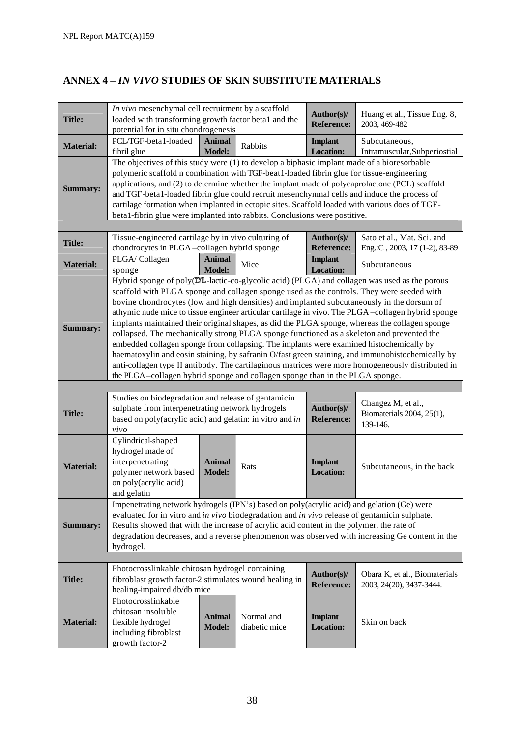# **ANNEX 4 –** *IN VIVO* **STUDIES OF SKIN SUBSTITUTE MATERIALS**

| <b>Title:</b>    | In vivo mesenchymal cell recruitment by a scaffold<br>loaded with transforming growth factor beta1 and the<br>potential for in situ chondrogenesis                                                                                                                                                                                                                                                                                                                                                                                                                                                                                                                                                                                                                                                                                                                                                                                                                              |                                |                             | Author(s)/<br><b>Reference:</b>    | Huang et al., Tissue Eng. 8,<br>2003, 469-482                                                  |  |  |
|------------------|---------------------------------------------------------------------------------------------------------------------------------------------------------------------------------------------------------------------------------------------------------------------------------------------------------------------------------------------------------------------------------------------------------------------------------------------------------------------------------------------------------------------------------------------------------------------------------------------------------------------------------------------------------------------------------------------------------------------------------------------------------------------------------------------------------------------------------------------------------------------------------------------------------------------------------------------------------------------------------|--------------------------------|-----------------------------|------------------------------------|------------------------------------------------------------------------------------------------|--|--|
| <b>Material:</b> | PCL/TGF-beta1-loaded<br>fibril glue                                                                                                                                                                                                                                                                                                                                                                                                                                                                                                                                                                                                                                                                                                                                                                                                                                                                                                                                             | <b>Animal</b><br><b>Model:</b> | Rabbits                     | <b>Implant</b><br><b>Location:</b> | Subcutaneous,<br>Intramuscular, Subperiostial                                                  |  |  |
| <b>Summary:</b>  | The objectives of this study were (1) to develop a biphasic implant made of a bioresorbable<br>polymeric scaffold n combination with TGF-beat1-loaded fibrin glue for tissue-engineering<br>applications, and (2) to determine whether the implant made of polycaprolactone (PCL) scaffold<br>and TGF-beta1-loaded fibrin glue could recruit mesenchynmal cells and induce the process of<br>cartilage formation when implanted in ectopic sites. Scaffold loaded with various does of TGF-<br>beta1-fibrin glue were implanted into rabbits. Conclusions were postitive.                                                                                                                                                                                                                                                                                                                                                                                                       |                                |                             |                                    |                                                                                                |  |  |
|                  |                                                                                                                                                                                                                                                                                                                                                                                                                                                                                                                                                                                                                                                                                                                                                                                                                                                                                                                                                                                 |                                |                             |                                    |                                                                                                |  |  |
| <b>Title:</b>    | Tissue-engineered cartilage by in vivo culturing of<br>chondrocytes in PLGA-collagen hybrid sponge                                                                                                                                                                                                                                                                                                                                                                                                                                                                                                                                                                                                                                                                                                                                                                                                                                                                              |                                |                             | Author(s)/<br><b>Reference:</b>    | Sato et al., Mat. Sci. and<br>Eng.:C, 2003, 17 (1-2), 83-89                                    |  |  |
| <b>Material:</b> | PLGA/Collagen<br>sponge                                                                                                                                                                                                                                                                                                                                                                                                                                                                                                                                                                                                                                                                                                                                                                                                                                                                                                                                                         | <b>Animal</b><br><b>Model:</b> | Mice                        | <b>Implant</b><br><b>Location:</b> | Subcutaneous                                                                                   |  |  |
| <b>Summary:</b>  | Hybrid sponge of poly(DL-lactic-co-glycolic acid) (PLGA) and collagen was used as the porous<br>scaffold with PLGA sponge and collagen sponge used as the controls. They were seeded with<br>bovine chondrocytes (low and high densities) and implanted subcutaneously in the dorsum of<br>athymic nude mice to tissue engineer articular cartilage in vivo. The PLGA-collagen hybrid sponge<br>implants maintained their original shapes, as did the PLGA sponge, whereas the collagen sponge<br>collapsed. The mechanically strong PLGA sponge functioned as a skeleton and prevented the<br>embedded collagen sponge from collapsing. The implants were examined histochemically by<br>haematoxylin and eosin staining, by safranin O/fast green staining, and immunohistochemically by<br>anti-collagen type II antibody. The cartilaginous matrices were more homogeneously distributed in<br>the PLGA-collagen hybrid sponge and collagen sponge than in the PLGA sponge. |                                |                             |                                    |                                                                                                |  |  |
|                  |                                                                                                                                                                                                                                                                                                                                                                                                                                                                                                                                                                                                                                                                                                                                                                                                                                                                                                                                                                                 |                                |                             |                                    |                                                                                                |  |  |
| <b>Title:</b>    | Studies on biodegradation and release of gentamicin<br>sulphate from interpenetrating network hydrogels<br>based on poly(acrylic acid) and gelatin: in vitro and in<br>vivo                                                                                                                                                                                                                                                                                                                                                                                                                                                                                                                                                                                                                                                                                                                                                                                                     |                                |                             | Author(s)/<br><b>Reference:</b>    | Changez M, et al.,<br>Biomaterials 2004, 25(1),<br>139-146.                                    |  |  |
| <b>Material:</b> | Cylindrical-shaped<br>hydrogel made of<br>interpenetrating<br>polymer network based<br>on poly(acrylic acid)<br>and gelatin                                                                                                                                                                                                                                                                                                                                                                                                                                                                                                                                                                                                                                                                                                                                                                                                                                                     | <b>Animal</b><br><b>Model:</b> | Rats                        | <b>Implant</b><br><b>Location:</b> | Subcutaneous, in the back                                                                      |  |  |
| <b>Summary:</b>  | Impenetrating network hydrogels (IPN's) based on poly(acrylic acid) and gelation (Ge) were<br>evaluated for in vitro and in vivo biodegradation and in vivo release of gentamicin sulphate.<br>Results showed that with the increase of acrylic acid content in the polymer, the rate of<br>hydrogel.                                                                                                                                                                                                                                                                                                                                                                                                                                                                                                                                                                                                                                                                           |                                |                             |                                    | degradation decreases, and a reverse phenomenon was observed with increasing Ge content in the |  |  |
|                  |                                                                                                                                                                                                                                                                                                                                                                                                                                                                                                                                                                                                                                                                                                                                                                                                                                                                                                                                                                                 |                                |                             |                                    |                                                                                                |  |  |
| <b>Title:</b>    | Photocrosslinkable chitosan hydrogel containing<br>fibroblast growth factor-2 stimulates wound healing in<br>healing-impaired db/db mice                                                                                                                                                                                                                                                                                                                                                                                                                                                                                                                                                                                                                                                                                                                                                                                                                                        |                                |                             | Author(s)/<br><b>Reference:</b>    | Obara K, et al., Biomaterials<br>2003, 24(20), 3437-3444.                                      |  |  |
| <b>Material:</b> | Photocrosslinkable<br>chitosan insoluble<br>flexible hydrogel<br>including fibroblast<br>growth factor-2                                                                                                                                                                                                                                                                                                                                                                                                                                                                                                                                                                                                                                                                                                                                                                                                                                                                        | <b>Animal</b><br><b>Model:</b> | Normal and<br>diabetic mice | <b>Implant</b><br><b>Location:</b> | Skin on back                                                                                   |  |  |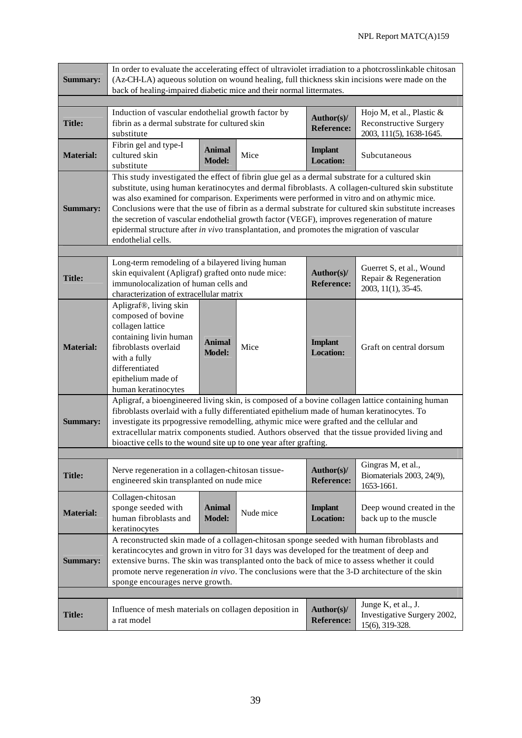| <b>Summary:</b>  | In order to evaluate the accelerating effect of ultraviolet irradiation to a photcrosslinkable chitosan<br>(Az-CH-LA) aqueous solution on wound healing, full thickness skin incisions were made on the<br>back of healing-impaired diabetic mice and their normal littermates.                                                                                                                                                                                                                                                                                                                                              |                                |           |                                    |                                                                                                                                                                                                   |  |  |
|------------------|------------------------------------------------------------------------------------------------------------------------------------------------------------------------------------------------------------------------------------------------------------------------------------------------------------------------------------------------------------------------------------------------------------------------------------------------------------------------------------------------------------------------------------------------------------------------------------------------------------------------------|--------------------------------|-----------|------------------------------------|---------------------------------------------------------------------------------------------------------------------------------------------------------------------------------------------------|--|--|
|                  |                                                                                                                                                                                                                                                                                                                                                                                                                                                                                                                                                                                                                              |                                |           |                                    |                                                                                                                                                                                                   |  |  |
| <b>Title:</b>    | Induction of vascular endothelial growth factor by<br>fibrin as a dermal substrate for cultured skin<br>substitute                                                                                                                                                                                                                                                                                                                                                                                                                                                                                                           |                                |           | Author(s)/<br><b>Reference:</b>    | Hojo M, et al., Plastic &<br><b>Reconstructive Surgery</b><br>2003, 111(5), 1638-1645.                                                                                                            |  |  |
| <b>Material:</b> | Fibrin gel and type-I<br>cultured skin<br>substitute                                                                                                                                                                                                                                                                                                                                                                                                                                                                                                                                                                         | <b>Animal</b><br><b>Model:</b> | Mice      | <b>Implant</b><br><b>Location:</b> | Subcutaneous                                                                                                                                                                                      |  |  |
| <b>Summary:</b>  | This study investigated the effect of fibrin glue gel as a dermal substrate for a cultured skin<br>substitute, using human keratinocytes and dermal fibroblasts. A collagen-cultured skin substitute<br>was also examined for comparison. Experiments were performed in vitro and on athymic mice.<br>Conclusions were that the use of fibrin as a dermal substrate for cultured skin substitute increases<br>the secretion of vascular endothelial growth factor (VEGF), improves regeneration of mature<br>epidermal structure after in vivo transplantation, and promotes the migration of vascular<br>endothelial cells. |                                |           |                                    |                                                                                                                                                                                                   |  |  |
|                  |                                                                                                                                                                                                                                                                                                                                                                                                                                                                                                                                                                                                                              |                                |           |                                    |                                                                                                                                                                                                   |  |  |
| <b>Title:</b>    | Long-term remodeling of a bilayered living human<br>skin equivalent (Apligraf) grafted onto nude mice:<br>immunolocalization of human cells and<br>characterization of extracellular matrix                                                                                                                                                                                                                                                                                                                                                                                                                                  |                                |           | Author(s)/<br><b>Reference:</b>    | Guerret S, et al., Wound<br>Repair & Regeneration<br>2003, 11(1), 35-45.                                                                                                                          |  |  |
| <b>Material:</b> | Apligraf <sup>®</sup> , living skin<br>composed of bovine<br>collagen lattice<br>containing livin human<br>fibroblasts overlaid<br>with a fully<br>differentiated<br>epithelium made of<br>human keratinocytes                                                                                                                                                                                                                                                                                                                                                                                                               | Animal<br><b>Model:</b>        | Mice      | <b>Implant</b><br><b>Location:</b> | Graft on central dorsum                                                                                                                                                                           |  |  |
| <b>Summary:</b>  | fibroblasts overlaid with a fully differentiated epithelium made of human keratinocytes. To<br>investigate its prpogressive remodelling, athymic mice were grafted and the cellular and<br>bioactive cells to the wound site up to one year after grafting.                                                                                                                                                                                                                                                                                                                                                                  |                                |           |                                    | Apligraf, a bioengineered living skin, is composed of a bovine collagen lattice containing human<br>extracellular matrix components studied. Authors observed that the tissue provided living and |  |  |
|                  |                                                                                                                                                                                                                                                                                                                                                                                                                                                                                                                                                                                                                              |                                |           |                                    |                                                                                                                                                                                                   |  |  |
| <b>Title:</b>    | Nerve regeneration in a collagen-chitosan tissue-<br>engineered skin transplanted on nude mice                                                                                                                                                                                                                                                                                                                                                                                                                                                                                                                               |                                |           | Author(s)/<br><b>Reference:</b>    | Gingras M, et al.,<br>Biomaterials 2003, 24(9),<br>1653-1661.                                                                                                                                     |  |  |
| <b>Material:</b> | Collagen-chitosan<br>sponge seeded with<br>human fibroblasts and<br>keratinocytes                                                                                                                                                                                                                                                                                                                                                                                                                                                                                                                                            | <b>Animal</b><br><b>Model:</b> | Nude mice | <b>Implant</b><br><b>Location:</b> | Deep wound created in the<br>back up to the muscle                                                                                                                                                |  |  |
| <b>Summary:</b>  | A reconstructed skin made of a collagen-chitosan sponge seeded with human fibroblasts and<br>keratincocytes and grown in vitro for 31 days was developed for the treatment of deep and<br>extensive burns. The skin was transplanted onto the back of mice to assess whether it could<br>promote nerve regeneration in vivo. The conclusions were that the 3-D architecture of the skin<br>sponge encourages nerve growth.                                                                                                                                                                                                   |                                |           |                                    |                                                                                                                                                                                                   |  |  |
|                  |                                                                                                                                                                                                                                                                                                                                                                                                                                                                                                                                                                                                                              |                                |           |                                    |                                                                                                                                                                                                   |  |  |
| <b>Title:</b>    | Influence of mesh materials on collagen deposition in<br>a rat model                                                                                                                                                                                                                                                                                                                                                                                                                                                                                                                                                         |                                |           | Author(s)/<br><b>Reference:</b>    | Junge K, et al., J.<br>Investigative Surgery 2002,<br>15(6), 319-328.                                                                                                                             |  |  |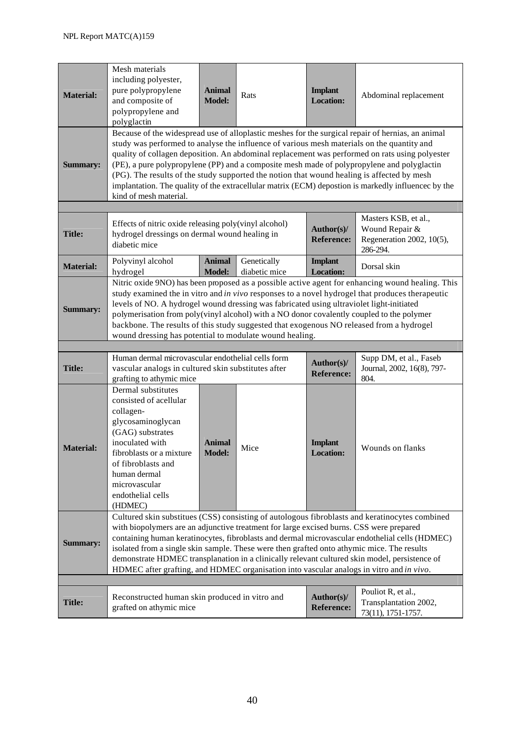| <b>Material:</b> | Mesh materials<br>including polyester,<br>pure polypropylene<br>and composite of<br>polypropylene and<br>polyglactin                                                                                                                                                                                                                                                                                                                                                                                                                                                                                                           | <b>Animal</b><br><b>Model:</b> | Rats                            | <b>Implant</b><br><b>Location:</b>                                              | Abdominal replacement                                             |  |  |  |
|------------------|--------------------------------------------------------------------------------------------------------------------------------------------------------------------------------------------------------------------------------------------------------------------------------------------------------------------------------------------------------------------------------------------------------------------------------------------------------------------------------------------------------------------------------------------------------------------------------------------------------------------------------|--------------------------------|---------------------------------|---------------------------------------------------------------------------------|-------------------------------------------------------------------|--|--|--|
| <b>Summary:</b>  | Because of the widespread use of alloplastic meshes for the surgical repair of hernias, an animal<br>study was performed to analyse the influence of various mesh materials on the quantity and<br>quality of collagen deposition. An abdominal replacement was performed on rats using polyester<br>(PE), a pure polypropylene (PP) and a composite mesh made of polypropylene and polyglactin<br>(PG). The results of the study supported the notion that wound healing is affected by mesh<br>implantation. The quality of the extracellular matrix (ECM) depostion is markedly influencec by the<br>kind of mesh material. |                                |                                 |                                                                                 |                                                                   |  |  |  |
|                  |                                                                                                                                                                                                                                                                                                                                                                                                                                                                                                                                                                                                                                |                                |                                 |                                                                                 |                                                                   |  |  |  |
| <b>Title:</b>    | Effects of nitric oxide releasing poly(vinyl alcohol)<br>hydrogel dressings on dermal wound healing in<br>diabetic mice                                                                                                                                                                                                                                                                                                                                                                                                                                                                                                        |                                | Author(s)/<br><b>Reference:</b> | Masters KSB, et al.,<br>Wound Repair &<br>Regeneration 2002, 10(5),<br>286-294. |                                                                   |  |  |  |
| <b>Material:</b> | Polyvinyl alcohol<br>hydrogel                                                                                                                                                                                                                                                                                                                                                                                                                                                                                                                                                                                                  | <b>Animal</b><br><b>Model:</b> | Genetically<br>diabetic mice    | <b>Implant</b><br><b>Location:</b>                                              | Dorsal skin                                                       |  |  |  |
| <b>Summary:</b>  | Nitric oxide 9NO) has been proposed as a possible active agent for enhancing wound healing. This<br>study examined the in vitro and in vivo responses to a novel hydrogel that produces therapeutic<br>levels of NO. A hydrogel wound dressing was fabricated using ultraviolet light-initiated<br>polymerisation from poly(vinyl alcohol) with a NO donor covalently coupled to the polymer<br>backbone. The results of this study suggested that exogenous NO released from a hydrogel<br>wound dressing has potential to modulate wound healing.                                                                            |                                |                                 |                                                                                 |                                                                   |  |  |  |
|                  |                                                                                                                                                                                                                                                                                                                                                                                                                                                                                                                                                                                                                                |                                |                                 |                                                                                 |                                                                   |  |  |  |
| <b>Title:</b>    | Human dermal microvascular endothelial cells form<br>vascular analogs in cultured skin substitutes after<br>grafting to athymic mice                                                                                                                                                                                                                                                                                                                                                                                                                                                                                           |                                |                                 | Author(s)/<br><b>Reference:</b>                                                 | Supp DM, et al., Faseb<br>Journal, 2002, 16(8), 797-<br>804.      |  |  |  |
| <b>Material:</b> | Dermal substitutes<br>consisted of acellular<br>collagen-<br>glycosaminoglycan<br>(GAG) substrates<br>inoculated with<br>fibroblasts or a mixture<br>of fibroblasts and<br>human dermal<br>microvascular<br>endothelial cells<br>(HDMEC)                                                                                                                                                                                                                                                                                                                                                                                       | Animal<br><b>Model:</b>        | Mice                            | <b>Implant</b><br><b>Location:</b>                                              | Wounds on flanks                                                  |  |  |  |
| <b>Summary:</b>  | Cultured skin substitues (CSS) consisting of autologous fibroblasts and keratinocytes combined<br>with biopolymers are an adjunctive treatment for large excised burns. CSS were prepared<br>containing human keratinocytes, fibroblasts and dermal microvascular endothelial cells (HDMEC)<br>isolated from a single skin sample. These were then grafted onto athymic mice. The results<br>demonstrate HDMEC transplanation in a clinically relevant cultured skin model, persistence of<br>HDMEC after grafting, and HDMEC organisation into vascular analogs in vitro and in vivo.                                         |                                |                                 |                                                                                 |                                                                   |  |  |  |
|                  |                                                                                                                                                                                                                                                                                                                                                                                                                                                                                                                                                                                                                                |                                |                                 |                                                                                 |                                                                   |  |  |  |
| <b>Title:</b>    | Reconstructed human skin produced in vitro and<br>grafted on athymic mice                                                                                                                                                                                                                                                                                                                                                                                                                                                                                                                                                      |                                |                                 | Author(s)/<br><b>Reference:</b>                                                 | Pouliot R, et al.,<br>Transplantation 2002,<br>73(11), 1751-1757. |  |  |  |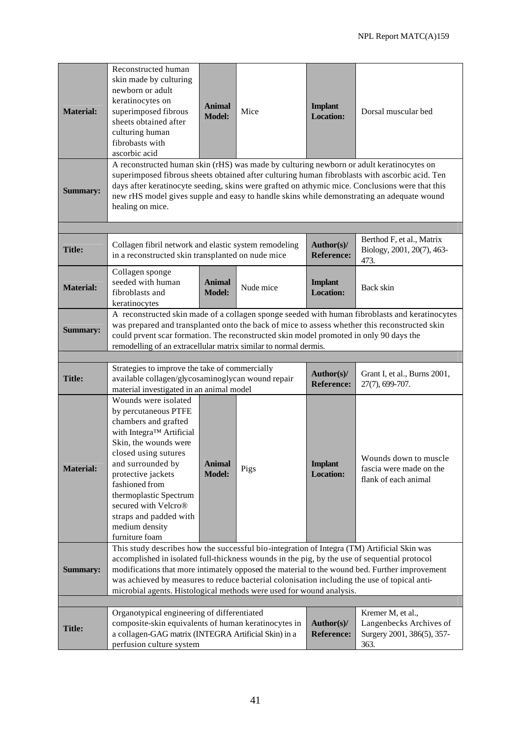| <b>Material:</b> | Reconstructed human<br>skin made by culturing<br>newborn or adult<br>keratinocytes on<br>superimposed fibrous<br>sheets obtained after<br>culturing human<br>fibrobasts with<br>ascorbic acid<br>A reconstructed human skin (rHS) was made by culturing newborn or adult keratinocytes on                                                                                                                                                                            | <b>Animal</b><br><b>Model:</b> | Mice      | <b>Implant</b><br><b>Location:</b> | Dorsal muscular bed                                                                |  |  |  |
|------------------|----------------------------------------------------------------------------------------------------------------------------------------------------------------------------------------------------------------------------------------------------------------------------------------------------------------------------------------------------------------------------------------------------------------------------------------------------------------------|--------------------------------|-----------|------------------------------------|------------------------------------------------------------------------------------|--|--|--|
| <b>Summary:</b>  | superimposed fibrous sheets obtained after culturing human fibroblasts with ascorbic acid. Ten<br>days after keratinocyte seeding, skins were grafted on athymic mice. Conclusions were that this<br>new rHS model gives supple and easy to handle skins while demonstrating an adequate wound<br>healing on mice.                                                                                                                                                   |                                |           |                                    |                                                                                    |  |  |  |
|                  |                                                                                                                                                                                                                                                                                                                                                                                                                                                                      |                                |           |                                    | Berthod F, et al., Matrix                                                          |  |  |  |
| <b>Title:</b>    | Collagen fibril network and elastic system remodeling<br>in a reconstructed skin transplanted on nude mice                                                                                                                                                                                                                                                                                                                                                           |                                |           | Author(s)/<br><b>Reference:</b>    | Biology, 2001, 20(7), 463-<br>473.                                                 |  |  |  |
| <b>Material:</b> | Collagen sponge<br>seeded with human<br>fibroblasts and<br>keratinocytes                                                                                                                                                                                                                                                                                                                                                                                             | <b>Animal</b><br><b>Model:</b> | Nude mice | <b>Implant</b><br><b>Location:</b> | Back skin                                                                          |  |  |  |
| <b>Summary:</b>  | A reconstructed skin made of a collagen sponge seeded with human fibroblasts and keratinocytes<br>was prepared and transplanted onto the back of mice to assess whether this reconstructed skin<br>could prvent scar formation. The reconstructed skin model promoted in only 90 days the<br>remodelling of an extracellular matrix similar to normal dermis.                                                                                                        |                                |           |                                    |                                                                                    |  |  |  |
|                  |                                                                                                                                                                                                                                                                                                                                                                                                                                                                      |                                |           |                                    |                                                                                    |  |  |  |
| <b>Title:</b>    | Strategies to improve the take of commercially<br>available collagen/glycosaminoglycan wound repair<br>material investigated in an animal model                                                                                                                                                                                                                                                                                                                      |                                |           | Author(s)/<br><b>Reference:</b>    | Grant I, et al., Burns 2001,<br>27(7), 699-707.                                    |  |  |  |
| <b>Material:</b> | Wounds were isolated<br>by percutaneous PTFE<br>chambers and grafted<br>with Integra™ Artificial<br>Skin, the wounds were<br>closed using sutures<br>and surrounded by<br>protective jackets<br>fashioned from<br>thermoplastic Spectrum<br>secured with Velcro®<br>straps and padded with<br>medium density<br>furniture foam                                                                                                                                       | <b>Animal</b><br><b>Model:</b> | Pigs      | <b>Implant</b><br><b>Location:</b> | Wounds down to muscle<br>fascia were made on the<br>flank of each animal           |  |  |  |
| <b>Summary:</b>  | This study describes how the successful bio-integration of Integra (TM) Artificial Skin was<br>accomplished in isolated full-thickness wounds in the pig, by the use of sequential protocol<br>modifications that more intimately opposed the material to the wound bed. Further improvement<br>was achieved by measures to reduce bacterial colonisation including the use of topical anti-<br>microbial agents. Histological methods were used for wound analysis. |                                |           |                                    |                                                                                    |  |  |  |
|                  |                                                                                                                                                                                                                                                                                                                                                                                                                                                                      |                                |           |                                    |                                                                                    |  |  |  |
| <b>Title:</b>    | Organotypical engineering of differentiated<br>composite-skin equivalents of human keratinocytes in<br>a collagen-GAG matrix (INTEGRA Artificial Skin) in a<br>perfusion culture system                                                                                                                                                                                                                                                                              |                                |           | Author(s)/<br><b>Reference:</b>    | Kremer M, et al.,<br>Langenbecks Archives of<br>Surgery 2001, 386(5), 357-<br>363. |  |  |  |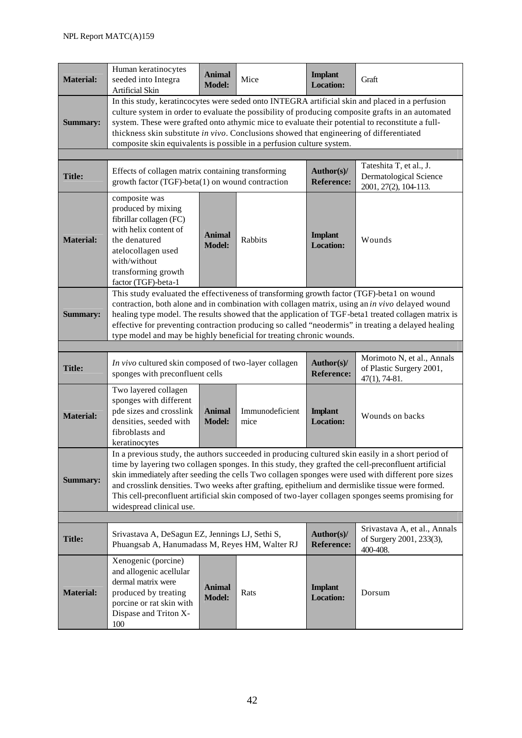| <b>Material:</b> | Human keratinocytes<br>seeded into Integra<br>Artificial Skin                                                                                                                                                                                                                                                                                                                                                                                                                     | <b>Animal</b><br><b>Model:</b> | Mice                    | <b>Implant</b><br><b>Location:</b> | Graft                                                                                                                                                                                                                                                                                                                                                                                                                                                                                                                  |  |  |  |
|------------------|-----------------------------------------------------------------------------------------------------------------------------------------------------------------------------------------------------------------------------------------------------------------------------------------------------------------------------------------------------------------------------------------------------------------------------------------------------------------------------------|--------------------------------|-------------------------|------------------------------------|------------------------------------------------------------------------------------------------------------------------------------------------------------------------------------------------------------------------------------------------------------------------------------------------------------------------------------------------------------------------------------------------------------------------------------------------------------------------------------------------------------------------|--|--|--|
| <b>Summary:</b>  | In this study, keratincocytes were seded onto INTEGRA artificial skin and placed in a perfusion<br>culture system in order to evaluate the possibility of producing composite grafts in an automated<br>system. These were grafted onto athymic mice to evaluate their potential to reconstitute a full-<br>thickness skin substitute in vivo. Conclusions showed that engineering of differentiated<br>composite skin equivalents is possible in a perfusion culture system.     |                                |                         |                                    |                                                                                                                                                                                                                                                                                                                                                                                                                                                                                                                        |  |  |  |
|                  |                                                                                                                                                                                                                                                                                                                                                                                                                                                                                   |                                |                         |                                    |                                                                                                                                                                                                                                                                                                                                                                                                                                                                                                                        |  |  |  |
| <b>Title:</b>    | Effects of collagen matrix containing transforming<br>growth factor (TGF)-beta(1) on wound contraction                                                                                                                                                                                                                                                                                                                                                                            |                                |                         | Author(s)/<br><b>Reference:</b>    | Tateshita T, et al., J.<br><b>Dermatological Science</b><br>2001, 27(2), 104-113.                                                                                                                                                                                                                                                                                                                                                                                                                                      |  |  |  |
| <b>Material:</b> | composite was<br>produced by mixing<br>fibrillar collagen (FC)<br>with helix content of<br>the denatured<br>atelocollagen used<br>with/without<br>transforming growth<br>factor (TGF)-beta-1                                                                                                                                                                                                                                                                                      | <b>Animal</b><br><b>Model:</b> | Rabbits                 | <b>Implant</b><br><b>Location:</b> | Wounds                                                                                                                                                                                                                                                                                                                                                                                                                                                                                                                 |  |  |  |
| <b>Summary:</b>  | This study evaluated the effectiveness of transforming growth factor (TGF)-betal on wound<br>contraction, both alone and in combination with collagen matrix, using an in vivo delayed wound<br>healing type model. The results showed that the application of TGF-beta1 treated collagen matrix is<br>effective for preventing contraction producing so called "neodermis" in treating a delayed healing<br>type model and may be highly beneficial for treating chronic wounds. |                                |                         |                                    |                                                                                                                                                                                                                                                                                                                                                                                                                                                                                                                        |  |  |  |
|                  |                                                                                                                                                                                                                                                                                                                                                                                                                                                                                   |                                |                         |                                    |                                                                                                                                                                                                                                                                                                                                                                                                                                                                                                                        |  |  |  |
| <b>Title:</b>    | In vivo cultured skin composed of two-layer collagen<br>sponges with preconfluent cells                                                                                                                                                                                                                                                                                                                                                                                           |                                |                         | Author(s)/<br><b>Reference:</b>    | Morimoto N, et al., Annals<br>of Plastic Surgery 2001,<br>$47(1), 74-81.$                                                                                                                                                                                                                                                                                                                                                                                                                                              |  |  |  |
| <b>Material:</b> | Two layered collagen<br>sponges with different<br>pde sizes and crosslink<br>densities, seeded with<br>fibroblasts and<br>keratinocytes                                                                                                                                                                                                                                                                                                                                           | <b>Animal</b><br><b>Model:</b> | Immunodeficient<br>mice | <b>Implant</b><br><b>Location:</b> | Wounds on backs                                                                                                                                                                                                                                                                                                                                                                                                                                                                                                        |  |  |  |
| <b>Summary:</b>  | widespread clinical use.                                                                                                                                                                                                                                                                                                                                                                                                                                                          |                                |                         |                                    | In a previous study, the authors succeeded in producing cultured skin easily in a short period of<br>time by layering two collagen sponges. In this study, they grafted the cell-preconfluent artificial<br>skin immediately after seeding the cells Two collagen sponges were used with different pore sizes<br>and crosslink densities. Two weeks after grafting, epithelium and dermislike tissue were formed.<br>This cell-preconfluent artificial skin composed of two-layer collagen sponges seems promising for |  |  |  |
|                  |                                                                                                                                                                                                                                                                                                                                                                                                                                                                                   |                                |                         |                                    |                                                                                                                                                                                                                                                                                                                                                                                                                                                                                                                        |  |  |  |
| <b>Title:</b>    | Srivastava A, DeSagun EZ, Jennings LJ, Sethi S,<br>Phuangsab A, Hanumadass M, Reyes HM, Walter RJ                                                                                                                                                                                                                                                                                                                                                                                 |                                |                         | Author(s)/<br><b>Reference:</b>    | Srivastava A, et al., Annals<br>of Surgery 2001, 233(3),<br>400-408.                                                                                                                                                                                                                                                                                                                                                                                                                                                   |  |  |  |
| <b>Material:</b> | Xenogenic (porcine)<br>and allogenic acellular<br>dermal matrix were<br>produced by treating<br>porcine or rat skin with<br>Dispase and Triton X-<br>100                                                                                                                                                                                                                                                                                                                          | <b>Animal</b><br><b>Model:</b> | Rats                    | <b>Implant</b><br><b>Location:</b> | Dorsum                                                                                                                                                                                                                                                                                                                                                                                                                                                                                                                 |  |  |  |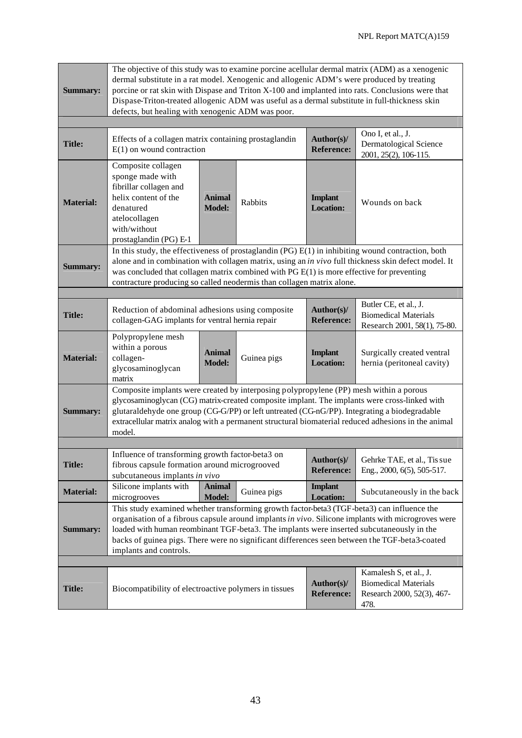| <b>Summary:</b>  | The objective of this study was to examine porcine acellular dermal matrix (ADM) as a xenogenic<br>dermal substitute in a rat model. Xenogenic and allogenic ADM's were produced by treating<br>porcine or rat skin with Dispase and Triton X-100 and implanted into rats. Conclusions were that<br>Dispase-Triton-treated allogenic ADM was useful as a dermal substitute in full-thickness skin<br>defects, but healing with xenogenic ADM was poor. |                                |             |                                    |                                                                                      |  |
|------------------|--------------------------------------------------------------------------------------------------------------------------------------------------------------------------------------------------------------------------------------------------------------------------------------------------------------------------------------------------------------------------------------------------------------------------------------------------------|--------------------------------|-------------|------------------------------------|--------------------------------------------------------------------------------------|--|
|                  |                                                                                                                                                                                                                                                                                                                                                                                                                                                        |                                |             |                                    |                                                                                      |  |
| <b>Title:</b>    | Effects of a collagen matrix containing prostaglandin<br>$E(1)$ on wound contraction                                                                                                                                                                                                                                                                                                                                                                   |                                |             | Author(s)/<br><b>Reference:</b>    | Ono I, et al., J.<br><b>Dermatological Science</b><br>2001, 25(2), 106-115.          |  |
| <b>Material:</b> | Composite collagen<br>sponge made with<br>fibrillar collagen and<br>helix content of the<br>denatured<br>atelocollagen<br>with/without<br>prostaglandin (PG) E-1                                                                                                                                                                                                                                                                                       | <b>Animal</b><br><b>Model:</b> | Rabbits     | <b>Implant</b><br><b>Location:</b> | Wounds on back                                                                       |  |
| <b>Summary:</b>  | In this study, the effectiveness of prostaglandin $(PG) E(1)$ in inhibiting wound contraction, both<br>alone and in combination with collagen matrix, using an in vivo full thickness skin defect model. It<br>was concluded that collagen matrix combined with $PGE(1)$ is more effective for preventing<br>contracture producing so called neodermis than collagen matrix alone.                                                                     |                                |             |                                    |                                                                                      |  |
|                  |                                                                                                                                                                                                                                                                                                                                                                                                                                                        |                                |             |                                    |                                                                                      |  |
| <b>Title:</b>    | Reduction of abdominal adhesions using composite<br>collagen-GAG implants for ventral hernia repair                                                                                                                                                                                                                                                                                                                                                    |                                |             | Author(s)/<br><b>Reference:</b>    | Butler CE, et al., J.<br><b>Biomedical Materials</b><br>Research 2001, 58(1), 75-80. |  |
| <b>Material:</b> | Polypropylene mesh<br>within a porous<br>collagen-<br>glycosaminoglycan<br>matrix                                                                                                                                                                                                                                                                                                                                                                      | <b>Animal</b><br><b>Model:</b> | Guinea pigs | <b>Implant</b><br><b>Location:</b> | Surgically created ventral<br>hernia (peritoneal cavity)                             |  |
| <b>Summary:</b>  | Composite implants were created by interposing polypropylene (PP) mesh within a porous<br>glycosaminoglycan (CG) matrix-created composite implant. The implants were cross-linked with<br>glutaraldehyde one group (CG-G/PP) or left untreated (CG-nG/PP). Integrating a biodegradable<br>extracellular matrix analog with a permanent structural biomaterial reduced adhesions in the animal<br>model.                                                |                                |             |                                    |                                                                                      |  |
|                  |                                                                                                                                                                                                                                                                                                                                                                                                                                                        |                                |             |                                    |                                                                                      |  |
| <b>Title:</b>    | Influence of transforming growth factor-beta3 on<br>fibrous capsule formation around microgrooved<br>subcutaneous implants in vivo                                                                                                                                                                                                                                                                                                                     |                                |             | Author(s)/<br><b>Reference:</b>    | Gehrke TAE, et al., Tis sue<br>Eng., 2000, 6(5), 505-517.                            |  |
| <b>Material:</b> | Silicone implants with<br>microgrooves                                                                                                                                                                                                                                                                                                                                                                                                                 | <b>Animal</b><br><b>Model:</b> | Guinea pigs | <b>Implant</b><br><b>Location:</b> | Subcutaneously in the back                                                           |  |
| <b>Summary:</b>  | This study examined whether transforming growth factor-beta3 (TGF-beta3) can influence the<br>organisation of a fibrous capsule around implants in vivo. Silicone implants with microgroves were<br>loaded with human reombinant TGF-beta3. The implants were inserted subcutaneously in the<br>backs of guinea pigs. There were no significant differences seen between the TGF-beta3-coated<br>implants and controls.                                |                                |             |                                    |                                                                                      |  |
|                  |                                                                                                                                                                                                                                                                                                                                                                                                                                                        |                                |             |                                    | Kamalesh S, et al., J.                                                               |  |
| <b>Title:</b>    | Biocompatibility of electroactive polymers in tissues                                                                                                                                                                                                                                                                                                                                                                                                  |                                |             | Author(s)/<br><b>Reference:</b>    | <b>Biomedical Materials</b><br>Research 2000, 52(3), 467-<br>478.                    |  |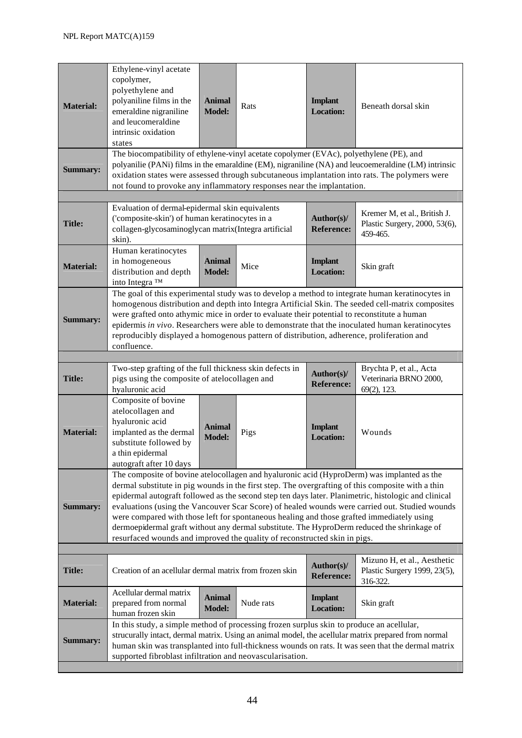| <b>Material:</b>                                                                                                                                                                                                                                                                                                                                                                             | Ethylene-vinyl acetate<br>copolymer,<br>polyethylene and<br>polyaniline films in the<br>emeraldine nigraniline<br>and leucomeraldine<br>intrinsic oxidation<br>states                                                                                                                                                                                                                                                                                                                                                                                                                                                                                                             | <b>Animal</b><br><b>Model:</b> | Rats      | <b>Implant</b><br><b>Location:</b> | Beneath dorsal skin                                                                                                                                                                                       |  |  |
|----------------------------------------------------------------------------------------------------------------------------------------------------------------------------------------------------------------------------------------------------------------------------------------------------------------------------------------------------------------------------------------------|-----------------------------------------------------------------------------------------------------------------------------------------------------------------------------------------------------------------------------------------------------------------------------------------------------------------------------------------------------------------------------------------------------------------------------------------------------------------------------------------------------------------------------------------------------------------------------------------------------------------------------------------------------------------------------------|--------------------------------|-----------|------------------------------------|-----------------------------------------------------------------------------------------------------------------------------------------------------------------------------------------------------------|--|--|
| The biocompatibility of ethylene-vinyl acetate copolymer (EVAc), polyethylene (PE), and<br>polyanilie (PANi) films in the emaraldine (EM), nigraniline (NA) and leucoemeraldine (LM) intrinsic<br><b>Summary:</b><br>oxidation states were assessed through subcutaneous implantation into rats. The polymers were<br>not found to provoke any inflammatory responses near the implantation. |                                                                                                                                                                                                                                                                                                                                                                                                                                                                                                                                                                                                                                                                                   |                                |           |                                    |                                                                                                                                                                                                           |  |  |
|                                                                                                                                                                                                                                                                                                                                                                                              |                                                                                                                                                                                                                                                                                                                                                                                                                                                                                                                                                                                                                                                                                   |                                |           |                                    |                                                                                                                                                                                                           |  |  |
| <b>Title:</b>                                                                                                                                                                                                                                                                                                                                                                                | Evaluation of dermal-epidermal skin equivalents<br>('composite-skin') of human keratinocytes in a<br>collagen-glycosaminoglycan matrix(Integra artificial<br>skin).                                                                                                                                                                                                                                                                                                                                                                                                                                                                                                               |                                |           | Author(s)/<br><b>Reference:</b>    | Kremer M, et al., British J.<br>Plastic Surgery, 2000, 53(6),<br>459-465.                                                                                                                                 |  |  |
| <b>Material:</b>                                                                                                                                                                                                                                                                                                                                                                             | Human keratinocytes<br>in homogeneous<br>distribution and depth<br>into Integra ™                                                                                                                                                                                                                                                                                                                                                                                                                                                                                                                                                                                                 | <b>Animal</b><br><b>Model:</b> | Mice      | <b>Implant</b><br><b>Location:</b> | Skin graft                                                                                                                                                                                                |  |  |
| <b>Summary:</b>                                                                                                                                                                                                                                                                                                                                                                              | The goal of this experimental study was to develop a method to integrate human keratinocytes in<br>homogenous distribution and depth into Integra Artificial Skin. The seeded cell-matrix composites<br>were grafted onto athymic mice in order to evaluate their potential to reconstitute a human<br>epidermis in vivo. Researchers were able to demonstrate that the inoculated human keratinocytes<br>reproducibly displayed a homogenous pattern of distribution, adherence, proliferation and<br>confluence.                                                                                                                                                                |                                |           |                                    |                                                                                                                                                                                                           |  |  |
|                                                                                                                                                                                                                                                                                                                                                                                              |                                                                                                                                                                                                                                                                                                                                                                                                                                                                                                                                                                                                                                                                                   |                                |           |                                    |                                                                                                                                                                                                           |  |  |
| <b>Title:</b>                                                                                                                                                                                                                                                                                                                                                                                | Two-step grafting of the full thickness skin defects in<br>pigs using the composite of atelocollagen and<br>hyaluronic acid                                                                                                                                                                                                                                                                                                                                                                                                                                                                                                                                                       |                                |           | Author(s)/<br><b>Reference:</b>    | Brychta P, et al., Acta<br>Veterinaria BRNO 2000,<br>69(2), 123.                                                                                                                                          |  |  |
| <b>Material:</b>                                                                                                                                                                                                                                                                                                                                                                             | Composite of bovine<br>atelocollagen and<br>hyaluronic acid<br>implanted as the dermal<br>substitute followed by<br>a thin epidermal<br>autograft after 10 days                                                                                                                                                                                                                                                                                                                                                                                                                                                                                                                   | <b>Animal</b><br><b>Model:</b> | Pigs      | <b>Implant</b><br><b>Location:</b> | Wounds                                                                                                                                                                                                    |  |  |
| Summary:                                                                                                                                                                                                                                                                                                                                                                                     | The composite of bovine atelocollagen and hyaluronic acid (HyproDerm) was implanted as the<br>dermal substitute in pig wounds in the first step. The overgrafting of this composite with a thin<br>epidermal autograft followed as the second step ten days later. Planimetric, histologic and clinical<br>evaluations (using the Vancouver Scar Score) of healed wounds were carried out. Studied wounds<br>were compared with those left for spontaneous healing and those grafted immediately using<br>dermoepidermal graft without any dermal substitute. The HyproDerm reduced the shrinkage of<br>resurfaced wounds and improved the quality of reconstructed skin in pigs. |                                |           |                                    |                                                                                                                                                                                                           |  |  |
|                                                                                                                                                                                                                                                                                                                                                                                              |                                                                                                                                                                                                                                                                                                                                                                                                                                                                                                                                                                                                                                                                                   |                                |           |                                    |                                                                                                                                                                                                           |  |  |
| <b>Title:</b>                                                                                                                                                                                                                                                                                                                                                                                | Creation of an acellular dermal matrix from frozen skin                                                                                                                                                                                                                                                                                                                                                                                                                                                                                                                                                                                                                           |                                |           | Author(s)/<br><b>Reference:</b>    | Mizuno H, et al., Aesthetic<br>Plastic Surgery 1999, 23(5),<br>316-322.                                                                                                                                   |  |  |
| <b>Material:</b>                                                                                                                                                                                                                                                                                                                                                                             | Acellular dermal matrix<br>prepared from normal<br>human frozen skin                                                                                                                                                                                                                                                                                                                                                                                                                                                                                                                                                                                                              | <b>Animal</b><br>Model:        | Nude rats | <b>Implant</b><br><b>Location:</b> | Skin graft                                                                                                                                                                                                |  |  |
| <b>Summary:</b>                                                                                                                                                                                                                                                                                                                                                                              | In this study, a simple method of processing frozen surplus skin to produce an acellular,<br>supported fibroblast infiltration and neovascularisation.                                                                                                                                                                                                                                                                                                                                                                                                                                                                                                                            |                                |           |                                    | strucurally intact, dermal matrix. Using an animal model, the acellular matrix prepared from normal<br>human skin was transplanted into full-thickness wounds on rats. It was seen that the dermal matrix |  |  |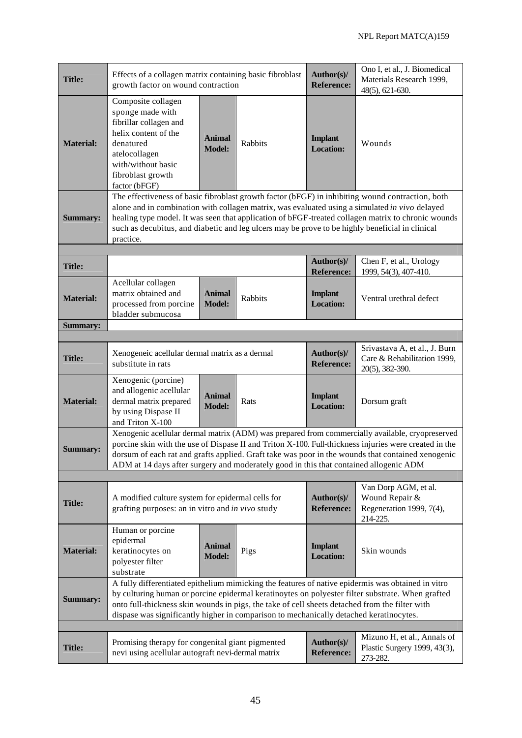| <b>Title:</b>    | Effects of a collagen matrix containing basic fibroblast<br>growth factor on wound contraction                                                                                                                                                                                                                                                                                                                           |                                |         | Author(s)/<br><b>Reference:</b>    | Ono I, et al., J. Biomedical<br>Materials Research 1999,<br>48(5), 621-630.                                                                                                                            |  |  |
|------------------|--------------------------------------------------------------------------------------------------------------------------------------------------------------------------------------------------------------------------------------------------------------------------------------------------------------------------------------------------------------------------------------------------------------------------|--------------------------------|---------|------------------------------------|--------------------------------------------------------------------------------------------------------------------------------------------------------------------------------------------------------|--|--|
| <b>Material:</b> | Composite collagen<br>sponge made with<br>fibrillar collagen and<br>helix content of the<br>denatured<br>atelocollagen<br>with/without basic<br>fibroblast growth<br>factor (bFGF)                                                                                                                                                                                                                                       | <b>Animal</b><br><b>Model:</b> | Rabbits | <b>Implant</b><br><b>Location:</b> | Wounds                                                                                                                                                                                                 |  |  |
| <b>Summary:</b>  | The effectiveness of basic fibroblast growth factor (bFGF) in inhibiting wound contraction, both<br>alone and in combination with collagen matrix, was evaluated using a simulated in vivo delayed<br>healing type model. It was seen that application of bFGF-treated collagen matrix to chronic wounds<br>such as decubitus, and diabetic and leg ulcers may be prove to be highly beneficial in clinical<br>practice. |                                |         |                                    |                                                                                                                                                                                                        |  |  |
|                  |                                                                                                                                                                                                                                                                                                                                                                                                                          |                                |         | Author(s)/                         | Chen F, et al., Urology                                                                                                                                                                                |  |  |
| <b>Title:</b>    |                                                                                                                                                                                                                                                                                                                                                                                                                          |                                |         | <b>Reference:</b>                  | 1999, 54(3), 407-410.                                                                                                                                                                                  |  |  |
| <b>Material:</b> | Acellular collagen<br>matrix obtained and<br>processed from porcine<br>bladder submucosa                                                                                                                                                                                                                                                                                                                                 | <b>Animal</b><br><b>Model:</b> | Rabbits | <b>Implant</b><br><b>Location:</b> | Ventral urethral defect                                                                                                                                                                                |  |  |
| <b>Summary:</b>  |                                                                                                                                                                                                                                                                                                                                                                                                                          |                                |         |                                    |                                                                                                                                                                                                        |  |  |
| <b>Title:</b>    | Xenogeneic acellular dermal matrix as a dermal<br>substitute in rats                                                                                                                                                                                                                                                                                                                                                     |                                |         | Author(s)/<br><b>Reference:</b>    | Srivastava A, et al., J. Burn<br>Care & Rehabilitation 1999,<br>20(5), 382-390.                                                                                                                        |  |  |
| <b>Material:</b> | Xenogenic (porcine)<br>and allogenic acellular<br>dermal matrix prepared<br>by using Dispase II<br>and Triton X-100                                                                                                                                                                                                                                                                                                      | <b>Animal</b><br><b>Model:</b> | Rats    | <b>Implant</b><br><b>Location:</b> | Dorsum graft                                                                                                                                                                                           |  |  |
| <b>Summary:</b>  | Xenogenic acellular dermal matrix (ADM) was prepared from commercially available, cryopreserved<br>porcine skin with the use of Dispase II and Triton X-100. Full-thickness injuries were created in the<br>dorsum of each rat and grafts applied. Graft take was poor in the wounds that contained xenogenic<br>ADM at 14 days after surgery and moderately good in this that contained allogenic ADM                   |                                |         |                                    |                                                                                                                                                                                                        |  |  |
|                  |                                                                                                                                                                                                                                                                                                                                                                                                                          |                                |         |                                    |                                                                                                                                                                                                        |  |  |
| <b>Title:</b>    | A modified culture system for epidermal cells for<br>grafting purposes: an in vitro and in vivo study                                                                                                                                                                                                                                                                                                                    |                                |         | Author(s)/<br><b>Reference:</b>    | Van Dorp AGM, et al.<br>Wound Repair &<br>Regeneration 1999, 7(4),<br>214-225.                                                                                                                         |  |  |
| <b>Material:</b> | Human or porcine<br>epidermal<br>keratinocytes on<br>polyester filter<br>substrate                                                                                                                                                                                                                                                                                                                                       | <b>Animal</b><br><b>Model:</b> | Pigs    | <b>Implant</b><br><b>Location:</b> | Skin wounds                                                                                                                                                                                            |  |  |
| <b>Summary:</b>  | onto full-thickness skin wounds in pigs, the take of cell sheets detached from the filter with<br>dispase was significantly higher in comparison to mechanically detached keratinocytes.                                                                                                                                                                                                                                 |                                |         |                                    | A fully differentiated epithelium mimicking the features of native epidermis was obtained in vitro<br>by culturing human or porcine epidermal keratinoytes on polyester filter substrate. When grafted |  |  |
|                  |                                                                                                                                                                                                                                                                                                                                                                                                                          |                                |         |                                    |                                                                                                                                                                                                        |  |  |
| <b>Title:</b>    | Promising therapy for congenital giant pigmented<br>nevi using acellular autograft nevi-dermal matrix                                                                                                                                                                                                                                                                                                                    |                                |         | Author(s)/<br><b>Reference:</b>    | Mizuno H, et al., Annals of<br>Plastic Surgery 1999, 43(3),<br>273-282.                                                                                                                                |  |  |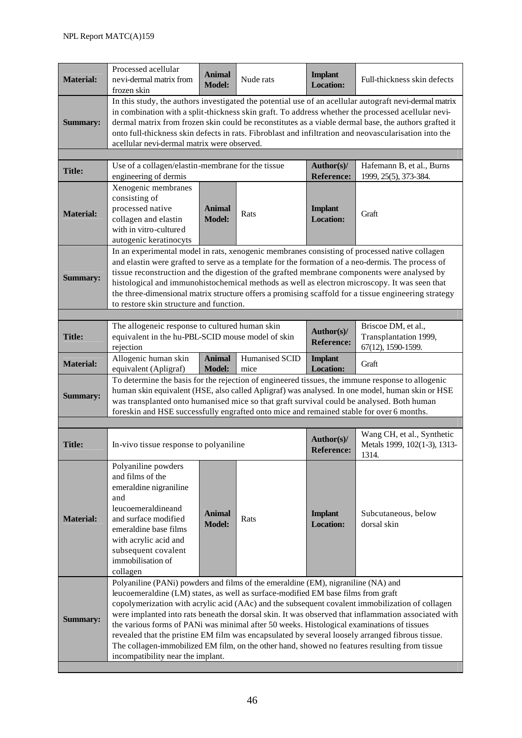| <b>Material:</b> | Processed acellular<br>nevi-dermal matrix from<br>frozen skin                                                                                                                                                                                                                                                                                                                                                                                                                                                                                                                                                                                                                                                           | <b>Animal</b><br><b>Model:</b> | Nude rats              | <b>Implant</b><br><b>Location:</b> | Full-thickness skin defects                                                                                                                                                                         |  |  |
|------------------|-------------------------------------------------------------------------------------------------------------------------------------------------------------------------------------------------------------------------------------------------------------------------------------------------------------------------------------------------------------------------------------------------------------------------------------------------------------------------------------------------------------------------------------------------------------------------------------------------------------------------------------------------------------------------------------------------------------------------|--------------------------------|------------------------|------------------------------------|-----------------------------------------------------------------------------------------------------------------------------------------------------------------------------------------------------|--|--|
| <b>Summary:</b>  | In this study, the authors investigated the potential use of an acellular autograft nevi-dermal matrix<br>in combination with a split-thickness skin graft. To address whether the processed acellular nevi-<br>dermal matrix from frozen skin could be reconstitutes as a viable dermal base, the authors grafted it<br>onto full-thickness skin defects in rats. Fibroblast and infiltration and neovascularisation into the<br>acellular nevi-dermal matrix were observed.                                                                                                                                                                                                                                           |                                |                        |                                    |                                                                                                                                                                                                     |  |  |
| <b>Title:</b>    | Use of a collagen/elastin-membrane for the tissue<br>engineering of dermis                                                                                                                                                                                                                                                                                                                                                                                                                                                                                                                                                                                                                                              |                                |                        | Author(s)/<br><b>Reference:</b>    | Hafemann B, et al., Burns<br>1999, 25(5), 373-384.                                                                                                                                                  |  |  |
| <b>Material:</b> | Xenogenic membranes<br>consisting of<br>processed native<br>collagen and elastin<br>with in vitro-cultured<br>autogenic keratinocyts                                                                                                                                                                                                                                                                                                                                                                                                                                                                                                                                                                                    | <b>Animal</b><br><b>Model:</b> | Rats                   | <b>Implant</b><br><b>Location:</b> | Graft                                                                                                                                                                                               |  |  |
| <b>Summary:</b>  | In an experimental model in rats, xenogenic membranes consisting of processed native collagen<br>and elastin were grafted to serve as a template for the formation of a neo-dermis. The process of<br>tissue reconstruction and the digestion of the grafted membrane components were analysed by<br>histological and immunohistochemical methods as well as electron microscopy. It was seen that<br>the three-dimensional matrix structure offers a promising scaffold for a tissue engineering strategy<br>to restore skin structure and function.                                                                                                                                                                   |                                |                        |                                    |                                                                                                                                                                                                     |  |  |
|                  |                                                                                                                                                                                                                                                                                                                                                                                                                                                                                                                                                                                                                                                                                                                         |                                |                        |                                    |                                                                                                                                                                                                     |  |  |
| <b>Title:</b>    | The allogeneic response to cultured human skin<br>equivalent in the hu-PBL-SCID mouse model of skin<br>rejection                                                                                                                                                                                                                                                                                                                                                                                                                                                                                                                                                                                                        |                                |                        | Author(s)/<br><b>Reference:</b>    | Briscoe DM, et al.,<br>Transplantation 1999,<br>67(12), 1590-1599.                                                                                                                                  |  |  |
| <b>Material:</b> | Allogenic human skin<br>equivalent (Apligraf)                                                                                                                                                                                                                                                                                                                                                                                                                                                                                                                                                                                                                                                                           | <b>Animal</b><br><b>Model:</b> | Humanised SCID<br>mice | <b>Implant</b><br><b>Location:</b> | Graft                                                                                                                                                                                               |  |  |
| <b>Summary:</b>  | was transplanted onto humanised mice so that graft survival could be analysed. Both human<br>foreskin and HSE successfully engrafted onto mice and remained stable for over 6 months.                                                                                                                                                                                                                                                                                                                                                                                                                                                                                                                                   |                                |                        |                                    | To determine the basis for the rejection of engineered tissues, the immune response to allogenic<br>human skin equivalent (HSE, also called Apligraf) was analysed. In one model, human skin or HSE |  |  |
|                  |                                                                                                                                                                                                                                                                                                                                                                                                                                                                                                                                                                                                                                                                                                                         |                                |                        |                                    |                                                                                                                                                                                                     |  |  |
| <b>Title:</b>    | In-vivo tissue response to polyaniline                                                                                                                                                                                                                                                                                                                                                                                                                                                                                                                                                                                                                                                                                  |                                |                        | Author(s)/<br><b>Reference:</b>    | Wang CH, et al., Synthetic<br>Metals 1999, 102(1-3), 1313-<br>1314.                                                                                                                                 |  |  |
| <b>Material:</b> | Polyaniline powders<br>and films of the<br>emeraldine nigraniline<br>and<br>leucoemeraldineand<br>and surface modified<br>emeraldine base films<br>with acrylic acid and<br>subsequent covalent<br>immobilisation of<br>collagen                                                                                                                                                                                                                                                                                                                                                                                                                                                                                        | <b>Animal</b><br><b>Model:</b> | Rats                   | <b>Implant</b><br><b>Location:</b> | Subcutaneous, below<br>dorsal skin                                                                                                                                                                  |  |  |
| Summary:         | Polyaniline (PANi) powders and films of the emeraldine (EM), nigraniline (NA) and<br>leucoemeraldine (LM) states, as well as surface-modified EM base films from graft<br>copolymerization with acrylic acid (AAc) and the subsequent covalent immobilization of collagen<br>were implanted into rats beneath the dorsal skin. It was observed that inflammation associated with<br>the various forms of PANi was minimal after 50 weeks. Histological examinations of tissues<br>revealed that the pristine EM film was encapsulated by several loosely arranged fibrous tissue.<br>The collagen-immobilized EM film, on the other hand, showed no features resulting from tissue<br>incompatibility near the implant. |                                |                        |                                    |                                                                                                                                                                                                     |  |  |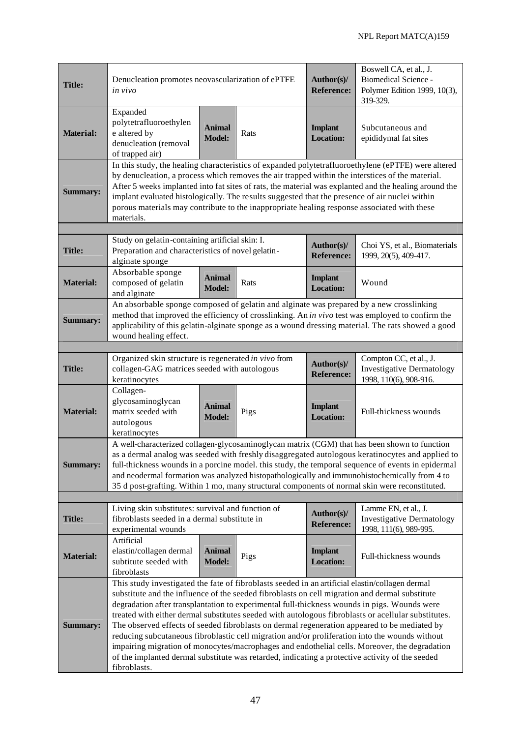| <b>Title:</b>    | Denucleation promotes neovascularization of ePTFE<br>in vivo                                                                                                                                                                                                                                                                                                                                                                                                                                                                                                                                                                                                                                                                                                                                                                   |                                | Author(s)/<br><b>Reference:</b> | Boswell CA, et al., J.<br><b>Biomedical Science -</b><br>Polymer Edition 1999, 10(3),<br>319-329. |                                                                                      |  |  |
|------------------|--------------------------------------------------------------------------------------------------------------------------------------------------------------------------------------------------------------------------------------------------------------------------------------------------------------------------------------------------------------------------------------------------------------------------------------------------------------------------------------------------------------------------------------------------------------------------------------------------------------------------------------------------------------------------------------------------------------------------------------------------------------------------------------------------------------------------------|--------------------------------|---------------------------------|---------------------------------------------------------------------------------------------------|--------------------------------------------------------------------------------------|--|--|
| <b>Material:</b> | Expanded<br>polytetrafluoroethylen<br>e altered by<br>denucleation (removal<br>of trapped air)                                                                                                                                                                                                                                                                                                                                                                                                                                                                                                                                                                                                                                                                                                                                 | <b>Animal</b><br><b>Model:</b> | Rats                            | <b>Implant</b><br><b>Location:</b>                                                                | Subcutaneous and<br>epididymal fat sites                                             |  |  |
| <b>Summary:</b>  | In this study, the healing characteristics of expanded polytetrafluoroethylene (ePTFE) were altered<br>by denucleation, a process which removes the air trapped within the interstices of the material.<br>After 5 weeks implanted into fat sites of rats, the material was explanted and the healing around the<br>implant evaluated histologically. The results suggested that the presence of air nuclei within<br>porous materials may contribute to the inappropriate healing response associated with these<br>materials.                                                                                                                                                                                                                                                                                                |                                |                                 |                                                                                                   |                                                                                      |  |  |
|                  | Study on gelatin-containing artificial skin: I.                                                                                                                                                                                                                                                                                                                                                                                                                                                                                                                                                                                                                                                                                                                                                                                |                                |                                 | Author(s)/                                                                                        | Choi YS, et al., Biomaterials                                                        |  |  |
| <b>Title:</b>    | Preparation and characteristics of novel gelatin-<br>alginate sponge                                                                                                                                                                                                                                                                                                                                                                                                                                                                                                                                                                                                                                                                                                                                                           |                                |                                 | <b>Reference:</b>                                                                                 | 1999, 20(5), 409-417.                                                                |  |  |
| <b>Material:</b> | Absorbable sponge<br>composed of gelatin<br>and alginate                                                                                                                                                                                                                                                                                                                                                                                                                                                                                                                                                                                                                                                                                                                                                                       | <b>Animal</b><br><b>Model:</b> | Rats                            | <b>Implant</b><br><b>Location:</b>                                                                | Wound                                                                                |  |  |
| <b>Summary:</b>  | An absorbable sponge composed of gelatin and alginate was prepared by a new crosslinking<br>method that improved the efficiency of crosslinking. An in vivo test was employed to confirm the<br>applicability of this gelatin-alginate sponge as a wound dressing material. The rats showed a good<br>wound healing effect.                                                                                                                                                                                                                                                                                                                                                                                                                                                                                                    |                                |                                 |                                                                                                   |                                                                                      |  |  |
|                  |                                                                                                                                                                                                                                                                                                                                                                                                                                                                                                                                                                                                                                                                                                                                                                                                                                |                                |                                 |                                                                                                   |                                                                                      |  |  |
| <b>Title:</b>    | Organized skin structure is regenerated in vivo from<br>collagen-GAG matrices seeded with autologous<br>keratinocytes                                                                                                                                                                                                                                                                                                                                                                                                                                                                                                                                                                                                                                                                                                          |                                |                                 | Author(s)/<br><b>Reference:</b>                                                                   | Compton CC, et al., J.<br><b>Investigative Dermatology</b><br>1998, 110(6), 908-916. |  |  |
| <b>Material:</b> | Collagen-<br>glycosaminoglycan<br>matrix seeded with<br>autologous<br>keratinocytes                                                                                                                                                                                                                                                                                                                                                                                                                                                                                                                                                                                                                                                                                                                                            | <b>Animal</b><br><b>Model:</b> | Pigs                            | <b>Implant</b><br><b>Location:</b>                                                                | Full-thickness wounds                                                                |  |  |
| <b>Summary:</b>  | A well-characterized collagen-glycosaminoglycan matrix (CGM) that has been shown to function<br>as a dermal analog was seeded with freshly disaggregated autologous keratinocytes and applied to<br>full-thickness wounds in a porcine model. this study, the temporal sequence of events in epidermal<br>and neodermal formation was analyzed histopathologically and immunohistochemically from 4 to<br>35 d post-grafting. Within 1 mo, many structural components of normal skin were reconstituted.                                                                                                                                                                                                                                                                                                                       |                                |                                 |                                                                                                   |                                                                                      |  |  |
|                  |                                                                                                                                                                                                                                                                                                                                                                                                                                                                                                                                                                                                                                                                                                                                                                                                                                |                                |                                 |                                                                                                   |                                                                                      |  |  |
| <b>Title:</b>    | Living skin substitutes: survival and function of<br>fibroblasts seeded in a dermal substitute in<br>experimental wounds                                                                                                                                                                                                                                                                                                                                                                                                                                                                                                                                                                                                                                                                                                       |                                |                                 | Author(s)/<br><b>Reference:</b>                                                                   | Lamme EN, et al., J.<br><b>Investigative Dermatology</b><br>1998, 111(6), 989-995.   |  |  |
| <b>Material:</b> | Artificial<br>elastin/collagen dermal<br>subtitute seeded with<br>fibroblasts                                                                                                                                                                                                                                                                                                                                                                                                                                                                                                                                                                                                                                                                                                                                                  | <b>Animal</b><br><b>Model:</b> | Pigs                            | <b>Implant</b><br><b>Location:</b>                                                                | Full-thickness wounds                                                                |  |  |
| <b>Summary:</b>  | This study investigated the fate of fibroblasts seeded in an artificial elastin/collagen dermal<br>substitute and the influence of the seeded fibroblasts on cell migration and dermal substitute<br>degradation after transplantation to experimental full-thickness wounds in pigs. Wounds were<br>treated with either dermal substitutes seeded with autologous fibroblasts or acellular substitutes.<br>The observed effects of seeded fibroblasts on dermal regeneration appeared to be mediated by<br>reducing subcutaneous fibroblastic cell migration and/or proliferation into the wounds without<br>impairing migration of monocytes/macrophages and endothelial cells. Moreover, the degradation<br>of the implanted dermal substitute was retarded, indicating a protective activity of the seeded<br>fibroblasts. |                                |                                 |                                                                                                   |                                                                                      |  |  |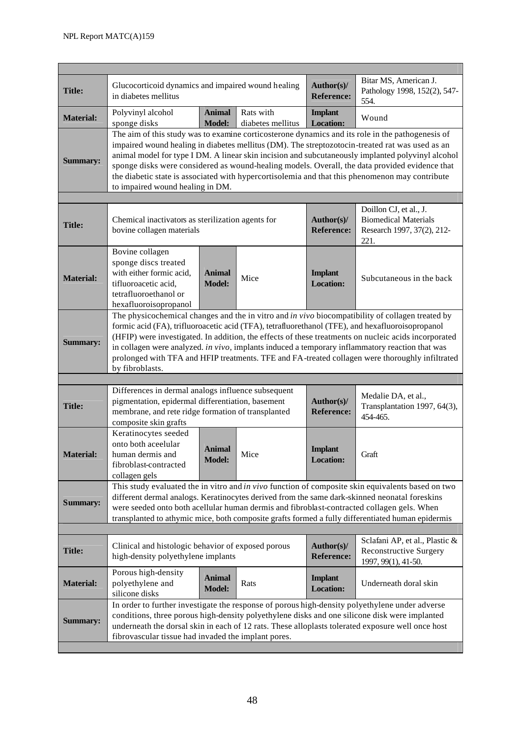| <b>Title:</b>    | Glucocorticoid dynamics and impaired wound healing<br>in diabetes mellitus                                                                                                                                                                                                                                                                                                                                                                                                                                                                        |                                |                                | Author(s)/<br><b>Reference:</b>    | Bitar MS, American J.<br>Pathology 1998, 152(2), 547-<br>554.                               |  |  |
|------------------|---------------------------------------------------------------------------------------------------------------------------------------------------------------------------------------------------------------------------------------------------------------------------------------------------------------------------------------------------------------------------------------------------------------------------------------------------------------------------------------------------------------------------------------------------|--------------------------------|--------------------------------|------------------------------------|---------------------------------------------------------------------------------------------|--|--|
| <b>Material:</b> | Polyvinyl alcohol<br>sponge disks                                                                                                                                                                                                                                                                                                                                                                                                                                                                                                                 | <b>Animal</b><br><b>Model:</b> | Rats with<br>diabetes mellitus | <b>Implant</b><br><b>Location:</b> | Wound                                                                                       |  |  |
| <b>Summary:</b>  | The aim of this study was to examine corticosterone dynamics and its role in the pathogenesis of<br>impaired wound healing in diabetes mellitus (DM). The streptozotocin-treated rat was used as an<br>animal model for type I DM. A linear skin incision and subcutaneously implanted polyvinyl alcohol<br>sponge disks were considered as wound-healing models. Overall, the data provided evidence that<br>the diabetic state is associated with hypercortisolemia and that this phenomenon may contribute<br>to impaired wound healing in DM. |                                |                                |                                    |                                                                                             |  |  |
|                  |                                                                                                                                                                                                                                                                                                                                                                                                                                                                                                                                                   |                                |                                |                                    |                                                                                             |  |  |
| <b>Title:</b>    | Chemical inactivators as sterilization agents for<br>bovine collagen materials                                                                                                                                                                                                                                                                                                                                                                                                                                                                    |                                |                                | Author(s)/<br><b>Reference:</b>    | Doillon CJ, et al., J.<br><b>Biomedical Materials</b><br>Research 1997, 37(2), 212-<br>221. |  |  |
| <b>Material:</b> | Bovine collagen<br>sponge discs treated<br>with either formic acid,<br>tifluoroacetic acid,<br>tetrafluoroethanol or<br>hexafluoroisopropanol                                                                                                                                                                                                                                                                                                                                                                                                     | <b>Animal</b><br><b>Model:</b> | Mice                           | <b>Implant</b><br><b>Location:</b> | Subcutaneous in the back                                                                    |  |  |
| <b>Summary:</b>  | The physicochemical changes and the in vitro and in vivo biocompatibility of collagen treated by<br>formic acid (FA), trifluoroacetic acid (TFA), tetrafluorethanol (TFE), and hexafluoroisopropanol<br>(HFIP) were investigated. In addition, the effects of these treatments on nucleic acids incorporated<br>in collagen were analyzed. in $vivo$ , implants induced a temporary inflammatory reaction that was<br>prolonged with TFA and HFIP treatments. TFE and FA-treated collagen were thoroughly infiltrated<br>by fibroblasts.          |                                |                                |                                    |                                                                                             |  |  |
|                  |                                                                                                                                                                                                                                                                                                                                                                                                                                                                                                                                                   |                                |                                |                                    |                                                                                             |  |  |
| <b>Title:</b>    | Differences in dermal analogs influence subsequent<br>pigmentation, epidermal differentiation, basement<br>membrane, and rete ridge formation of transplanted<br>composite skin grafts                                                                                                                                                                                                                                                                                                                                                            |                                |                                | Author(s)/<br><b>Reference:</b>    | Medalie DA, et al.,<br>Transplantation 1997, 64(3),<br>454-465.                             |  |  |
| <b>Material:</b> | Keratinocytes seeded<br>onto both aceelular<br>human dermis and<br>fibroblast-contracted<br>collagen gels                                                                                                                                                                                                                                                                                                                                                                                                                                         | Animal<br>Model:               | Mice                           | <b>Implant</b><br><b>Location:</b> | Graft                                                                                       |  |  |
| <b>Summary:</b>  | This study evaluated the in vitro and in vivo function of composite skin equivalents based on two<br>different dermal analogs. Keratinocytes derived from the same dark-skinned neonatal foreskins<br>were seeded onto both acellular human dermis and fibroblast-contracted collagen gels. When<br>transplanted to athymic mice, both composite grafts formed a fully differentiated human epidermis                                                                                                                                             |                                |                                |                                    |                                                                                             |  |  |
|                  |                                                                                                                                                                                                                                                                                                                                                                                                                                                                                                                                                   |                                |                                |                                    |                                                                                             |  |  |
| <b>Title:</b>    | Clinical and histologic behavior of exposed porous<br>high-density polyethylene implants                                                                                                                                                                                                                                                                                                                                                                                                                                                          |                                |                                | Author(s)/<br><b>Reference:</b>    | Sclafani AP, et al., Plastic &<br><b>Reconstructive Surgery</b><br>1997, 99(1), 41-50.      |  |  |
| <b>Material:</b> | Porous high-density<br>polyethylene and<br>silicone disks                                                                                                                                                                                                                                                                                                                                                                                                                                                                                         | Animal<br><b>Model:</b>        | Rats                           | <b>Implant</b><br><b>Location:</b> | Underneath doral skin                                                                       |  |  |
| <b>Summary:</b>  | In order to further investigate the response of porous high-density polyethylene under adverse<br>conditions, three porous high-density polyethylene disks and one silicone disk were implanted<br>underneath the dorsal skin in each of 12 rats. These alloplasts tolerated exposure well once host<br>fibrovascular tissue had invaded the implant pores.                                                                                                                                                                                       |                                |                                |                                    |                                                                                             |  |  |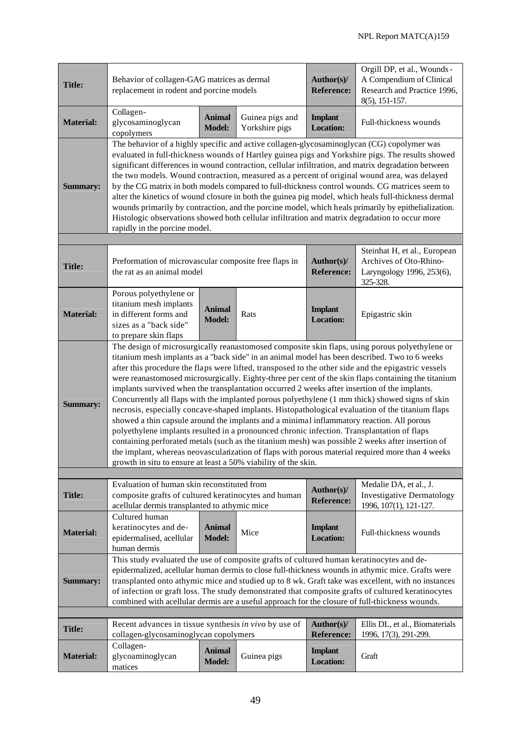| <b>Title:</b>    | Behavior of collagen-GAG matrices as dermal<br>replacement in rodent and porcine models                                                                                                                                                                                                                                                                                                                                                                                                                                                                                                                                                                                                                                                                                                                                                                                                                                                                                                                                                                                                                                 |                                |                                   | Author(s)/<br><b>Reference:</b>                                                                 | Orgill DP, et al., Wounds -<br>A Compendium of Clinical<br>Research and Practice 1996,<br>8(5), 151-157. |  |  |
|------------------|-------------------------------------------------------------------------------------------------------------------------------------------------------------------------------------------------------------------------------------------------------------------------------------------------------------------------------------------------------------------------------------------------------------------------------------------------------------------------------------------------------------------------------------------------------------------------------------------------------------------------------------------------------------------------------------------------------------------------------------------------------------------------------------------------------------------------------------------------------------------------------------------------------------------------------------------------------------------------------------------------------------------------------------------------------------------------------------------------------------------------|--------------------------------|-----------------------------------|-------------------------------------------------------------------------------------------------|----------------------------------------------------------------------------------------------------------|--|--|
| <b>Material:</b> | Collagen-<br>glycosaminoglycan<br>copolymers                                                                                                                                                                                                                                                                                                                                                                                                                                                                                                                                                                                                                                                                                                                                                                                                                                                                                                                                                                                                                                                                            | <b>Animal</b><br><b>Model:</b> | Guinea pigs and<br>Yorkshire pigs | <b>Implant</b><br><b>Location:</b>                                                              | Full-thickness wounds                                                                                    |  |  |
| <b>Summary:</b>  | The behavior of a highly specific and active collagen-glycosaminoglycan (CG) copolymer was<br>evaluated in full-thickness wounds of Hartley guinea pigs and Yorkshire pigs. The results showed<br>significant differences in wound contraction, cellular infiltration, and matrix degradation between<br>the two models. Wound contraction, measured as a percent of original wound area, was delayed<br>by the CG matrix in both models compared to full-thickness control wounds. CG matrices seem to<br>alter the kinetics of wound closure in both the guinea pig model, which heals full-thickness dermal<br>wounds primarily by contraction, and the porcine model, which heals primarily by epithelialization.<br>Histologic observations showed both cellular infiltration and matrix degradation to occur more<br>rapidly in the porcine model.                                                                                                                                                                                                                                                                |                                |                                   |                                                                                                 |                                                                                                          |  |  |
| <b>Title:</b>    | Preformation of microvascular composite free flaps in<br>the rat as an animal model                                                                                                                                                                                                                                                                                                                                                                                                                                                                                                                                                                                                                                                                                                                                                                                                                                                                                                                                                                                                                                     |                                | Author(s)/<br><b>Reference:</b>   | Steinhat H, et al., European<br>Archives of Oto-Rhino-<br>Laryngology 1996, 253(6),<br>325-328. |                                                                                                          |  |  |
| <b>Material:</b> | Porous polyethylene or<br>titanium mesh implants<br>in different forms and<br>sizes as a "back side"<br>to prepare skin flaps                                                                                                                                                                                                                                                                                                                                                                                                                                                                                                                                                                                                                                                                                                                                                                                                                                                                                                                                                                                           | <b>Animal</b><br><b>Model:</b> | Rats                              | <b>Implant</b><br><b>Location:</b>                                                              | Epigastric skin                                                                                          |  |  |
| <b>Summary:</b>  | The design of microsurgically reanastomosed composite skin flaps, using porous polyethylene or<br>titanium mesh implants as a "back side" in an animal model has been described. Two to 6 weeks<br>after this procedure the flaps were lifted, transposed to the other side and the epigastric vessels<br>were reanastomosed microsurgically. Eighty-three per cent of the skin flaps containing the titanium<br>implants survived when the transplantation occurred 2 weeks after insertion of the implants.<br>Concurrently all flaps with the implanted porous polyethylene (1 mm thick) showed signs of skin<br>necrosis, especially concave-shaped implants. Histopathological evaluation of the titanium flaps<br>showed a thin capsule around the implants and a minimal inflammatory reaction. All porous<br>polyethylene implants resulted in a pronounced chronic infection. Transplantation of flaps<br>containing perforated metals (such as the titanium mesh) was possible 2 weeks after insertion of<br>the implant, whereas neovascularization of flaps with porous material required more than 4 weeks |                                |                                   |                                                                                                 |                                                                                                          |  |  |
|                  | growth in situ to ensure at least a 50% viability of the skin.                                                                                                                                                                                                                                                                                                                                                                                                                                                                                                                                                                                                                                                                                                                                                                                                                                                                                                                                                                                                                                                          |                                |                                   |                                                                                                 |                                                                                                          |  |  |
| <b>Title:</b>    | Evaluation of human skin reconstituted from<br>composite grafts of cultured keratinocytes and human<br>acellular dermis transplanted to athymic mice                                                                                                                                                                                                                                                                                                                                                                                                                                                                                                                                                                                                                                                                                                                                                                                                                                                                                                                                                                    |                                |                                   | Author(s)/<br><b>Reference:</b>                                                                 | Medalie DA, et al., J.<br><b>Investigative Dermatology</b><br>1996, 107(1), 121-127.                     |  |  |
| <b>Material:</b> | Cultured human<br>keratinocytes and de-<br>epidermalised, acellular<br>human dermis                                                                                                                                                                                                                                                                                                                                                                                                                                                                                                                                                                                                                                                                                                                                                                                                                                                                                                                                                                                                                                     | <b>Animal</b><br><b>Model:</b> | Mice                              | <b>Implant</b><br><b>Location:</b>                                                              | Full-thickness wounds                                                                                    |  |  |
| <b>Summary:</b>  | This study evaluated the use of composite grafts of cultured human keratinocytes and de-<br>epidermalized, acellular human dermis to close full-thickness wounds in athymic mice. Grafts were<br>transplanted onto athymic mice and studied up to 8 wk. Graft take was excellent, with no instances<br>of infection or graft loss. The study demonstrated that composite grafts of cultured keratinocytes<br>combined with acellular dermis are a useful approach for the closure of full-thickness wounds.                                                                                                                                                                                                                                                                                                                                                                                                                                                                                                                                                                                                             |                                |                                   |                                                                                                 |                                                                                                          |  |  |
|                  | Recent advances in tissue synthesis in vivo by use of                                                                                                                                                                                                                                                                                                                                                                                                                                                                                                                                                                                                                                                                                                                                                                                                                                                                                                                                                                                                                                                                   |                                |                                   | Author(s)/                                                                                      | Ellis DL, et al., Biomaterials                                                                           |  |  |
| <b>Title:</b>    | collagen-glycosaminoglycan copolymers                                                                                                                                                                                                                                                                                                                                                                                                                                                                                                                                                                                                                                                                                                                                                                                                                                                                                                                                                                                                                                                                                   |                                |                                   | <b>Reference:</b>                                                                               | 1996, 17(3), 291-299.                                                                                    |  |  |
| <b>Material:</b> | Collagen-<br>glycoaminoglycan<br>matices                                                                                                                                                                                                                                                                                                                                                                                                                                                                                                                                                                                                                                                                                                                                                                                                                                                                                                                                                                                                                                                                                | <b>Animal</b><br><b>Model:</b> | Guinea pigs                       | <b>Implant</b><br><b>Location:</b>                                                              | Graft                                                                                                    |  |  |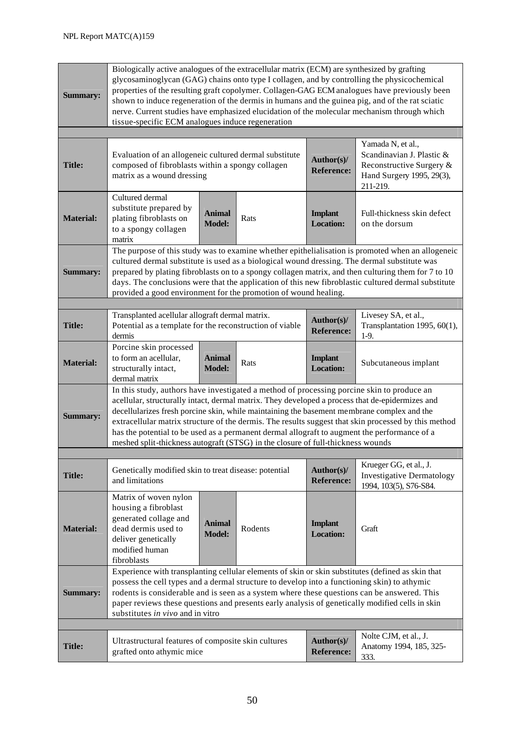| <b>Summary:</b>  | Biologically active analogues of the extracellular matrix (ECM) are synthesized by grafting<br>glycosaminoglycan (GAG) chains onto type I collagen, and by controlling the physicochemical<br>properties of the resulting graft copolymer. Collagen-GAG ECM analogues have previously been<br>shown to induce regeneration of the dermis in humans and the guinea pig, and of the rat sciatic<br>nerve. Current studies have emphasized elucidation of the molecular mechanism through which<br>tissue-specific ECM analogues induce regeneration                                      |                                |         |                                    |                                                                                                                     |  |
|------------------|----------------------------------------------------------------------------------------------------------------------------------------------------------------------------------------------------------------------------------------------------------------------------------------------------------------------------------------------------------------------------------------------------------------------------------------------------------------------------------------------------------------------------------------------------------------------------------------|--------------------------------|---------|------------------------------------|---------------------------------------------------------------------------------------------------------------------|--|
|                  |                                                                                                                                                                                                                                                                                                                                                                                                                                                                                                                                                                                        |                                |         |                                    |                                                                                                                     |  |
| <b>Title:</b>    | Evaluation of an allogeneic cultured dermal substitute<br>composed of fibroblasts within a spongy collagen<br>matrix as a wound dressing                                                                                                                                                                                                                                                                                                                                                                                                                                               |                                |         | Author(s)/<br><b>Reference:</b>    | Yamada N, et al.,<br>Scandinavian J. Plastic &<br>Reconstructive Surgery &<br>Hand Surgery 1995, 29(3),<br>211-219. |  |
| <b>Material:</b> | Cultured dermal<br>substitute prepared by<br>plating fibroblasts on<br>to a spongy collagen<br>matrix                                                                                                                                                                                                                                                                                                                                                                                                                                                                                  | <b>Animal</b><br><b>Model:</b> | Rats    | <b>Implant</b><br><b>Location:</b> | Full-thickness skin defect<br>on the dorsum                                                                         |  |
| <b>Summary:</b>  | The purpose of this study was to examine whether epithelialisation is promoted when an allogeneic<br>cultured dermal substitute is used as a biological wound dressing. The dermal substitute was<br>prepared by plating fibroblasts on to a spongy collagen matrix, and then culturing them for 7 to 10<br>days. The conclusions were that the application of this new fibroblastic cultured dermal substitute<br>provided a good environment for the promotion of wound healing.                                                                                                     |                                |         |                                    |                                                                                                                     |  |
|                  |                                                                                                                                                                                                                                                                                                                                                                                                                                                                                                                                                                                        |                                |         |                                    |                                                                                                                     |  |
| <b>Title:</b>    | Transplanted acellular allograft dermal matrix.<br>Potential as a template for the reconstruction of viable<br>dermis                                                                                                                                                                                                                                                                                                                                                                                                                                                                  |                                |         | Author(s)/<br><b>Reference:</b>    | Livesey SA, et al.,<br>Transplantation 1995, 60(1),<br>$1-9.$                                                       |  |
| <b>Material:</b> | Porcine skin processed<br>to form an acellular,<br>structurally intact,<br>dermal matrix                                                                                                                                                                                                                                                                                                                                                                                                                                                                                               | <b>Animal</b><br><b>Model:</b> | Rats    | <b>Implant</b><br><b>Location:</b> | Subcutaneous implant                                                                                                |  |
| <b>Summary:</b>  | In this study, authors have investigated a method of processing porcine skin to produce an<br>acellular, structurally intact, dermal matrix. They developed a process that de-epidermizes and<br>decellularizes fresh porcine skin, while maintaining the basement membrane complex and the<br>extracellular matrix structure of the dermis. The results suggest that skin processed by this method<br>has the potential to be used as a permanent dermal allograft to augment the performance of a<br>meshed split-thickness autograft (STSG) in the closure of full-thickness wounds |                                |         |                                    |                                                                                                                     |  |
|                  |                                                                                                                                                                                                                                                                                                                                                                                                                                                                                                                                                                                        |                                |         |                                    |                                                                                                                     |  |
| <b>Title:</b>    | Genetically modified skin to treat disease: potential<br>and limitations                                                                                                                                                                                                                                                                                                                                                                                                                                                                                                               |                                |         | Author(s)/<br><b>Reference:</b>    | Krueger GG, et al., J.<br><b>Investigative Dermatology</b><br>1994, 103(5), S76-S84.                                |  |
| <b>Material:</b> | Matrix of woven nylon<br>housing a fibroblast<br>generated collage and<br>dead dermis used to<br>deliver genetically<br>modified human<br>fibroblasts                                                                                                                                                                                                                                                                                                                                                                                                                                  | <b>Animal</b><br><b>Model:</b> | Rodents | <b>Implant</b><br><b>Location:</b> | Graft                                                                                                               |  |
| <b>Summary:</b>  | Experience with transplanting cellular elements of skin or skin substitutes (defined as skin that<br>possess the cell types and a dermal structure to develop into a functioning skin) to athymic<br>rodents is considerable and is seen as a system where these questions can be answered. This<br>paper reviews these questions and presents early analysis of genetically modified cells in skin<br>substitutes in vivo and in vitro                                                                                                                                                |                                |         |                                    |                                                                                                                     |  |
|                  |                                                                                                                                                                                                                                                                                                                                                                                                                                                                                                                                                                                        |                                |         |                                    |                                                                                                                     |  |
| <b>Title:</b>    | Ultrastructural features of composite skin cultures<br>grafted onto athymic mice                                                                                                                                                                                                                                                                                                                                                                                                                                                                                                       |                                |         | Author(s)/<br><b>Reference:</b>    | Nolte CJM, et al., J.<br>Anatomy 1994, 185, 325-<br>333.                                                            |  |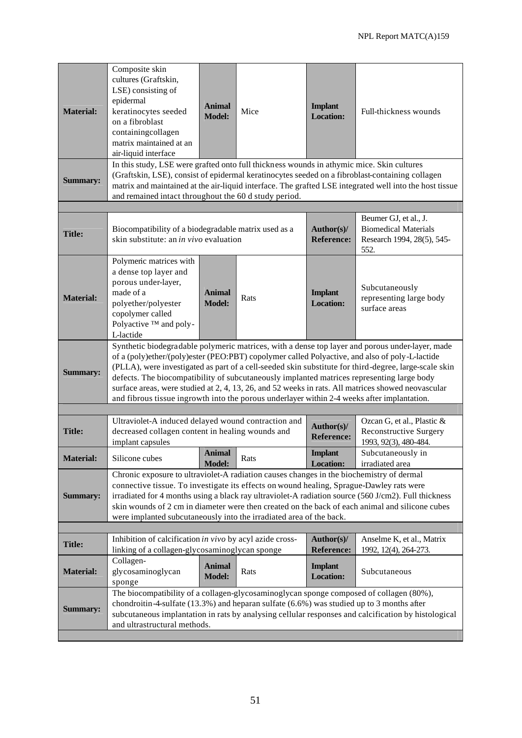| <b>Material:</b><br><b>Summary:</b> | Composite skin<br>cultures (Graftskin,<br>LSE) consisting of<br>epidermal<br>keratinocytes seeded<br>on a fibroblast<br>containingcollagen<br>matrix maintained at an<br>air-liquid interface<br>In this study, LSE were grafted onto full thickness wounds in athymic mice. Skin cultures<br>(Graftskin, LSE), consist of epidermal keratinocytes seeded on a fibroblast-containing collagen<br>and remained intact throughout the 60 d study period.                                                                                                                                                        | <b>Animal</b><br><b>Model:</b> | Mice | <b>Implant</b><br><b>Location:</b> | Full-thickness wounds<br>matrix and maintained at the air-liquid interface. The grafted LSE integrated well into the host tissue |  |
|-------------------------------------|---------------------------------------------------------------------------------------------------------------------------------------------------------------------------------------------------------------------------------------------------------------------------------------------------------------------------------------------------------------------------------------------------------------------------------------------------------------------------------------------------------------------------------------------------------------------------------------------------------------|--------------------------------|------|------------------------------------|----------------------------------------------------------------------------------------------------------------------------------|--|
|                                     |                                                                                                                                                                                                                                                                                                                                                                                                                                                                                                                                                                                                               |                                |      |                                    |                                                                                                                                  |  |
| <b>Title:</b>                       | Beumer GJ, et al., J.<br><b>Biomedical Materials</b><br>Biocompatibility of a biodegradable matrix used as a<br>Author(s)/<br>skin substitute: an in vivo evaluation<br><b>Reference:</b><br>Research 1994, 28(5), 545-<br>552.                                                                                                                                                                                                                                                                                                                                                                               |                                |      |                                    |                                                                                                                                  |  |
| <b>Material:</b>                    | Polymeric matrices with<br>a dense top layer and<br>porous under-layer,<br>made of a<br>polyether/polyester<br>copolymer called<br>Polyactive ™ and poly-<br>L-lactide                                                                                                                                                                                                                                                                                                                                                                                                                                        | <b>Animal</b><br><b>Model:</b> | Rats | <b>Implant</b><br><b>Location:</b> | Subcutaneously<br>representing large body<br>surface areas                                                                       |  |
| <b>Summary:</b>                     | Synthetic biodegradable polymeric matrices, with a dense top layer and porous under-layer, made<br>of a (poly)ether/(poly)ester (PEO:PBT) copolymer called Polyactive, and also of poly-L-lactide<br>(PLLA), were investigated as part of a cell-seeded skin substitute for third-degree, large-scale skin<br>defects. The biocompatibility of subcutaneously implanted matrices representing large body<br>surface areas, were studied at 2, 4, 13, 26, and 52 weeks in rats. All matrices showed neovascular<br>and fibrous tissue ingrowth into the porous underlayer within 2-4 weeks after implantation. |                                |      |                                    |                                                                                                                                  |  |
|                                     |                                                                                                                                                                                                                                                                                                                                                                                                                                                                                                                                                                                                               |                                |      |                                    |                                                                                                                                  |  |
| <b>Title:</b>                       | Ultraviolet-A induced delayed wound contraction and<br>decreased collagen content in healing wounds and<br>implant capsules                                                                                                                                                                                                                                                                                                                                                                                                                                                                                   |                                |      | Author(s)/<br><b>Reference:</b>    | Ozcan G, et al., Plastic &<br><b>Reconstructive Surgery</b><br>1993, 92(3), 480-484.                                             |  |
| <b>Material:</b>                    | Silicone cubes                                                                                                                                                                                                                                                                                                                                                                                                                                                                                                                                                                                                | Animal<br><b>Model:</b>        | Rats | <b>Implant</b><br><b>Location:</b> | Subcutaneously in<br>irradiated area                                                                                             |  |
| <b>Summary:</b>                     | Chronic exposure to ultraviolet-A radiation causes changes in the biochemistry of dermal<br>connective tissue. To investigate its effects on wound healing, Sprague-Dawley rats were<br>irradiated for 4 months using a black ray ultraviolet-A radiation source (560 J/cm2). Full thickness<br>skin wounds of 2 cm in diameter were then created on the back of each animal and silicone cubes<br>were implanted subcutaneously into the irradiated area of the back.                                                                                                                                        |                                |      |                                    |                                                                                                                                  |  |
|                                     |                                                                                                                                                                                                                                                                                                                                                                                                                                                                                                                                                                                                               |                                |      |                                    |                                                                                                                                  |  |
| <b>Title:</b>                       | Inhibition of calcification in vivo by acyl azide cross-<br>linking of a collagen-glycosaminoglycan sponge                                                                                                                                                                                                                                                                                                                                                                                                                                                                                                    |                                |      | Author(s)/<br><b>Reference:</b>    | Anselme K, et al., Matrix<br>1992, 12(4), 264-273.                                                                               |  |
| <b>Material:</b>                    | Collagen-<br>glycosaminoglycan<br>sponge                                                                                                                                                                                                                                                                                                                                                                                                                                                                                                                                                                      | <b>Animal</b><br><b>Model:</b> | Rats | <b>Implant</b><br><b>Location:</b> | Subcutaneous                                                                                                                     |  |
| <b>Summary:</b>                     | The biocompatibility of a collagen-glycosaminoglycan sponge composed of collagen (80%),<br>chondroitin-4-sulfate $(13.3\%)$ and heparan sulfate $(6.6\%)$ was studied up to 3 months after<br>and ultrastructural methods.                                                                                                                                                                                                                                                                                                                                                                                    |                                |      |                                    | subcutaneous implantation in rats by analysing cellular responses and calcification by histological                              |  |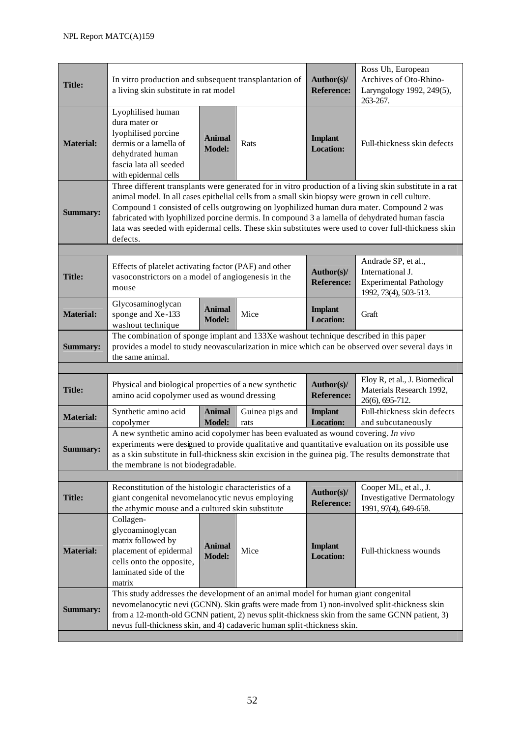| <b>Title:</b>    | In vitro production and subsequent transplantation of<br>a living skin substitute in rat model                                                                                                                                                                                                                                                                                                                                                                                                                               |                                |                         | Author(s)/<br><b>Reference:</b>    | Ross Uh, European<br>Archives of Oto-Rhino-<br>Laryngology 1992, 249(5),<br>263-267. |  |  |
|------------------|------------------------------------------------------------------------------------------------------------------------------------------------------------------------------------------------------------------------------------------------------------------------------------------------------------------------------------------------------------------------------------------------------------------------------------------------------------------------------------------------------------------------------|--------------------------------|-------------------------|------------------------------------|--------------------------------------------------------------------------------------|--|--|
| <b>Material:</b> | Lyophilised human<br>dura mater or<br>lyophilised porcine<br>dermis or a lamella of<br>dehydrated human<br>fascia lata all seeded<br>with epidermal cells                                                                                                                                                                                                                                                                                                                                                                    | <b>Animal</b><br><b>Model:</b> | Rats                    | <b>Implant</b><br><b>Location:</b> | Full-thickness skin defects                                                          |  |  |
| <b>Summary:</b>  | Three different transplants were generated for in vitro production of a living skin substitute in a rat<br>animal model. In all cases epithelial cells from a small skin biopsy were grown in cell culture.<br>Compound 1 consisted of cells outgrowing on lyophilized human dura mater. Compound 2 was<br>fabricated with lyophilized porcine dermis. In compound 3 a lamella of dehydrated human fascia<br>lata was seeded with epidermal cells. These skin substitutes were used to cover full-thickness skin<br>defects. |                                |                         |                                    |                                                                                      |  |  |
|                  |                                                                                                                                                                                                                                                                                                                                                                                                                                                                                                                              |                                |                         |                                    | Andrade SP, et al.,                                                                  |  |  |
| <b>Title:</b>    | Effects of platelet activating factor (PAF) and other<br>vasoconstrictors on a model of angiogenesis in the<br>mouse                                                                                                                                                                                                                                                                                                                                                                                                         |                                |                         | Author(s)/<br><b>Reference:</b>    | International J.<br><b>Experimental Pathology</b><br>1992, 73(4), 503-513.           |  |  |
| <b>Material:</b> | Glycosaminoglycan<br>sponge and Xe-133<br>washout technique                                                                                                                                                                                                                                                                                                                                                                                                                                                                  | <b>Animal</b><br><b>Model:</b> | Mice                    | <b>Implant</b><br><b>Location:</b> | Graft                                                                                |  |  |
| <b>Summary:</b>  | The combination of sponge implant and 133Xe washout technique described in this paper<br>provides a model to study neovascularization in mice which can be observed over several days in<br>the same animal.                                                                                                                                                                                                                                                                                                                 |                                |                         |                                    |                                                                                      |  |  |
|                  |                                                                                                                                                                                                                                                                                                                                                                                                                                                                                                                              |                                |                         |                                    |                                                                                      |  |  |
| <b>Title:</b>    | Physical and biological properties of a new synthetic<br>amino acid copolymer used as wound dressing                                                                                                                                                                                                                                                                                                                                                                                                                         |                                |                         | Author(s)/<br><b>Reference:</b>    | Eloy R, et al., J. Biomedical<br>Materials Research 1992,<br>26(6), 695-712.         |  |  |
| <b>Material:</b> | Synthetic amino acid<br>copolymer                                                                                                                                                                                                                                                                                                                                                                                                                                                                                            | <b>Animal</b><br><b>Model:</b> | Guinea pigs and<br>rats | <b>Implant</b><br><b>Location:</b> | Full-thickness skin defects<br>and subcutaneously                                    |  |  |
| <b>Summary:</b>  | A new synthetic amino acid copolymer has been evaluated as wound covering. In vivo<br>experiments were designed to provide qualitative and quantitative evaluation on its possible use<br>as a skin substitute in full-thickness skin excision in the guinea pig. The results demonstrate that<br>the membrane is not biodegradable.                                                                                                                                                                                         |                                |                         |                                    |                                                                                      |  |  |
|                  |                                                                                                                                                                                                                                                                                                                                                                                                                                                                                                                              |                                |                         |                                    |                                                                                      |  |  |
| <b>Title:</b>    | Reconstitution of the histologic characteristics of a<br>Cooper ML, et al., J.<br>Author(s)/<br>giant congenital nevomelanocytic nevus employing<br><b>Investigative Dermatology</b><br><b>Reference:</b><br>the athymic mouse and a cultured skin substitute<br>1991, 97(4), 649-658.                                                                                                                                                                                                                                       |                                |                         |                                    |                                                                                      |  |  |
| <b>Material:</b> | Collagen-<br>glycoaminoglycan<br>matrix followed by<br>placement of epidermal<br>cells onto the opposite,<br>laminated side of the<br>matrix                                                                                                                                                                                                                                                                                                                                                                                 | <b>Animal</b><br><b>Model:</b> | Mice                    | <b>Implant</b><br><b>Location:</b> | Full-thickness wounds                                                                |  |  |
| <b>Summary:</b>  | This study addresses the development of an animal model for human giant congenital<br>nevomelanocytic nevi (GCNN). Skin grafts were made from 1) non-involved split-thickness skin<br>from a 12-month-old GCNN patient, 2) nevus split-thickness skin from the same GCNN patient, 3)<br>nevus full-thickness skin, and 4) cadaveric human split-thickness skin.                                                                                                                                                              |                                |                         |                                    |                                                                                      |  |  |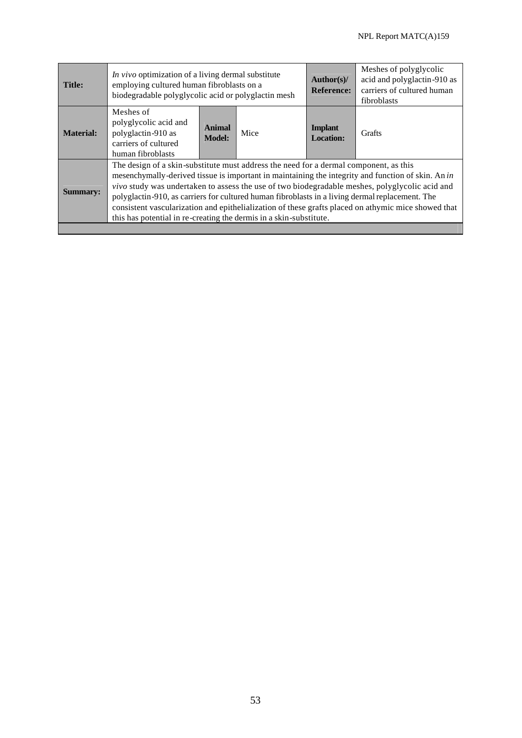۰

| <b>Title:</b>    | In vivo optimization of a living dermal substitute<br>employing cultured human fibroblasts on a<br>biodegradable polyglycolic acid or polyglactin mesh                                                                                                                                                                                                                                                                                                                                                                                                                        |                                |      | Author(s)/<br><b>Reference:</b>    | Meshes of polyglycolic<br>acid and polyglactin-910 as<br>carriers of cultured human<br>fibroblasts |  |
|------------------|-------------------------------------------------------------------------------------------------------------------------------------------------------------------------------------------------------------------------------------------------------------------------------------------------------------------------------------------------------------------------------------------------------------------------------------------------------------------------------------------------------------------------------------------------------------------------------|--------------------------------|------|------------------------------------|----------------------------------------------------------------------------------------------------|--|
| <b>Material:</b> | Meshes of<br>polyglycolic acid and<br>polyglactin-910 as<br>carriers of cultured<br>human fibroblasts                                                                                                                                                                                                                                                                                                                                                                                                                                                                         | <b>Animal</b><br><b>Model:</b> | Mice | <b>Implant</b><br><b>Location:</b> | <b>Grafts</b>                                                                                      |  |
| <b>Summary:</b>  | The design of a skin-substitute must address the need for a dermal component, as this<br>mesenchymally-derived tissue is important in maintaining the integrity and function of skin. An in<br>vivo study was undertaken to assess the use of two biodegradable meshes, polyglycolic acid and<br>polyglactin-910, as carriers for cultured human fibroblasts in a living dermal replacement. The<br>consistent vascularization and epithelialization of these grafts placed on athymic mice showed that<br>this has potential in re-creating the dermis in a skin-substitute. |                                |      |                                    |                                                                                                    |  |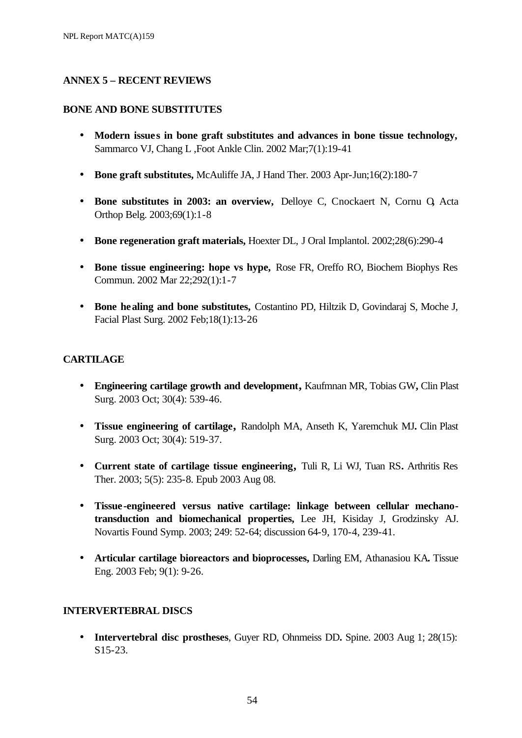### **ANNEX 5 – RECENT REVIEWS**

#### **BONE AND BONE SUBSTITUTES**

- Modern issues in bone graft substitutes and advances in bone tissue technology, Sammarco VJ, Chang L ,Foot Ankle Clin. 2002 Mar;7(1):19-41
- **Bone graft substitutes,** McAuliffe JA, J Hand Ther. 2003 Apr-Jun;16(2):180-7
- **Bone substitutes in 2003: an overview,** Delloye C, Cnockaert N, Cornu O**,** Acta Orthop Belg. 2003;69(1):1-8
- **Bone regeneration graft materials,** Hoexter DL, J Oral Implantol. 2002;28(6):290-4
- **Bone tissue engineering: hope vs hype,** Rose FR, Oreffo RO, Biochem Biophys Res Commun. 2002 Mar 22;292(1):1-7
- **Bone healing and bone substitutes,** Costantino PD, Hiltzik D, Govindaraj S, Moche J, Facial Plast Surg. 2002 Feb;18(1):13-26

### **CARTILAGE**

- **Engineering cartilage growth and development,** Kaufmnan MR, Tobias GW**,** Clin Plast Surg. 2003 Oct; 30(4): 539-46.
- **Tissue engineering of cartilage,** Randolph MA, Anseth K, Yaremchuk MJ**.** Clin Plast Surg. 2003 Oct; 30(4): 519-37.
- **Current state of cartilage tissue engineering,** Tuli R, Li WJ, Tuan RS**.** Arthritis Res Ther. 2003; 5(5): 235-8. Epub 2003 Aug 08.
- **Tissue-engineered versus native cartilage: linkage between cellular mechanotransduction and biomechanical properties,** Lee JH, Kisiday J, Grodzinsky AJ. Novartis Found Symp. 2003; 249: 52-64; discussion 64-9, 170-4, 239-41.
- **Articular cartilage bioreactors and bioprocesses,** Darling EM, Athanasiou KA**.** Tissue Eng. 2003 Feb; 9(1): 9-26.

#### **INTERVERTEBRAL DISCS**

• **Intervertebral disc prostheses**, Guyer RD, Ohnmeiss DD. Spine. 2003 Aug 1; 28(15): S15-23.